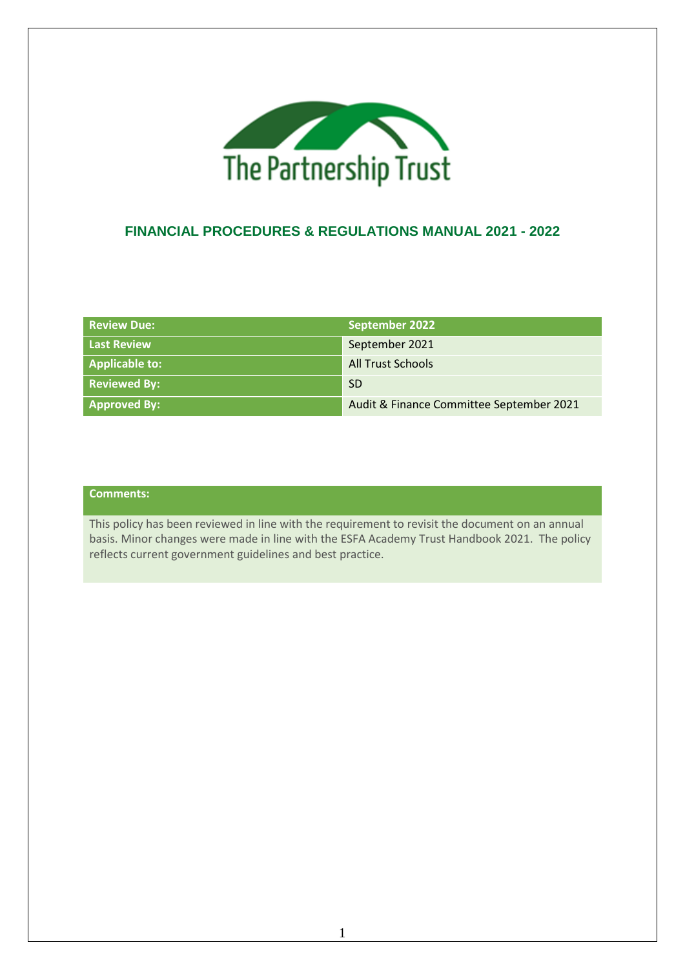

## **FINANCIAL PROCEDURES & REGULATIONS MANUAL 2021 - 2022**

| <b>Review Due:</b>  | September 2022                           |
|---------------------|------------------------------------------|
| <b>Last Review</b>  | September 2021                           |
| Applicable to:      | <b>All Trust Schools</b>                 |
| <b>Reviewed By:</b> | -SD                                      |
| <b>Approved By:</b> | Audit & Finance Committee September 2021 |

### **Comments:**

This policy has been reviewed in line with the requirement to revisit the document on an annual basis. Minor changes were made in line with the ESFA Academy Trust Handbook 2021. The policy reflects current government guidelines and best practice.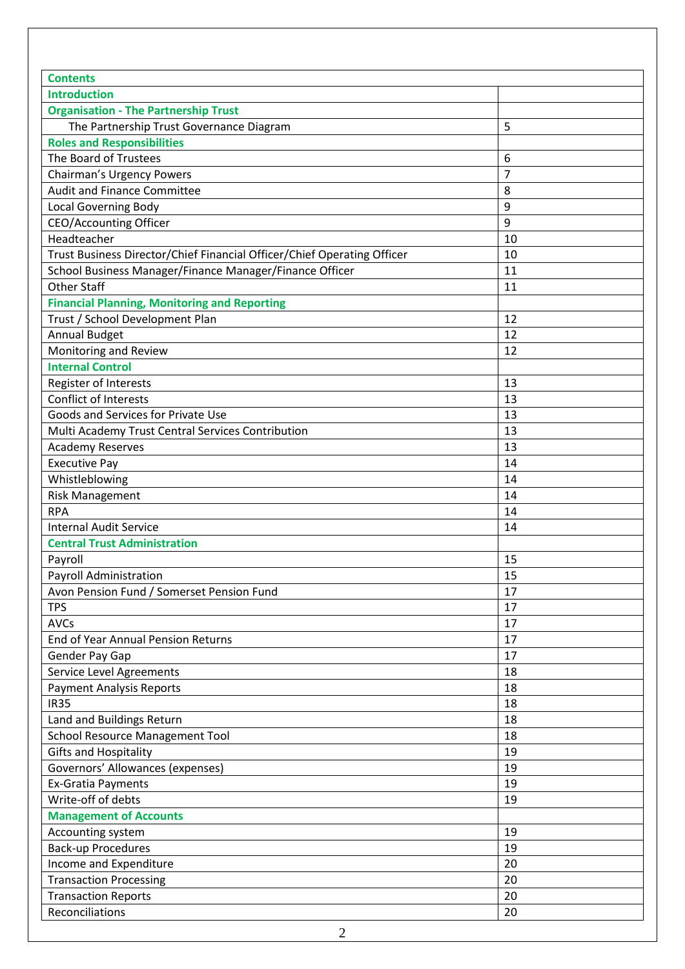| <b>Contents</b>                                                         |    |
|-------------------------------------------------------------------------|----|
| <b>Introduction</b>                                                     |    |
| <b>Organisation - The Partnership Trust</b>                             |    |
| The Partnership Trust Governance Diagram                                | 5  |
| <b>Roles and Responsibilities</b>                                       |    |
| The Board of Trustees                                                   | 6  |
| <b>Chairman's Urgency Powers</b>                                        | 7  |
| <b>Audit and Finance Committee</b>                                      | 8  |
| <b>Local Governing Body</b>                                             | 9  |
| <b>CEO/Accounting Officer</b>                                           | 9  |
| Headteacher                                                             | 10 |
| Trust Business Director/Chief Financial Officer/Chief Operating Officer | 10 |
| School Business Manager/Finance Manager/Finance Officer                 | 11 |
| <b>Other Staff</b>                                                      | 11 |
| <b>Financial Planning, Monitoring and Reporting</b>                     |    |
| Trust / School Development Plan                                         | 12 |
| <b>Annual Budget</b>                                                    | 12 |
| Monitoring and Review                                                   | 12 |
| <b>Internal Control</b>                                                 |    |
| Register of Interests                                                   | 13 |
| <b>Conflict of Interests</b>                                            | 13 |
| Goods and Services for Private Use                                      | 13 |
| Multi Academy Trust Central Services Contribution                       | 13 |
| <b>Academy Reserves</b>                                                 | 13 |
| <b>Executive Pay</b>                                                    | 14 |
| Whistleblowing                                                          | 14 |
| <b>Risk Management</b>                                                  | 14 |
| <b>RPA</b>                                                              | 14 |
| <b>Internal Audit Service</b>                                           | 14 |
| <b>Central Trust Administration</b>                                     |    |
| Payroll                                                                 | 15 |
| Payroll Administration                                                  | 15 |
| Avon Pension Fund / Somerset Pension Fund                               | 17 |
| <b>TPS</b>                                                              | 17 |
| <b>AVCs</b>                                                             | 17 |
| End of Year Annual Pension Returns                                      | 17 |
| Gender Pay Gap                                                          | 17 |
| Service Level Agreements                                                | 18 |
| <b>Payment Analysis Reports</b>                                         | 18 |
| <b>IR35</b>                                                             | 18 |
| Land and Buildings Return                                               | 18 |
| <b>School Resource Management Tool</b>                                  | 18 |
| <b>Gifts and Hospitality</b>                                            | 19 |
| Governors' Allowances (expenses)                                        | 19 |
| <b>Ex-Gratia Payments</b>                                               | 19 |
| Write-off of debts                                                      | 19 |
| <b>Management of Accounts</b>                                           |    |
| Accounting system                                                       | 19 |
| <b>Back-up Procedures</b>                                               | 19 |
| Income and Expenditure                                                  | 20 |
| <b>Transaction Processing</b>                                           | 20 |
| <b>Transaction Reports</b>                                              | 20 |
| Reconciliations                                                         | 20 |
|                                                                         |    |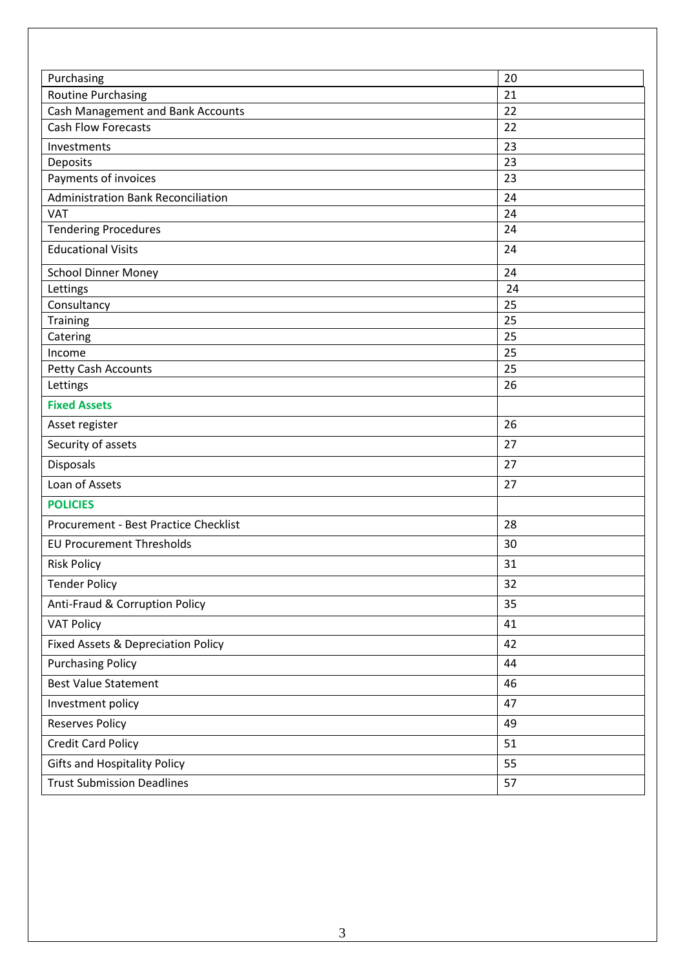| Purchasing                                | 20       |
|-------------------------------------------|----------|
| <b>Routine Purchasing</b>                 | 21       |
| Cash Management and Bank Accounts         | 22       |
| <b>Cash Flow Forecasts</b>                | 22       |
| Investments                               | 23       |
| Deposits                                  | 23       |
| Payments of invoices                      | 23       |
| <b>Administration Bank Reconciliation</b> | 24       |
| <b>VAT</b>                                | 24<br>24 |
| <b>Tendering Procedures</b>               |          |
| <b>Educational Visits</b>                 | 24       |
| <b>School Dinner Money</b>                | 24       |
| Lettings                                  | 24       |
| Consultancy                               | 25       |
| Training                                  | 25       |
| Catering                                  | 25<br>25 |
| Income                                    | 25       |
| Petty Cash Accounts<br>Lettings           | 26       |
| <b>Fixed Assets</b>                       |          |
|                                           | 26       |
| Asset register                            | 27       |
| Security of assets                        |          |
| Disposals                                 | 27       |
| Loan of Assets                            | 27       |
| <b>POLICIES</b>                           |          |
| Procurement - Best Practice Checklist     | 28       |
| <b>EU Procurement Thresholds</b>          | 30       |
| <b>Risk Policy</b>                        | 31       |
| <b>Tender Policy</b>                      | 32       |
| Anti-Fraud & Corruption Policy            | 35       |
| <b>VAT Policy</b>                         | 41       |
| Fixed Assets & Depreciation Policy        | 42       |
| <b>Purchasing Policy</b>                  | 44       |
| <b>Best Value Statement</b>               | 46       |
| Investment policy                         | 47       |
| <b>Reserves Policy</b>                    | 49       |
| <b>Credit Card Policy</b>                 | 51       |
| <b>Gifts and Hospitality Policy</b>       | 55       |
| <b>Trust Submission Deadlines</b>         | 57       |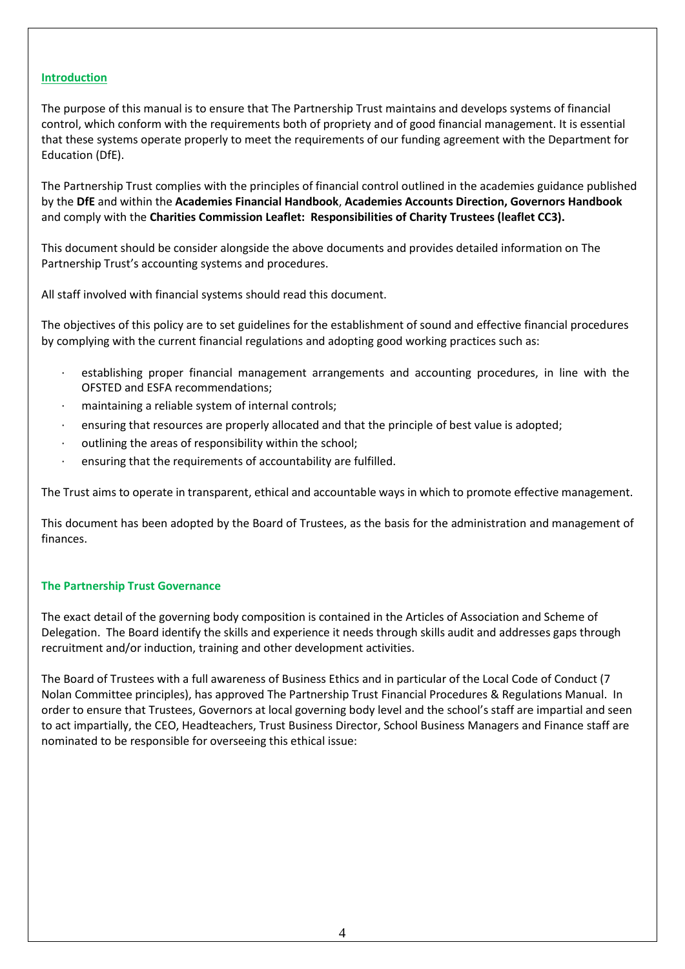#### **Introduction**

The purpose of this manual is to ensure that The Partnership Trust maintains and develops systems of financial control, which conform with the requirements both of propriety and of good financial management. It is essential that these systems operate properly to meet the requirements of our funding agreement with the Department for Education (DfE).

The Partnership Trust complies with the principles of financial control outlined in the academies guidance published by the **DfE** and within the **Academies Financial Handbook**, **Academies Accounts Direction, Governors Handbook** and comply with the **Charities Commission Leaflet: Responsibilities of Charity Trustees (leaflet CC3).**

This document should be consider alongside the above documents and provides detailed information on The Partnership Trust's accounting systems and procedures.

All staff involved with financial systems should read this document.

The objectives of this policy are to set guidelines for the establishment of sound and effective financial procedures by complying with the current financial regulations and adopting good working practices such as:

- establishing proper financial management arrangements and accounting procedures, in line with the OFSTED and ESFA recommendations;
- maintaining a reliable system of internal controls;
- ensuring that resources are properly allocated and that the principle of best value is adopted;
- outlining the areas of responsibility within the school;
- ensuring that the requirements of accountability are fulfilled.

The Trust aims to operate in transparent, ethical and accountable ways in which to promote effective management.

This document has been adopted by the Board of Trustees, as the basis for the administration and management of finances.

#### **The Partnership Trust Governance**

The exact detail of the governing body composition is contained in the Articles of Association and Scheme of Delegation. The Board identify the skills and experience it needs through skills audit and addresses gaps through recruitment and/or induction, training and other development activities.

The Board of Trustees with a full awareness of Business Ethics and in particular of the Local Code of Conduct (7 Nolan Committee principles), has approved The Partnership Trust Financial Procedures & Regulations Manual. In order to ensure that Trustees, Governors at local governing body level and the school's staff are impartial and seen to act impartially, the CEO, Headteachers, Trust Business Director, School Business Managers and Finance staff are nominated to be responsible for overseeing this ethical issue: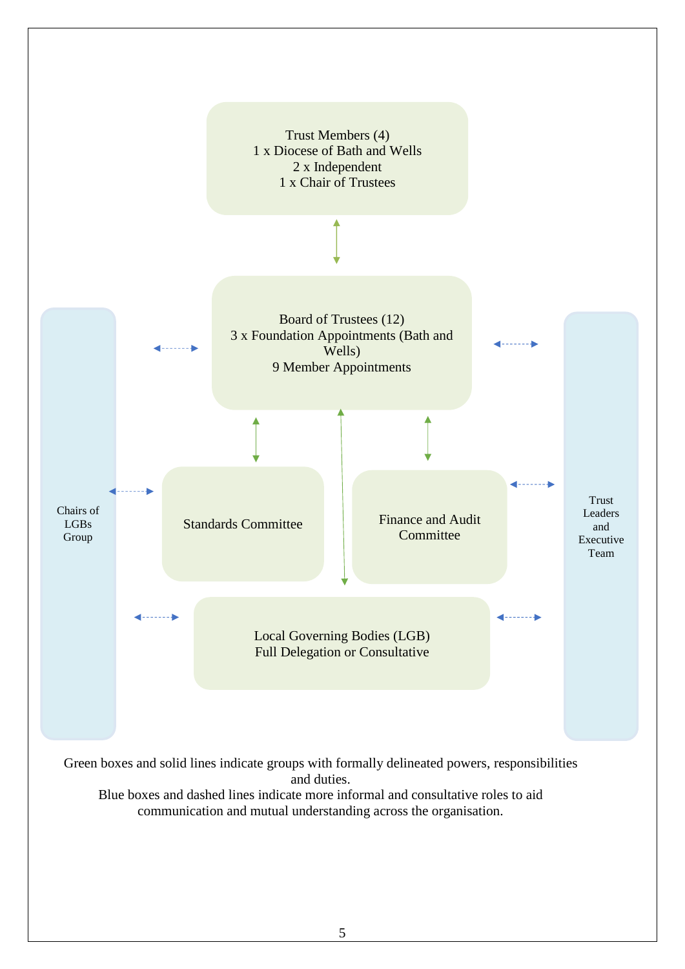

Green boxes and solid lines indicate groups with formally delineated powers, responsibilities and duties.

Blue boxes and dashed lines indicate more informal and consultative roles to aid communication and mutual understanding across the organisation.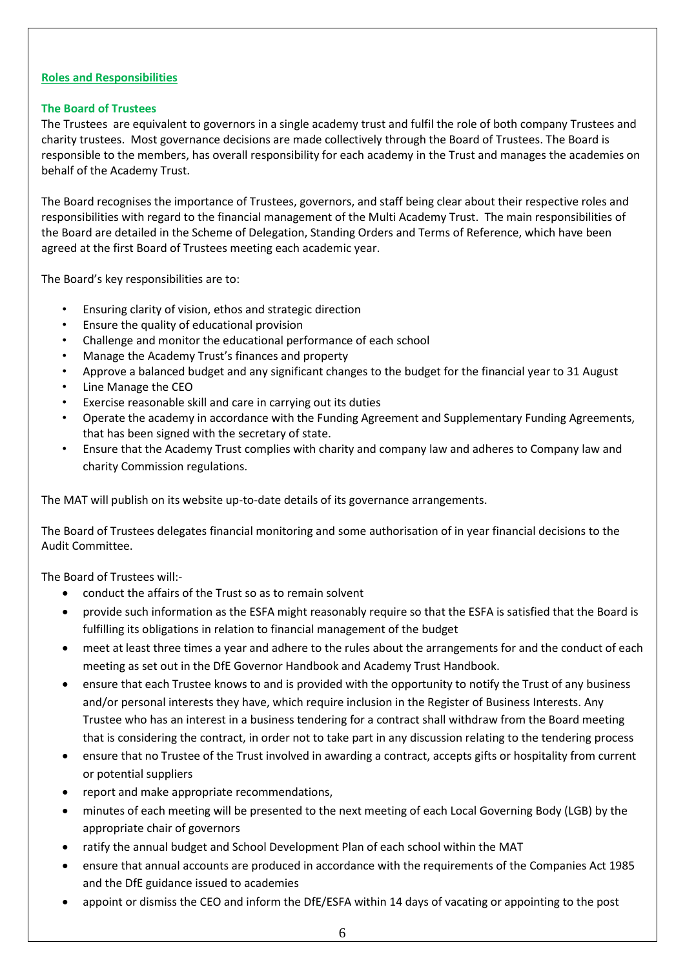#### **Roles and Responsibilities**

### **The Board of Trustees**

The Trustees are equivalent to governors in a single academy trust and fulfil the role of both company Trustees and charity trustees. Most governance decisions are made collectively through the Board of Trustees. The Board is responsible to the members, has overall responsibility for each academy in the Trust and manages the academies on behalf of the Academy Trust.

The Board recognises the importance of Trustees, governors, and staff being clear about their respective roles and responsibilities with regard to the financial management of the Multi Academy Trust. The main responsibilities of the Board are detailed in the Scheme of Delegation, Standing Orders and Terms of Reference, which have been agreed at the first Board of Trustees meeting each academic year.

The Board's key responsibilities are to:

- Ensuring clarity of vision, ethos and strategic direction
- Ensure the quality of educational provision
- Challenge and monitor the educational performance of each school
- Manage the Academy Trust's finances and property
- Approve a balanced budget and any significant changes to the budget for the financial year to 31 August
- Line Manage the CEO
- Exercise reasonable skill and care in carrying out its duties
- Operate the academy in accordance with the Funding Agreement and Supplementary Funding Agreements, that has been signed with the secretary of state.
- Ensure that the Academy Trust complies with charity and company law and adheres to Company law and charity Commission regulations.

The MAT will publish on its website up-to-date details of its governance arrangements.

The Board of Trustees delegates financial monitoring and some authorisation of in year financial decisions to the Audit Committee.

The Board of Trustees will:-

- conduct the affairs of the Trust so as to remain solvent
- provide such information as the ESFA might reasonably require so that the ESFA is satisfied that the Board is fulfilling its obligations in relation to financial management of the budget
- meet at least three times a year and adhere to the rules about the arrangements for and the conduct of each meeting as set out in the DfE Governor Handbook and Academy Trust Handbook.
- ensure that each Trustee knows to and is provided with the opportunity to notify the Trust of any business and/or personal interests they have, which require inclusion in the Register of Business Interests. Any Trustee who has an interest in a business tendering for a contract shall withdraw from the Board meeting that is considering the contract, in order not to take part in any discussion relating to the tendering process
- ensure that no Trustee of the Trust involved in awarding a contract, accepts gifts or hospitality from current or potential suppliers
- report and make appropriate recommendations,
- minutes of each meeting will be presented to the next meeting of each Local Governing Body (LGB) by the appropriate chair of governors
- ratify the annual budget and School Development Plan of each school within the MAT
- ensure that annual accounts are produced in accordance with the requirements of the Companies Act 1985 and the DfE guidance issued to academies
- appoint or dismiss the CEO and inform the DfE/ESFA within 14 days of vacating or appointing to the post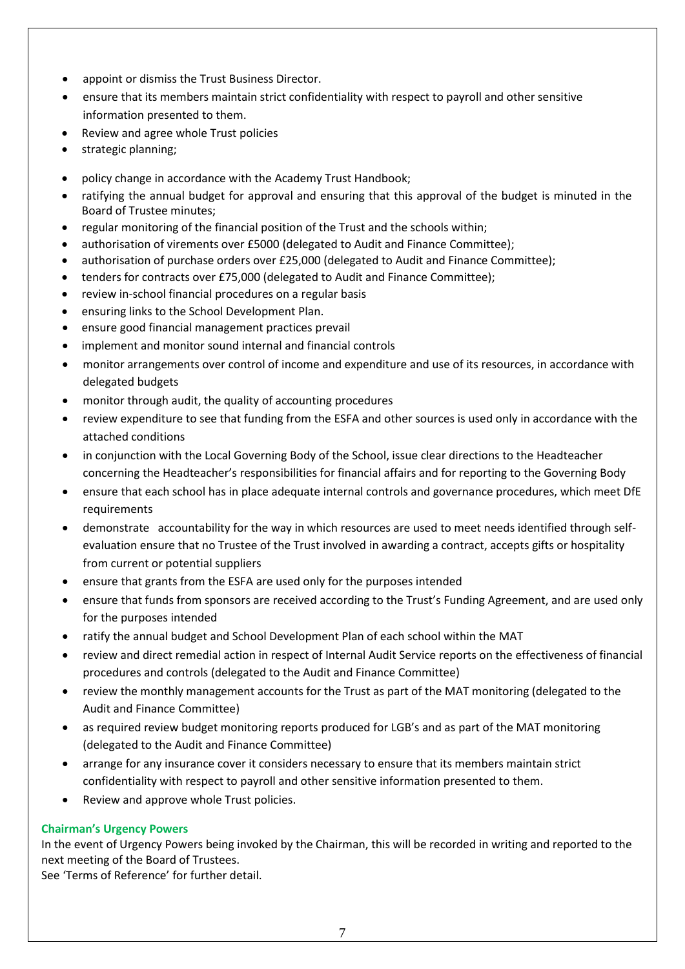- appoint or dismiss the Trust Business Director.
- ensure that its members maintain strict confidentiality with respect to payroll and other sensitive information presented to them.
- Review and agree whole Trust policies
- strategic planning;
- policy change in accordance with the Academy Trust Handbook;
- ratifying the annual budget for approval and ensuring that this approval of the budget is minuted in the Board of Trustee minutes;
- regular monitoring of the financial position of the Trust and the schools within;
- authorisation of virements over £5000 (delegated to Audit and Finance Committee);
- authorisation of purchase orders over £25,000 (delegated to Audit and Finance Committee);
- tenders for contracts over £75,000 (delegated to Audit and Finance Committee);
- review in-school financial procedures on a regular basis
- ensuring links to the School Development Plan.
- ensure good financial management practices prevail
- implement and monitor sound internal and financial controls
- monitor arrangements over control of income and expenditure and use of its resources, in accordance with delegated budgets
- monitor through audit, the quality of accounting procedures
- review expenditure to see that funding from the ESFA and other sources is used only in accordance with the attached conditions
- in conjunction with the Local Governing Body of the School, issue clear directions to the Headteacher concerning the Headteacher's responsibilities for financial affairs and for reporting to the Governing Body
- ensure that each school has in place adequate internal controls and governance procedures, which meet DfE requirements
- demonstrate accountability for the way in which resources are used to meet needs identified through selfevaluation ensure that no Trustee of the Trust involved in awarding a contract, accepts gifts or hospitality from current or potential suppliers
- ensure that grants from the ESFA are used only for the purposes intended
- ensure that funds from sponsors are received according to the Trust's Funding Agreement, and are used only for the purposes intended
- ratify the annual budget and School Development Plan of each school within the MAT
- review and direct remedial action in respect of Internal Audit Service reports on the effectiveness of financial procedures and controls (delegated to the Audit and Finance Committee)
- review the monthly management accounts for the Trust as part of the MAT monitoring (delegated to the Audit and Finance Committee)
- as required review budget monitoring reports produced for LGB's and as part of the MAT monitoring (delegated to the Audit and Finance Committee)
- arrange for any insurance cover it considers necessary to ensure that its members maintain strict confidentiality with respect to payroll and other sensitive information presented to them.
- Review and approve whole Trust policies.

### **Chairman's Urgency Powers**

In the event of Urgency Powers being invoked by the Chairman, this will be recorded in writing and reported to the next meeting of the Board of Trustees.

See 'Terms of Reference' for further detail.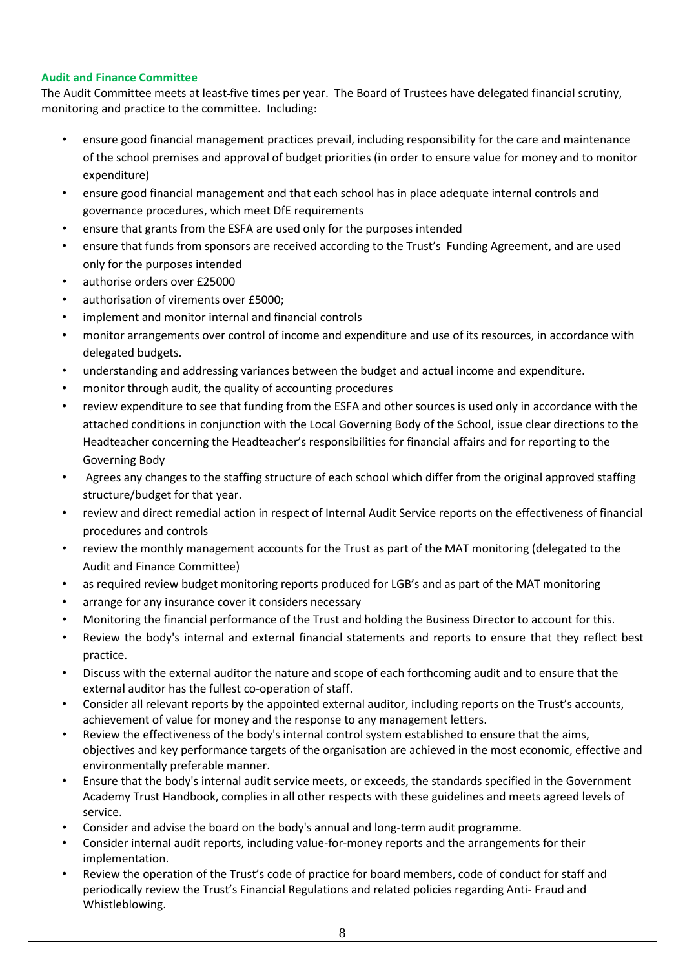### **Audit and Finance Committee**

The Audit Committee meets at least five times per year. The Board of Trustees have delegated financial scrutiny, monitoring and practice to the committee. Including:

- ensure good financial management practices prevail, including responsibility for the care and maintenance of the school premises and approval of budget priorities (in order to ensure value for money and to monitor expenditure)
- ensure good financial management and that each school has in place adequate internal controls and governance procedures, which meet DfE requirements
- ensure that grants from the ESFA are used only for the purposes intended
- ensure that funds from sponsors are received according to the Trust's Funding Agreement, and are used only for the purposes intended
- authorise orders over £25000
- authorisation of virements over £5000;
- implement and monitor internal and financial controls
- monitor arrangements over control of income and expenditure and use of its resources, in accordance with delegated budgets.
- understanding and addressing variances between the budget and actual income and expenditure.
- monitor through audit, the quality of accounting procedures
- review expenditure to see that funding from the ESFA and other sources is used only in accordance with the attached conditions in conjunction with the Local Governing Body of the School, issue clear directions to the Headteacher concerning the Headteacher's responsibilities for financial affairs and for reporting to the Governing Body
- Agrees any changes to the staffing structure of each school which differ from the original approved staffing structure/budget for that year.
- review and direct remedial action in respect of Internal Audit Service reports on the effectiveness of financial procedures and controls
- review the monthly management accounts for the Trust as part of the MAT monitoring (delegated to the Audit and Finance Committee)
- as required review budget monitoring reports produced for LGB's and as part of the MAT monitoring
- arrange for any insurance cover it considers necessary
- Monitoring the financial performance of the Trust and holding the Business Director to account for this.
- Review the body's internal and external financial statements and reports to ensure that they reflect best practice.
- Discuss with the external auditor the nature and scope of each forthcoming audit and to ensure that the external auditor has the fullest co-operation of staff.
- Consider all relevant reports by the appointed external auditor, including reports on the Trust's accounts, achievement of value for money and the response to any management letters.
- Review the effectiveness of the body's internal control system established to ensure that the aims, objectives and key performance targets of the organisation are achieved in the most economic, effective and environmentally preferable manner.
- Ensure that the body's internal audit service meets, or exceeds, the standards specified in the Government Academy Trust Handbook, complies in all other respects with these guidelines and meets agreed levels of service.
- Consider and advise the board on the body's annual and long-term audit programme.
- Consider internal audit reports, including value-for-money reports and the arrangements for their implementation.
- Review the operation of the Trust's code of practice for board members, code of conduct for staff and periodically review the Trust's Financial Regulations and related policies regarding Anti- Fraud and Whistleblowing.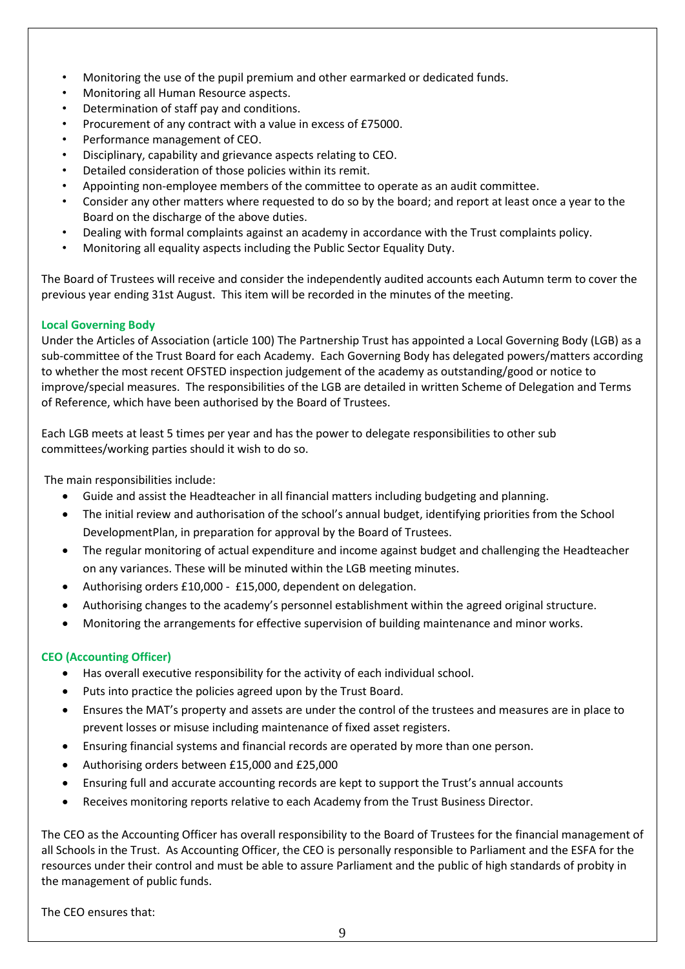- Monitoring the use of the pupil premium and other earmarked or dedicated funds.
- Monitoring all Human Resource aspects.
- Determination of staff pay and conditions.
- Procurement of any contract with a value in excess of £75000.
- Performance management of CEO.
- Disciplinary, capability and grievance aspects relating to CEO.
- Detailed consideration of those policies within its remit.
- Appointing non-employee members of the committee to operate as an audit committee.
- Consider any other matters where requested to do so by the board; and report at least once a year to the Board on the discharge of the above duties.
- Dealing with formal complaints against an academy in accordance with the Trust complaints policy.
- Monitoring all equality aspects including the Public Sector Equality Duty.

The Board of Trustees will receive and consider the independently audited accounts each Autumn term to cover the previous year ending 31st August. This item will be recorded in the minutes of the meeting.

### **Local Governing Body**

Under the Articles of Association (article 100) The Partnership Trust has appointed a Local Governing Body (LGB) as a sub-committee of the Trust Board for each Academy. Each Governing Body has delegated powers/matters according to whether the most recent OFSTED inspection judgement of the academy as outstanding/good or notice to improve/special measures. The responsibilities of the LGB are detailed in written Scheme of Delegation and Terms of Reference, which have been authorised by the Board of Trustees.

Each LGB meets at least 5 times per year and has the power to delegate responsibilities to other sub committees/working parties should it wish to do so.

The main responsibilities include:

- Guide and assist the Headteacher in all financial matters including budgeting and planning.
- The initial review and authorisation of the school's annual budget, identifying priorities from the School DevelopmentPlan, in preparation for approval by the Board of Trustees.
- The regular monitoring of actual expenditure and income against budget and challenging the Headteacher on any variances. These will be minuted within the LGB meeting minutes.
- Authorising orders £10,000 £15,000, dependent on delegation.
- Authorising changes to the academy's personnel establishment within the agreed original structure.
- Monitoring the arrangements for effective supervision of building maintenance and minor works.

### **CEO (Accounting Officer)**

- Has overall executive responsibility for the activity of each individual school.
- Puts into practice the policies agreed upon by the Trust Board.
- Ensures the MAT's property and assets are under the control of the trustees and measures are in place to prevent losses or misuse including maintenance of fixed asset registers.
- Ensuring financial systems and financial records are operated by more than one person.
- Authorising orders between £15,000 and £25,000
- Ensuring full and accurate accounting records are kept to support the Trust's annual accounts
- Receives monitoring reports relative to each Academy from the Trust Business Director.

The CEO as the Accounting Officer has overall responsibility to the Board of Trustees for the financial management of all Schools in the Trust. As Accounting Officer, the CEO is personally responsible to Parliament and the ESFA for the resources under their control and must be able to assure Parliament and the public of high standards of probity in the management of public funds.

The CEO ensures that: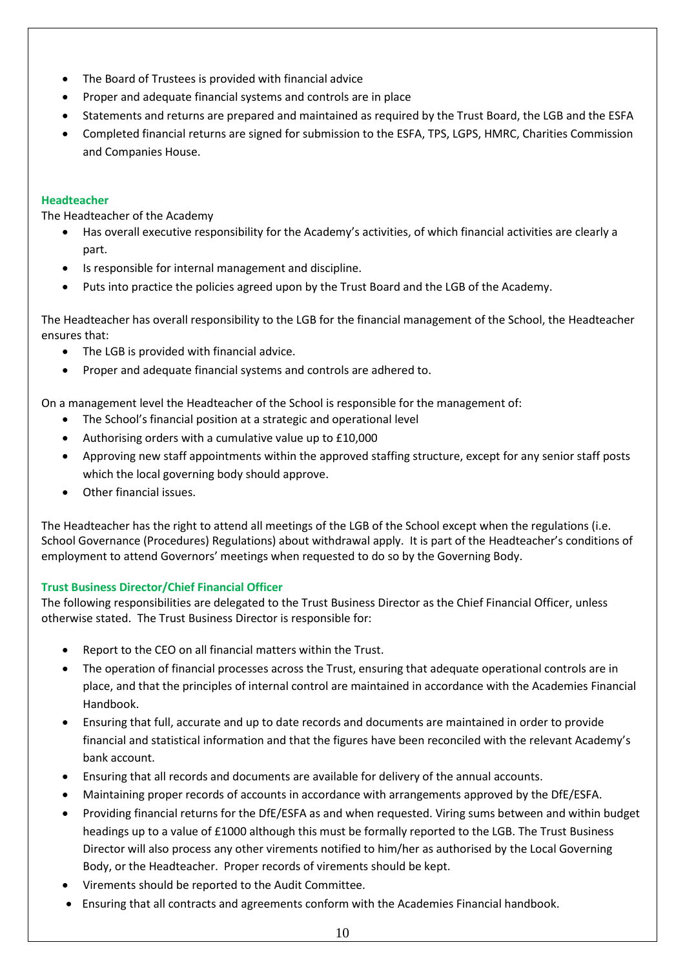- The Board of Trustees is provided with financial advice
- Proper and adequate financial systems and controls are in place
- Statements and returns are prepared and maintained as required by the Trust Board, the LGB and the ESFA
- Completed financial returns are signed for submission to the ESFA, TPS, LGPS, HMRC, Charities Commission and Companies House.

### **Headteacher**

The Headteacher of the Academy

- Has overall executive responsibility for the Academy's activities, of which financial activities are clearly a part.
- Is responsible for internal management and discipline.
- Puts into practice the policies agreed upon by the Trust Board and the LGB of the Academy.

The Headteacher has overall responsibility to the LGB for the financial management of the School, the Headteacher ensures that:

- The LGB is provided with financial advice.
- Proper and adequate financial systems and controls are adhered to.

On a management level the Headteacher of the School is responsible for the management of:

- The School's financial position at a strategic and operational level
- Authorising orders with a cumulative value up to £10,000
- Approving new staff appointments within the approved staffing structure, except for any senior staff posts which the local governing body should approve.
- Other financial issues.

The Headteacher has the right to attend all meetings of the LGB of the School except when the regulations (i.e. School Governance (Procedures) Regulations) about withdrawal apply. It is part of the Headteacher's conditions of employment to attend Governors' meetings when requested to do so by the Governing Body.

### **Trust Business Director/Chief Financial Officer**

The following responsibilities are delegated to the Trust Business Director as the Chief Financial Officer, unless otherwise stated. The Trust Business Director is responsible for:

- Report to the CEO on all financial matters within the Trust.
- The operation of financial processes across the Trust, ensuring that adequate operational controls are in place, and that the principles of internal control are maintained in accordance with the Academies Financial Handbook.
- Ensuring that full, accurate and up to date records and documents are maintained in order to provide financial and statistical information and that the figures have been reconciled with the relevant Academy's bank account.
- Ensuring that all records and documents are available for delivery of the annual accounts.
- Maintaining proper records of accounts in accordance with arrangements approved by the DfE/ESFA.
- Providing financial returns for the DfE/ESFA as and when requested. Viring sums between and within budget headings up to a value of £1000 although this must be formally reported to the LGB. The Trust Business Director will also process any other virements notified to him/her as authorised by the Local Governing Body, or the Headteacher. Proper records of virements should be kept.
- Virements should be reported to the Audit Committee.
- Ensuring that all contracts and agreements conform with the Academies Financial handbook.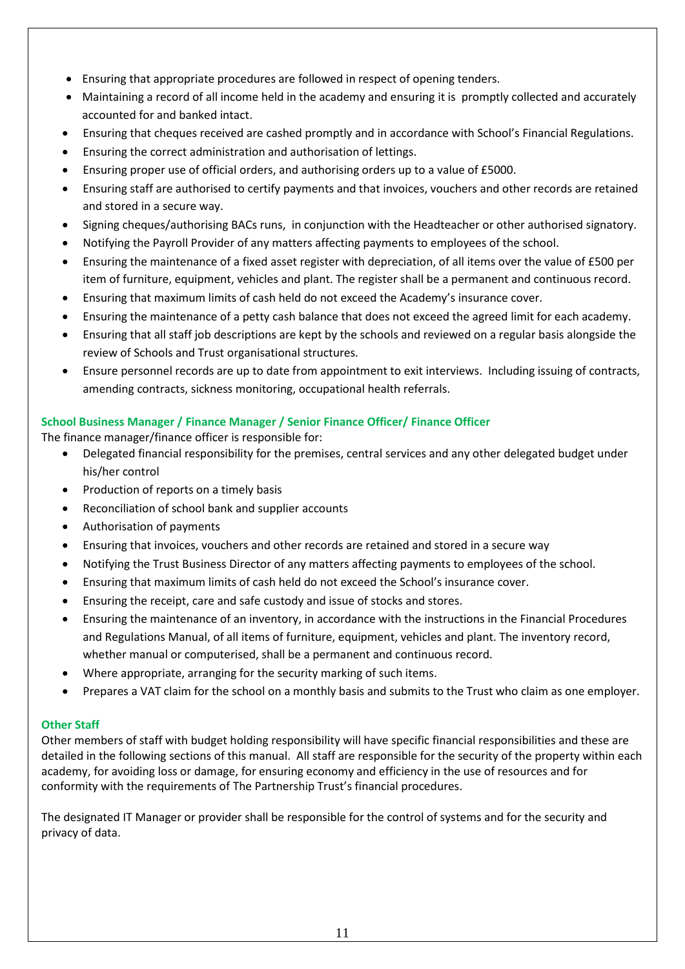- Ensuring that appropriate procedures are followed in respect of opening tenders.
- Maintaining a record of all income held in the academy and ensuring it is promptly collected and accurately accounted for and banked intact.
- Ensuring that cheques received are cashed promptly and in accordance with School's Financial Regulations.
- Ensuring the correct administration and authorisation of lettings.
- Ensuring proper use of official orders, and authorising orders up to a value of £5000.
- Ensuring staff are authorised to certify payments and that invoices, vouchers and other records are retained and stored in a secure way.
- Signing cheques/authorising BACs runs, in conjunction with the Headteacher or other authorised signatory.
- Notifying the Payroll Provider of any matters affecting payments to employees of the school.
- Ensuring the maintenance of a fixed asset register with depreciation, of all items over the value of £500 per item of furniture, equipment, vehicles and plant. The register shall be a permanent and continuous record.
- Ensuring that maximum limits of cash held do not exceed the Academy's insurance cover.
- Ensuring the maintenance of a petty cash balance that does not exceed the agreed limit for each academy.
- Ensuring that all staff job descriptions are kept by the schools and reviewed on a regular basis alongside the review of Schools and Trust organisational structures.
- Ensure personnel records are up to date from appointment to exit interviews. Including issuing of contracts, amending contracts, sickness monitoring, occupational health referrals.

### **School Business Manager / Finance Manager / Senior Finance Officer/ Finance Officer**

The finance manager/finance officer is responsible for:

- Delegated financial responsibility for the premises, central services and any other delegated budget under his/her control
- Production of reports on a timely basis
- Reconciliation of school bank and supplier accounts
- Authorisation of payments
- Ensuring that invoices, vouchers and other records are retained and stored in a secure way
- Notifying the Trust Business Director of any matters affecting payments to employees of the school.
- Ensuring that maximum limits of cash held do not exceed the School's insurance cover.
- Ensuring the receipt, care and safe custody and issue of stocks and stores.
- Ensuring the maintenance of an inventory, in accordance with the instructions in the Financial Procedures and Regulations Manual, of all items of furniture, equipment, vehicles and plant. The inventory record, whether manual or computerised, shall be a permanent and continuous record.
- Where appropriate, arranging for the security marking of such items.
- Prepares a VAT claim for the school on a monthly basis and submits to the Trust who claim as one employer.

### **Other Staff**

Other members of staff with budget holding responsibility will have specific financial responsibilities and these are detailed in the following sections of this manual. All staff are responsible for the security of the property within each academy, for avoiding loss or damage, for ensuring economy and efficiency in the use of resources and for conformity with the requirements of The Partnership Trust's financial procedures.

The designated IT Manager or provider shall be responsible for the control of systems and for the security and privacy of data.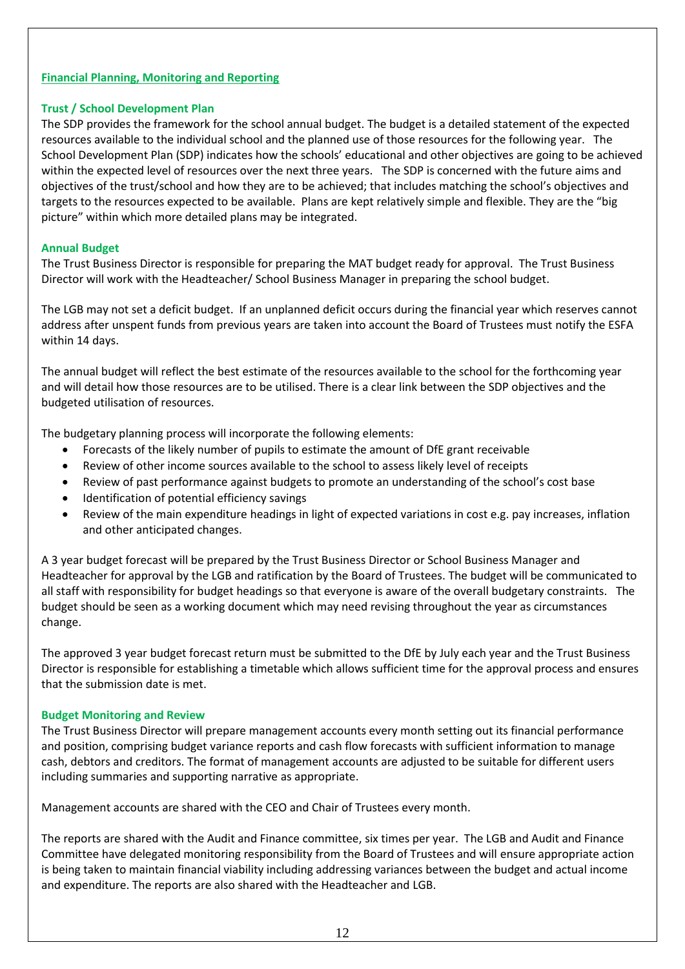### **Financial Planning, Monitoring and Reporting**

### **Trust / School Development Plan**

The SDP provides the framework for the school annual budget. The budget is a detailed statement of the expected resources available to the individual school and the planned use of those resources for the following year. The School Development Plan (SDP) indicates how the schools' educational and other objectives are going to be achieved within the expected level of resources over the next three years. The SDP is concerned with the future aims and objectives of the trust/school and how they are to be achieved; that includes matching the school's objectives and targets to the resources expected to be available. Plans are kept relatively simple and flexible. They are the "big picture" within which more detailed plans may be integrated.

### **Annual Budget**

The Trust Business Director is responsible for preparing the MAT budget ready for approval. The Trust Business Director will work with the Headteacher/ School Business Manager in preparing the school budget.

The LGB may not set a deficit budget. If an unplanned deficit occurs during the financial year which reserves cannot address after unspent funds from previous years are taken into account the Board of Trustees must notify the ESFA within 14 days.

The annual budget will reflect the best estimate of the resources available to the school for the forthcoming year and will detail how those resources are to be utilised. There is a clear link between the SDP objectives and the budgeted utilisation of resources.

The budgetary planning process will incorporate the following elements:

- Forecasts of the likely number of pupils to estimate the amount of DfE grant receivable
- Review of other income sources available to the school to assess likely level of receipts
- Review of past performance against budgets to promote an understanding of the school's cost base
- Identification of potential efficiency savings
- Review of the main expenditure headings in light of expected variations in cost e.g. pay increases, inflation and other anticipated changes.

A 3 year budget forecast will be prepared by the Trust Business Director or School Business Manager and Headteacher for approval by the LGB and ratification by the Board of Trustees. The budget will be communicated to all staff with responsibility for budget headings so that everyone is aware of the overall budgetary constraints. The budget should be seen as a working document which may need revising throughout the year as circumstances change.

The approved 3 year budget forecast return must be submitted to the DfE by July each year and the Trust Business Director is responsible for establishing a timetable which allows sufficient time for the approval process and ensures that the submission date is met.

#### **Budget Monitoring and Review**

The Trust Business Director will prepare management accounts every month setting out its financial performance and position, comprising budget variance reports and cash flow forecasts with sufficient information to manage cash, debtors and creditors. The format of management accounts are adjusted to be suitable for different users including summaries and supporting narrative as appropriate.

Management accounts are shared with the CEO and Chair of Trustees every month.

The reports are shared with the Audit and Finance committee, six times per year. The LGB and Audit and Finance Committee have delegated monitoring responsibility from the Board of Trustees and will ensure appropriate action is being taken to maintain financial viability including addressing variances between the budget and actual income and expenditure. The reports are also shared with the Headteacher and LGB.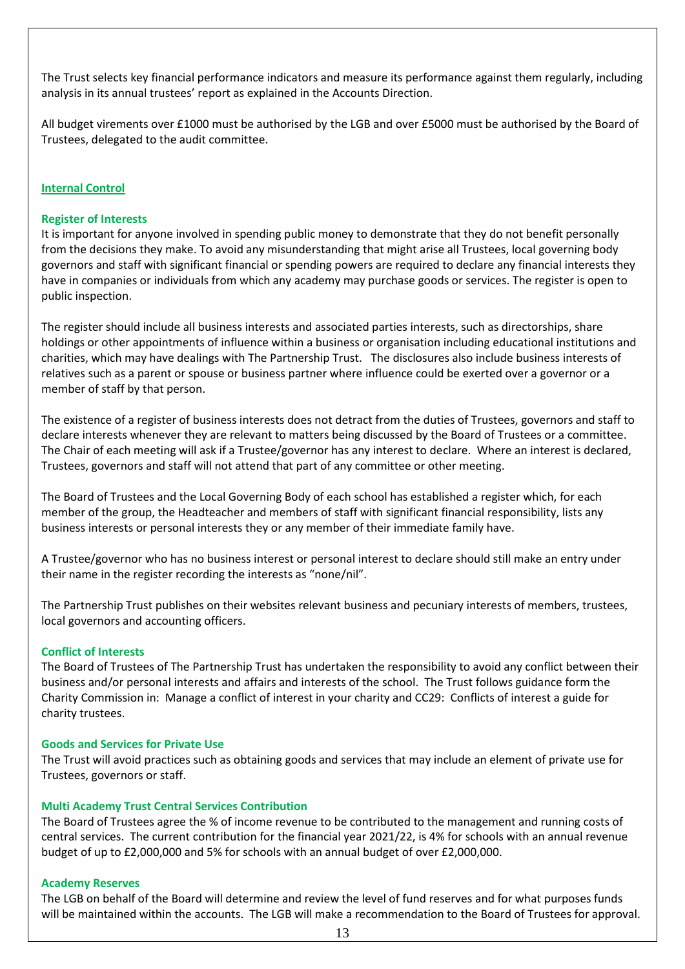The Trust selects key financial performance indicators and measure its performance against them regularly, including analysis in its annual trustees' report as explained in the Accounts Direction.

All budget virements over £1000 must be authorised by the LGB and over £5000 must be authorised by the Board of Trustees, delegated to the audit committee.

#### **Internal Control**

#### **Register of Interests**

It is important for anyone involved in spending public money to demonstrate that they do not benefit personally from the decisions they make. To avoid any misunderstanding that might arise all Trustees, local governing body governors and staff with significant financial or spending powers are required to declare any financial interests they have in companies or individuals from which any academy may purchase goods or services. The register is open to public inspection.

The register should include all business interests and associated parties interests, such as directorships, share holdings or other appointments of influence within a business or organisation including educational institutions and charities, which may have dealings with The Partnership Trust. The disclosures also include business interests of relatives such as a parent or spouse or business partner where influence could be exerted over a governor or a member of staff by that person.

The existence of a register of business interests does not detract from the duties of Trustees, governors and staff to declare interests whenever they are relevant to matters being discussed by the Board of Trustees or a committee. The Chair of each meeting will ask if a Trustee/governor has any interest to declare. Where an interest is declared, Trustees, governors and staff will not attend that part of any committee or other meeting.

The Board of Trustees and the Local Governing Body of each school has established a register which, for each member of the group, the Headteacher and members of staff with significant financial responsibility, lists any business interests or personal interests they or any member of their immediate family have.

A Trustee/governor who has no business interest or personal interest to declare should still make an entry under their name in the register recording the interests as "none/nil".

The Partnership Trust publishes on their websites relevant business and pecuniary interests of members, trustees, local governors and accounting officers.

#### **Conflict of Interests**

The Board of Trustees of The Partnership Trust has undertaken the responsibility to avoid any conflict between their business and/or personal interests and affairs and interests of the school. The Trust follows guidance form the Charity Commission in: Manage a conflict of interest in your charity and CC29: Conflicts of interest a guide for charity trustees.

#### **Goods and Services for Private Use**

The Trust will avoid practices such as obtaining goods and services that may include an element of private use for Trustees, governors or staff.

#### **Multi Academy Trust Central Services Contribution**

The Board of Trustees agree the % of income revenue to be contributed to the management and running costs of central services. The current contribution for the financial year 2021/22, is 4% for schools with an annual revenue budget of up to £2,000,000 and 5% for schools with an annual budget of over £2,000,000.

#### **Academy Reserves**

The LGB on behalf of the Board will determine and review the level of fund reserves and for what purposes funds will be maintained within the accounts. The LGB will make a recommendation to the Board of Trustees for approval.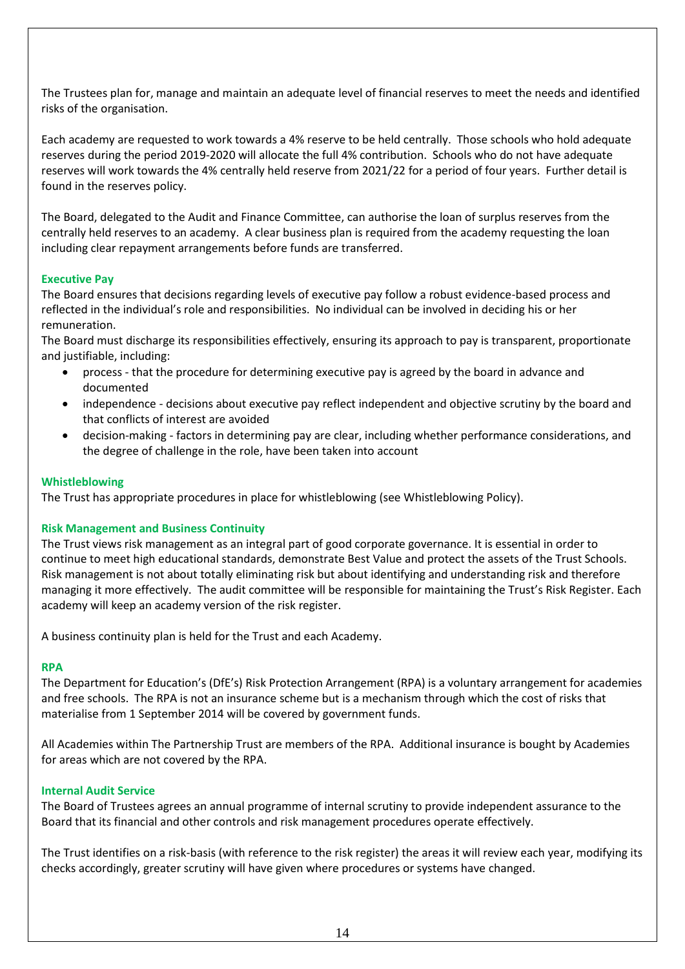The Trustees plan for, manage and maintain an adequate level of financial reserves to meet the needs and identified risks of the organisation.

Each academy are requested to work towards a 4% reserve to be held centrally. Those schools who hold adequate reserves during the period 2019-2020 will allocate the full 4% contribution. Schools who do not have adequate reserves will work towards the 4% centrally held reserve from 2021/22 for a period of four years. Further detail is found in the reserves policy.

The Board, delegated to the Audit and Finance Committee, can authorise the loan of surplus reserves from the centrally held reserves to an academy. A clear business plan is required from the academy requesting the loan including clear repayment arrangements before funds are transferred.

### **Executive Pay**

The Board ensures that decisions regarding levels of executive pay follow a robust evidence-based process and reflected in the individual's role and responsibilities. No individual can be involved in deciding his or her remuneration.

The Board must discharge its responsibilities effectively, ensuring its approach to pay is transparent, proportionate and justifiable, including:

- process that the procedure for determining executive pay is agreed by the board in advance and documented
- independence decisions about executive pay reflect independent and objective scrutiny by the board and that conflicts of interest are avoided
- decision-making factors in determining pay are clear, including whether performance considerations, and the degree of challenge in the role, have been taken into account

#### **Whistleblowing**

The Trust has appropriate procedures in place for whistleblowing (see Whistleblowing Policy).

#### **Risk Management and Business Continuity**

The Trust views risk management as an integral part of good corporate governance. It is essential in order to continue to meet high educational standards, demonstrate Best Value and protect the assets of the Trust Schools. Risk management is not about totally eliminating risk but about identifying and understanding risk and therefore managing it more effectively. The audit committee will be responsible for maintaining the Trust's Risk Register. Each academy will keep an academy version of the risk register.

A business continuity plan is held for the Trust and each Academy.

#### **RPA**

The Department for Education's (DfE's) Risk Protection Arrangement (RPA) is a voluntary arrangement for academies and free schools. The RPA is not an insurance scheme but is a mechanism through which the cost of risks that materialise from 1 September 2014 will be covered by government funds.

All Academies within The Partnership Trust are members of the RPA. Additional insurance is bought by Academies for areas which are not covered by the RPA.

#### **Internal Audit Service**

The Board of Trustees agrees an annual programme of internal scrutiny to provide independent assurance to the Board that its financial and other controls and risk management procedures operate effectively.

The Trust identifies on a risk-basis (with reference to the risk register) the areas it will review each year, modifying its checks accordingly, greater scrutiny will have given where procedures or systems have changed.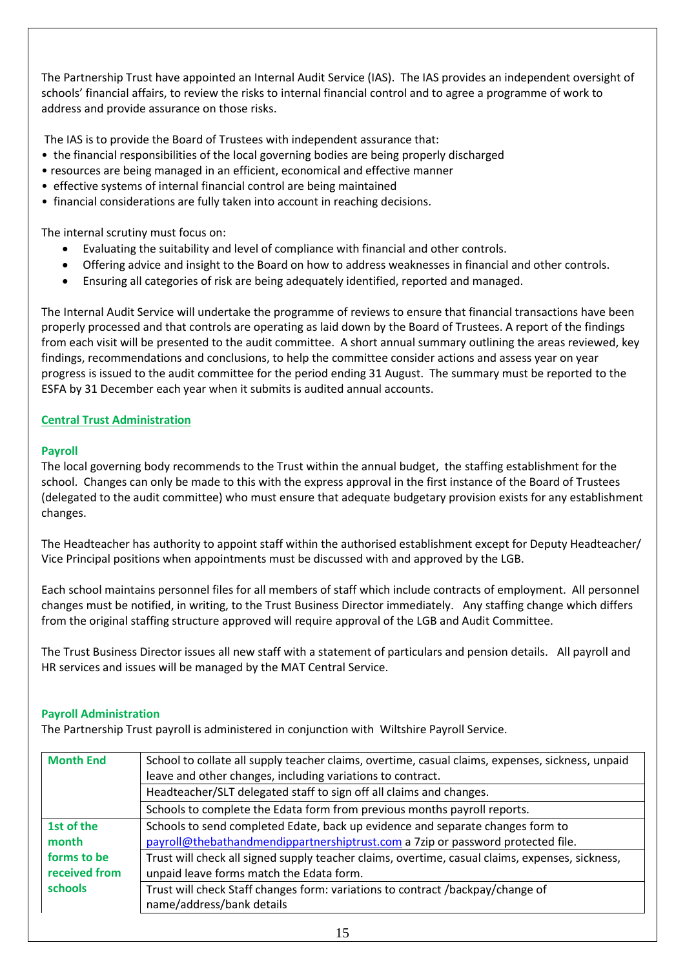The Partnership Trust have appointed an Internal Audit Service (IAS). The IAS provides an independent oversight of schools' financial affairs, to review the risks to internal financial control and to agree a programme of work to address and provide assurance on those risks.

The IAS is to provide the Board of Trustees with independent assurance that:

- the financial responsibilities of the local governing bodies are being properly discharged
- resources are being managed in an efficient, economical and effective manner
- effective systems of internal financial control are being maintained
- financial considerations are fully taken into account in reaching decisions.

The internal scrutiny must focus on:

- Evaluating the suitability and level of compliance with financial and other controls.
- Offering advice and insight to the Board on how to address weaknesses in financial and other controls.
- Ensuring all categories of risk are being adequately identified, reported and managed.

The Internal Audit Service will undertake the programme of reviews to ensure that financial transactions have been properly processed and that controls are operating as laid down by the Board of Trustees. A report of the findings from each visit will be presented to the audit committee. A short annual summary outlining the areas reviewed, key findings, recommendations and conclusions, to help the committee consider actions and assess year on year progress is issued to the audit committee for the period ending 31 August. The summary must be reported to the ESFA by 31 December each year when it submits is audited annual accounts.

### **Central Trust Administration**

### **Payroll**

The local governing body recommends to the Trust within the annual budget, the staffing establishment for the school. Changes can only be made to this with the express approval in the first instance of the Board of Trustees (delegated to the audit committee) who must ensure that adequate budgetary provision exists for any establishment changes.

The Headteacher has authority to appoint staff within the authorised establishment except for Deputy Headteacher/ Vice Principal positions when appointments must be discussed with and approved by the LGB.

Each school maintains personnel files for all members of staff which include contracts of employment. All personnel changes must be notified, in writing, to the Trust Business Director immediately. Any staffing change which differs from the original staffing structure approved will require approval of the LGB and Audit Committee.

The Trust Business Director issues all new staff with a statement of particulars and pension details. All payroll and HR services and issues will be managed by the MAT Central Service.

#### **Payroll Administration**

The Partnership Trust payroll is administered in conjunction with Wiltshire Payroll Service.

| <b>Month End</b> | School to collate all supply teacher claims, overtime, casual claims, expenses, sickness, unpaid<br>leave and other changes, including variations to contract. |
|------------------|----------------------------------------------------------------------------------------------------------------------------------------------------------------|
|                  | Headteacher/SLT delegated staff to sign off all claims and changes.                                                                                            |
|                  | Schools to complete the Edata form from previous months payroll reports.                                                                                       |
| 1st of the       | Schools to send completed Edate, back up evidence and separate changes form to                                                                                 |
| month            | payroll@thebathandmendippartnershiptrust.com a 7zip or password protected file.                                                                                |
| forms to be      | Trust will check all signed supply teacher claims, overtime, casual claims, expenses, sickness,                                                                |
| received from    | unpaid leave forms match the Edata form.                                                                                                                       |
| <b>schools</b>   | Trust will check Staff changes form: variations to contract /backpay/change of                                                                                 |
|                  | name/address/bank details                                                                                                                                      |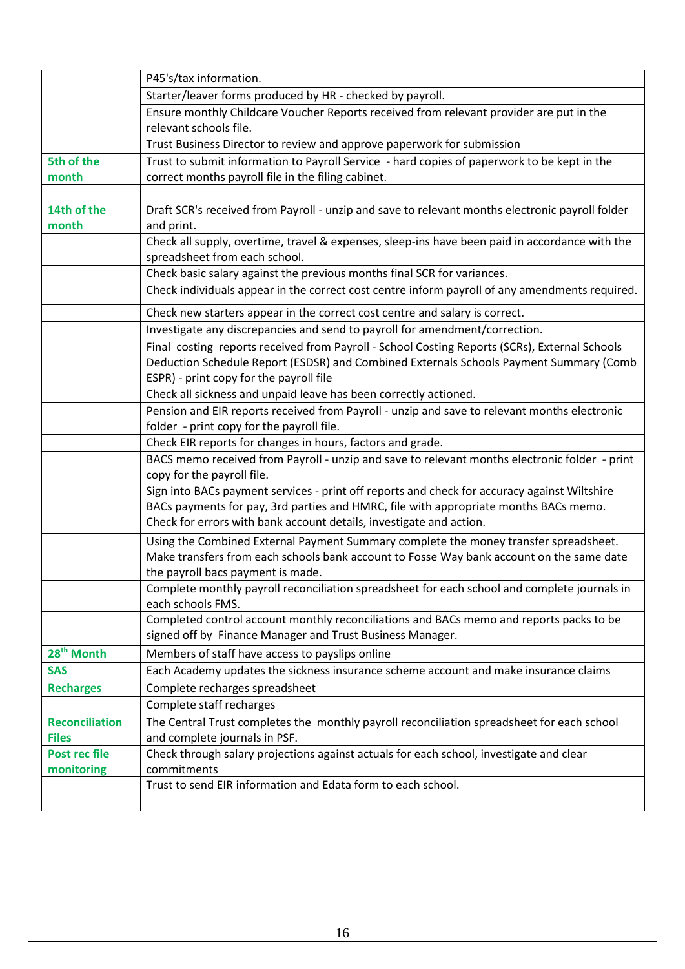|                        | P45's/tax information.                                                                                                          |
|------------------------|---------------------------------------------------------------------------------------------------------------------------------|
|                        | Starter/leaver forms produced by HR - checked by payroll.                                                                       |
|                        | Ensure monthly Childcare Voucher Reports received from relevant provider are put in the                                         |
|                        | relevant schools file.                                                                                                          |
|                        | Trust Business Director to review and approve paperwork for submission                                                          |
| 5th of the             | Trust to submit information to Payroll Service - hard copies of paperwork to be kept in the                                     |
| month                  | correct months payroll file in the filing cabinet.                                                                              |
|                        |                                                                                                                                 |
| 14th of the            | Draft SCR's received from Payroll - unzip and save to relevant months electronic payroll folder                                 |
| month                  | and print.                                                                                                                      |
|                        | Check all supply, overtime, travel & expenses, sleep-ins have been paid in accordance with the<br>spreadsheet from each school. |
|                        | Check basic salary against the previous months final SCR for variances.                                                         |
|                        | Check individuals appear in the correct cost centre inform payroll of any amendments required.                                  |
|                        |                                                                                                                                 |
|                        | Check new starters appear in the correct cost centre and salary is correct.                                                     |
|                        | Investigate any discrepancies and send to payroll for amendment/correction.                                                     |
|                        | Final costing reports received from Payroll - School Costing Reports (SCRs), External Schools                                   |
|                        | Deduction Schedule Report (ESDSR) and Combined Externals Schools Payment Summary (Comb                                          |
|                        | ESPR) - print copy for the payroll file                                                                                         |
|                        | Check all sickness and unpaid leave has been correctly actioned.                                                                |
|                        | Pension and EIR reports received from Payroll - unzip and save to relevant months electronic                                    |
|                        | folder - print copy for the payroll file.                                                                                       |
|                        | Check EIR reports for changes in hours, factors and grade.                                                                      |
|                        | BACS memo received from Payroll - unzip and save to relevant months electronic folder - print                                   |
|                        | copy for the payroll file.                                                                                                      |
|                        | Sign into BACs payment services - print off reports and check for accuracy against Wiltshire                                    |
|                        | BACs payments for pay, 3rd parties and HMRC, file with appropriate months BACs memo.                                            |
|                        | Check for errors with bank account details, investigate and action.                                                             |
|                        | Using the Combined External Payment Summary complete the money transfer spreadsheet.                                            |
|                        | Make transfers from each schools bank account to Fosse Way bank account on the same date                                        |
|                        | the payroll bacs payment is made.                                                                                               |
|                        | Complete monthly payroll reconciliation spreadsheet for each school and complete journals in                                    |
|                        | each schools FMS.                                                                                                               |
|                        | Completed control account monthly reconciliations and BACs memo and reports packs to be                                         |
|                        | signed off by Finance Manager and Trust Business Manager.                                                                       |
| 28 <sup>th</sup> Month | Members of staff have access to payslips online                                                                                 |
| <b>SAS</b>             | Each Academy updates the sickness insurance scheme account and make insurance claims                                            |
| <b>Recharges</b>       | Complete recharges spreadsheet                                                                                                  |
|                        | Complete staff recharges                                                                                                        |
| <b>Reconciliation</b>  | The Central Trust completes the monthly payroll reconciliation spreadsheet for each school                                      |
| <b>Files</b>           | and complete journals in PSF.                                                                                                   |
| Post rec file          | Check through salary projections against actuals for each school, investigate and clear                                         |
| monitoring             | commitments                                                                                                                     |
|                        | Trust to send EIR information and Edata form to each school.                                                                    |
|                        |                                                                                                                                 |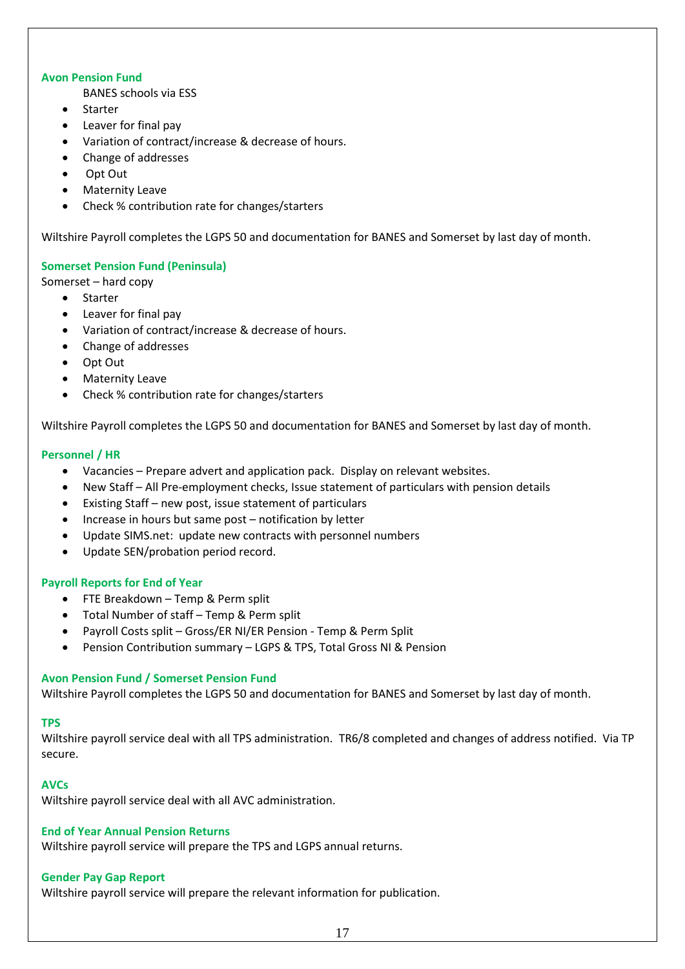#### **Avon Pension Fund**

BANES schools via ESS

- Starter
- Leaver for final pay
- Variation of contract/increase & decrease of hours.
- Change of addresses
- Opt Out
- Maternity Leave
- Check % contribution rate for changes/starters

Wiltshire Payroll completes the LGPS 50 and documentation for BANES and Somerset by last day of month.

### **Somerset Pension Fund (Peninsula)**

Somerset – hard copy

- Starter
- Leaver for final pay
- Variation of contract/increase & decrease of hours.
- Change of addresses
- Opt Out
- Maternity Leave
- Check % contribution rate for changes/starters

Wiltshire Payroll completes the LGPS 50 and documentation for BANES and Somerset by last day of month.

### **Personnel / HR**

- Vacancies Prepare advert and application pack. Display on relevant websites.
- New Staff All Pre-employment checks, Issue statement of particulars with pension details
- Existing Staff new post, issue statement of particulars
- Increase in hours but same post notification by letter
- Update SIMS.net: update new contracts with personnel numbers
- Update SEN/probation period record.

#### **Payroll Reports for End of Year**

- FTE Breakdown Temp & Perm split
- Total Number of staff Temp & Perm split
- Payroll Costs split Gross/ER NI/ER Pension Temp & Perm Split
- Pension Contribution summary LGPS & TPS, Total Gross NI & Pension

#### **Avon Pension Fund / Somerset Pension Fund**

Wiltshire Payroll completes the LGPS 50 and documentation for BANES and Somerset by last day of month.

#### **TPS**

Wiltshire payroll service deal with all TPS administration. TR6/8 completed and changes of address notified. Via TP secure.

#### **AVCs**

Wiltshire payroll service deal with all AVC administration.

#### **End of Year Annual Pension Returns**

Wiltshire payroll service will prepare the TPS and LGPS annual returns.

#### **Gender Pay Gap Report**

Wiltshire payroll service will prepare the relevant information for publication.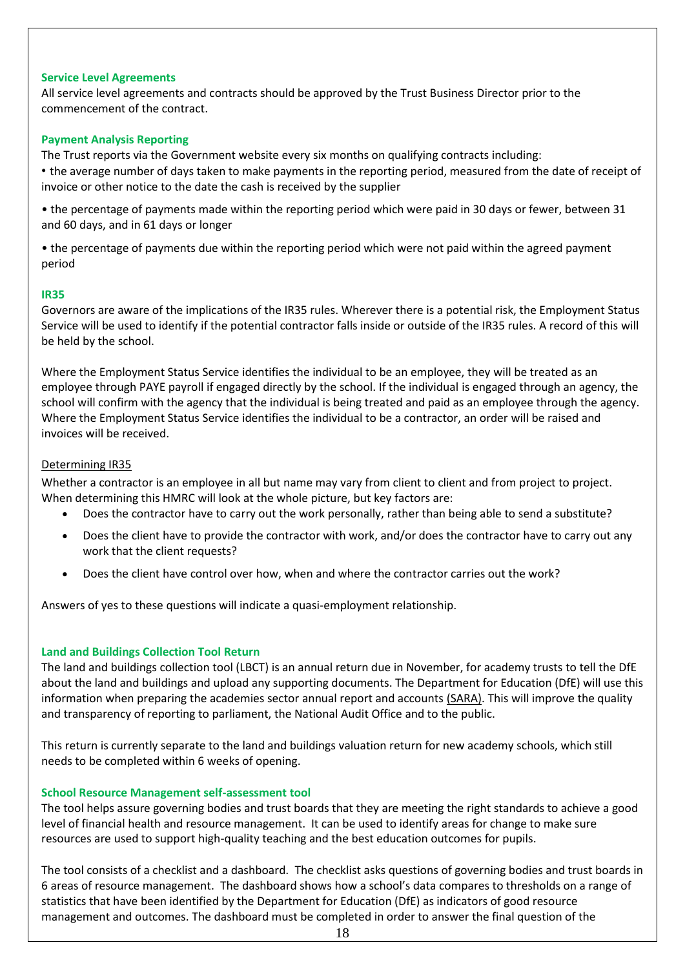#### **Service Level Agreements**

All service level agreements and contracts should be approved by the Trust Business Director prior to the commencement of the contract.

#### **Payment Analysis Reporting**

The Trust reports via the Government website every six months on qualifying contracts including:

• the average number of days taken to make payments in the reporting period, measured from the date of receipt of invoice or other notice to the date the cash is received by the supplier

• the percentage of payments made within the reporting period which were paid in 30 days or fewer, between 31 and 60 days, and in 61 days or longer

• the percentage of payments due within the reporting period which were not paid within the agreed payment period

#### **IR35**

Governors are aware of the implications of the IR35 rules. Wherever there is a potential risk, the Employment Status Service will be used to identify if the potential contractor falls inside or outside of the IR35 rules. A record of this will be held by the school.

Where the Employment Status Service identifies the individual to be an employee, they will be treated as an employee through PAYE payroll if engaged directly by the school. If the individual is engaged through an agency, the school will confirm with the agency that the individual is being treated and paid as an employee through the agency. Where the Employment Status Service identifies the individual to be a contractor, an order will be raised and invoices will be received.

#### Determining IR35

Whether a contractor is an employee in all but name may vary from client to client and from project to project. When determining this HMRC will look at the whole picture, but key factors are:

- Does the contractor have to carry out the work personally, rather than being able to send a substitute?
- Does the client have to provide the contractor with work, and/or does the contractor have to carry out any work that the client requests?
- Does the client have control over how, when and where the contractor carries out the work?

Answers of yes to these questions will indicate a quasi-employment relationship.

### **Land and Buildings Collection Tool Return**

The land and buildings collection tool (LBCT) is an annual return due in November, for academy trusts to tell the DfE about the land and buildings and upload any supporting documents. The Department for Education (DfE) will use this information when preparing the academies sector annual report and accounts [\(SARA\).](https://www.gov.uk/guidance/academies-financial-returns) This will improve the quality and transparency of reporting to parliament, the National Audit Office and to the public.

This return is currently separate to the land and buildings valuation return for new academy schools, which still needs to be completed within 6 weeks of opening.

#### **School Resource Management self-assessment tool**

The tool helps assure governing bodies and trust boards that they are meeting the right standards to achieve a good level of financial health and resource management. It can be used to identify areas for change to make sure resources are used to support high-quality teaching and the best education outcomes for pupils.

The tool consists of a checklist and a dashboard. The checklist asks questions of governing bodies and trust boards in 6 areas of resource management. The dashboard shows how a school's data compares to thresholds on a range of statistics that have been identified by the Department for Education (DfE) as indicators of good resource management and outcomes. The dashboard must be completed in order to answer the final question of the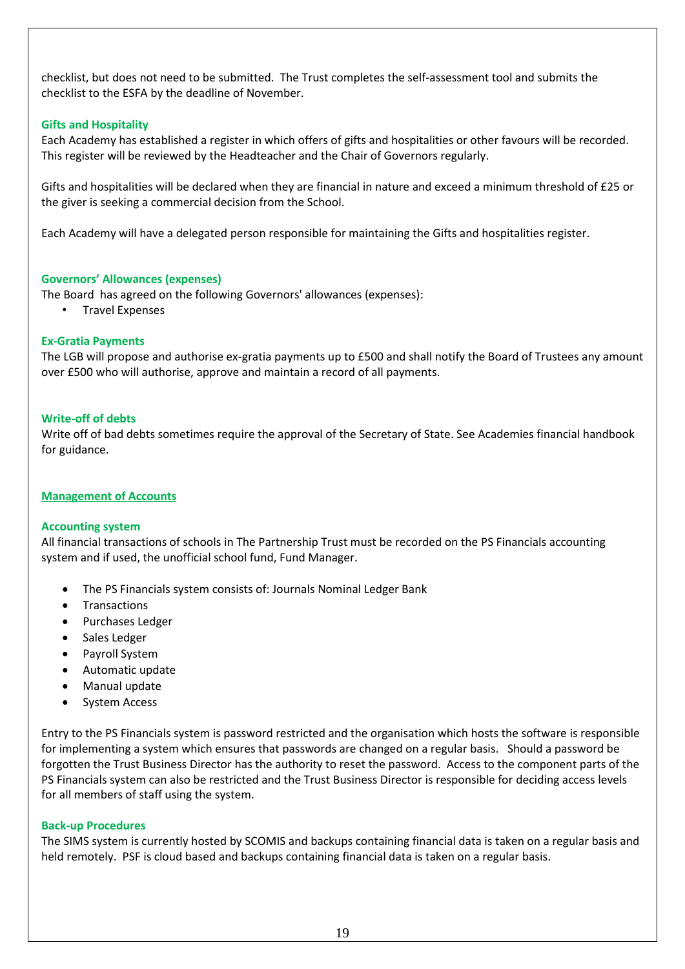checklist, but does not need to be submitted. The Trust completes the self-assessment tool and submits the checklist to the ESFA by the deadline of November.

### **Gifts and Hospitality**

Each Academy has established a register in which offers of gifts and hospitalities or other favours will be recorded. This register will be reviewed by the Headteacher and the Chair of Governors regularly.

Gifts and hospitalities will be declared when they are financial in nature and exceed a minimum threshold of £25 or the giver is seeking a commercial decision from the School.

Each Academy will have a delegated person responsible for maintaining the Gifts and hospitalities register.

#### **Governors' Allowances (expenses)**

The Board has agreed on the following Governors' allowances (expenses):

• Travel Expenses

### **Ex-Gratia Payments**

The LGB will propose and authorise ex-gratia payments up to £500 and shall notify the Board of Trustees any amount over £500 who will authorise, approve and maintain a record of all payments.

#### **Write-off of debts**

Write off of bad debts sometimes require the approval of the Secretary of State. See Academies financial handbook for guidance.

#### **Management of Accounts**

#### **Accounting system**

All financial transactions of schools in The Partnership Trust must be recorded on the PS Financials accounting system and if used, the unofficial school fund, Fund Manager.

- The PS Financials system consists of: Journals Nominal Ledger Bank
- **Transactions**
- Purchases Ledger
- Sales Ledger
- Payroll System
- Automatic update
- Manual update
- System Access

Entry to the PS Financials system is password restricted and the organisation which hosts the software is responsible for implementing a system which ensures that passwords are changed on a regular basis. Should a password be forgotten the Trust Business Director has the authority to reset the password. Access to the component parts of the PS Financials system can also be restricted and the Trust Business Director is responsible for deciding access levels for all members of staff using the system.

#### **Back-up Procedures**

The SIMS system is currently hosted by SCOMIS and backups containing financial data is taken on a regular basis and held remotely. PSF is cloud based and backups containing financial data is taken on a regular basis.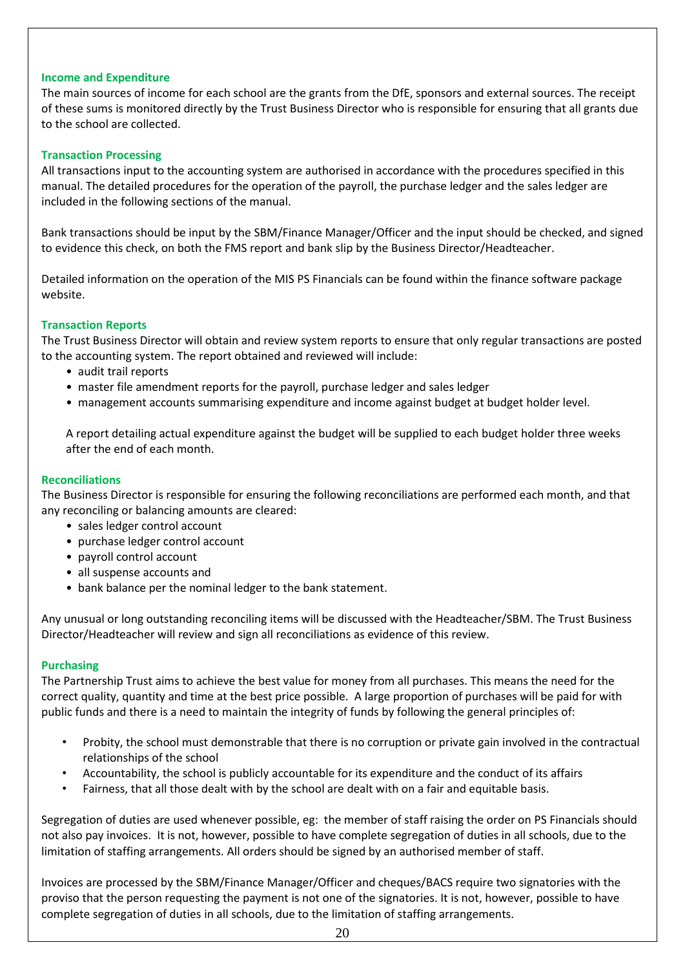#### **Income and Expenditure**

The main sources of income for each school are the grants from the DfE, sponsors and external sources. The receipt of these sums is monitored directly by the Trust Business Director who is responsible for ensuring that all grants due to the school are collected.

#### **Transaction Processing**

All transactions input to the accounting system are authorised in accordance with the procedures specified in this manual. The detailed procedures for the operation of the payroll, the purchase ledger and the sales ledger are included in the following sections of the manual.

Bank transactions should be input by the SBM/Finance Manager/Officer and the input should be checked, and signed to evidence this check, on both the FMS report and bank slip by the Business Director/Headteacher.

Detailed information on the operation of the MIS PS Financials can be found within the finance software package website.

#### **Transaction Reports**

The Trust Business Director will obtain and review system reports to ensure that only regular transactions are posted to the accounting system. The report obtained and reviewed will include:

- audit trail reports
- master file amendment reports for the payroll, purchase ledger and sales ledger
- management accounts summarising expenditure and income against budget at budget holder level.

A report detailing actual expenditure against the budget will be supplied to each budget holder three weeks after the end of each month.

#### **Reconciliations**

The Business Director is responsible for ensuring the following reconciliations are performed each month, and that any reconciling or balancing amounts are cleared:

- sales ledger control account
- purchase ledger control account
- payroll control account
- all suspense accounts and
- bank balance per the nominal ledger to the bank statement.

Any unusual or long outstanding reconciling items will be discussed with the Headteacher/SBM. The Trust Business Director/Headteacher will review and sign all reconciliations as evidence of this review.

#### **Purchasing**

The Partnership Trust aims to achieve the best value for money from all purchases. This means the need for the correct quality, quantity and time at the best price possible. A large proportion of purchases will be paid for with public funds and there is a need to maintain the integrity of funds by following the general principles of:

- Probity, the school must demonstrable that there is no corruption or private gain involved in the contractual relationships of the school
- Accountability, the school is publicly accountable for its expenditure and the conduct of its affairs
- Fairness, that all those dealt with by the school are dealt with on a fair and equitable basis.

Segregation of duties are used whenever possible, eg: the member of staff raising the order on PS Financials should not also pay invoices. It is not, however, possible to have complete segregation of duties in all schools, due to the limitation of staffing arrangements. All orders should be signed by an authorised member of staff.

Invoices are processed by the SBM/Finance Manager/Officer and cheques/BACS require two signatories with the proviso that the person requesting the payment is not one of the signatories. It is not, however, possible to have complete segregation of duties in all schools, due to the limitation of staffing arrangements.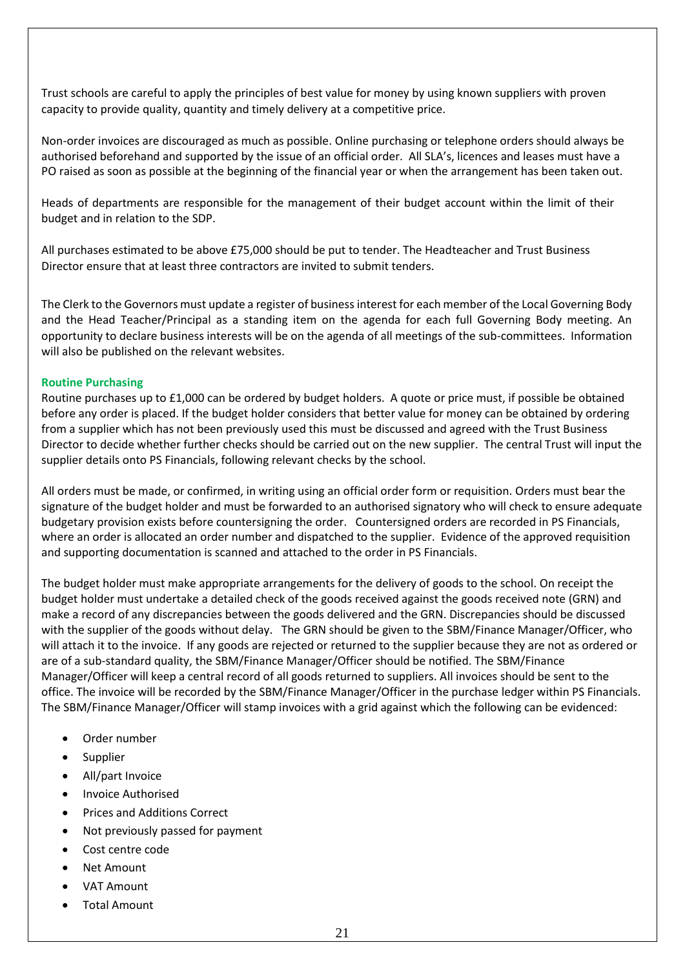Trust schools are careful to apply the principles of best value for money by using known suppliers with proven capacity to provide quality, quantity and timely delivery at a competitive price.

Non-order invoices are discouraged as much as possible. Online purchasing or telephone orders should always be authorised beforehand and supported by the issue of an official order. All SLA's, licences and leases must have a PO raised as soon as possible at the beginning of the financial year or when the arrangement has been taken out.

Heads of departments are responsible for the management of their budget account within the limit of their budget and in relation to the SDP.

All purchases estimated to be above £75,000 should be put to tender. The Headteacher and Trust Business Director ensure that at least three contractors are invited to submit tenders.

The Clerk to the Governors must update a register of business interest for each member of the Local Governing Body and the Head Teacher/Principal as a standing item on the agenda for each full Governing Body meeting. An opportunity to declare business interests will be on the agenda of all meetings of the sub-committees. Information will also be published on the relevant websites.

#### **Routine Purchasing**

Routine purchases up to £1,000 can be ordered by budget holders. A quote or price must, if possible be obtained before any order is placed. If the budget holder considers that better value for money can be obtained by ordering from a supplier which has not been previously used this must be discussed and agreed with the Trust Business Director to decide whether further checks should be carried out on the new supplier. The central Trust will input the supplier details onto PS Financials, following relevant checks by the school.

All orders must be made, or confirmed, in writing using an official order form or requisition. Orders must bear the signature of the budget holder and must be forwarded to an authorised signatory who will check to ensure adequate budgetary provision exists before countersigning the order. Countersigned orders are recorded in PS Financials, where an order is allocated an order number and dispatched to the supplier. Evidence of the approved requisition and supporting documentation is scanned and attached to the order in PS Financials.

The budget holder must make appropriate arrangements for the delivery of goods to the school. On receipt the budget holder must undertake a detailed check of the goods received against the goods received note (GRN) and make a record of any discrepancies between the goods delivered and the GRN. Discrepancies should be discussed with the supplier of the goods without delay. The GRN should be given to the SBM/Finance Manager/Officer, who will attach it to the invoice. If any goods are rejected or returned to the supplier because they are not as ordered or are of a sub-standard quality, the SBM/Finance Manager/Officer should be notified. The SBM/Finance Manager/Officer will keep a central record of all goods returned to suppliers. All invoices should be sent to the office. The invoice will be recorded by the SBM/Finance Manager/Officer in the purchase ledger within PS Financials. The SBM/Finance Manager/Officer will stamp invoices with a grid against which the following can be evidenced:

- Order number
- Supplier
- All/part Invoice
- Invoice Authorised
- Prices and Additions Correct
- Not previously passed for payment
- Cost centre code
- **Net Amount**
- VAT Amount
- Total Amount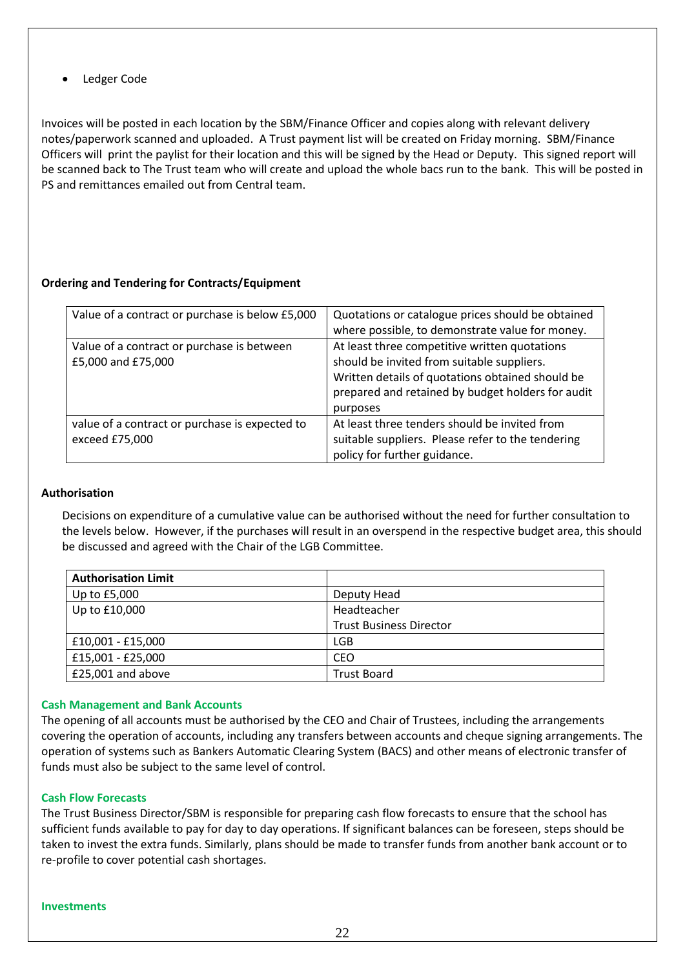Ledger Code

Invoices will be posted in each location by the SBM/Finance Officer and copies along with relevant delivery notes/paperwork scanned and uploaded. A Trust payment list will be created on Friday morning. SBM/Finance Officers will print the paylist for their location and this will be signed by the Head or Deputy. This signed report will be scanned back to The Trust team who will create and upload the whole bacs run to the bank. This will be posted in PS and remittances emailed out from Central team.

### **Ordering and Tendering for Contracts/Equipment**

| Value of a contract or purchase is below £5,000                  | Quotations or catalogue prices should be obtained<br>where possible, to demonstrate value for money.                                                                                                             |
|------------------------------------------------------------------|------------------------------------------------------------------------------------------------------------------------------------------------------------------------------------------------------------------|
| Value of a contract or purchase is between<br>£5,000 and £75,000 | At least three competitive written quotations<br>should be invited from suitable suppliers.<br>Written details of quotations obtained should be<br>prepared and retained by budget holders for audit<br>purposes |
| value of a contract or purchase is expected to<br>exceed £75,000 | At least three tenders should be invited from<br>suitable suppliers. Please refer to the tendering<br>policy for further guidance.                                                                               |

### **Authorisation**

Decisions on expenditure of a cumulative value can be authorised without the need for further consultation to the levels below. However, if the purchases will result in an overspend in the respective budget area, this should be discussed and agreed with the Chair of the LGB Committee.

| <b>Authorisation Limit</b> |                                |
|----------------------------|--------------------------------|
| Up to £5,000               | Deputy Head                    |
| Up to £10,000              | Headteacher                    |
|                            | <b>Trust Business Director</b> |
| £10,001 - £15,000          | <b>LGB</b>                     |
| £15,001 - £25,000          | CEO                            |
| £25,001 and above          | <b>Trust Board</b>             |

#### **Cash Management and Bank Accounts**

The opening of all accounts must be authorised by the CEO and Chair of Trustees, including the arrangements covering the operation of accounts, including any transfers between accounts and cheque signing arrangements. The operation of systems such as Bankers Automatic Clearing System (BACS) and other means of electronic transfer of funds must also be subject to the same level of control.

#### **Cash Flow Forecasts**

The Trust Business Director/SBM is responsible for preparing cash flow forecasts to ensure that the school has sufficient funds available to pay for day to day operations. If significant balances can be foreseen, steps should be taken to invest the extra funds. Similarly, plans should be made to transfer funds from another bank account or to re-profile to cover potential cash shortages.

#### **Investments**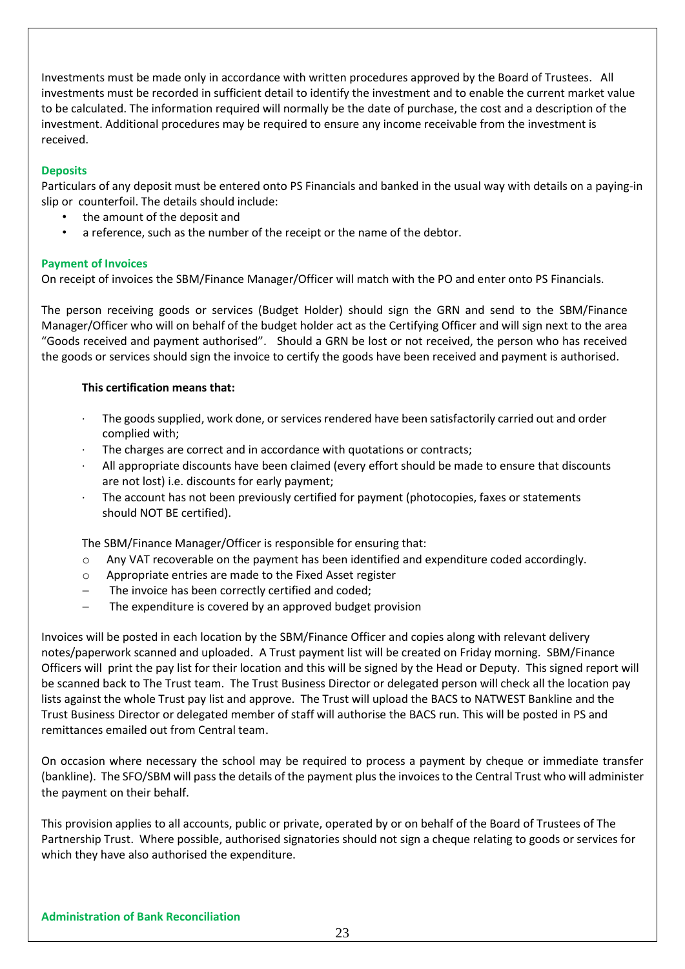Investments must be made only in accordance with written procedures approved by the Board of Trustees. All investments must be recorded in sufficient detail to identify the investment and to enable the current market value to be calculated. The information required will normally be the date of purchase, the cost and a description of the investment. Additional procedures may be required to ensure any income receivable from the investment is received.

### **Deposits**

Particulars of any deposit must be entered onto PS Financials and banked in the usual way with details on a paying-in slip or counterfoil. The details should include:

- the amount of the deposit and
- a reference, such as the number of the receipt or the name of the debtor.

### **Payment of Invoices**

On receipt of invoices the SBM/Finance Manager/Officer will match with the PO and enter onto PS Financials.

The person receiving goods or services (Budget Holder) should sign the GRN and send to the SBM/Finance Manager/Officer who will on behalf of the budget holder act as the Certifying Officer and will sign next to the area "Goods received and payment authorised". Should a GRN be lost or not received, the person who has received the goods or services should sign the invoice to certify the goods have been received and payment is authorised.

### **This certification means that:**

- The goods supplied, work done, or services rendered have been satisfactorily carried out and order complied with;
- The charges are correct and in accordance with quotations or contracts;
- All appropriate discounts have been claimed (every effort should be made to ensure that discounts are not lost) i.e. discounts for early payment;
- The account has not been previously certified for payment (photocopies, faxes or statements should NOT BE certified).

The SBM/Finance Manager/Officer is responsible for ensuring that:

- o Any VAT recoverable on the payment has been identified and expenditure coded accordingly.
- o Appropriate entries are made to the Fixed Asset register
- The invoice has been correctly certified and coded:
- The expenditure is covered by an approved budget provision

Invoices will be posted in each location by the SBM/Finance Officer and copies along with relevant delivery notes/paperwork scanned and uploaded. A Trust payment list will be created on Friday morning. SBM/Finance Officers will print the pay list for their location and this will be signed by the Head or Deputy. This signed report will be scanned back to The Trust team. The Trust Business Director or delegated person will check all the location pay lists against the whole Trust pay list and approve. The Trust will upload the BACS to NATWEST Bankline and the Trust Business Director or delegated member of staff will authorise the BACS run. This will be posted in PS and remittances emailed out from Central team.

On occasion where necessary the school may be required to process a payment by cheque or immediate transfer (bankline). The SFO/SBM will pass the details of the payment plus the invoices to the Central Trust who will administer the payment on their behalf.

This provision applies to all accounts, public or private, operated by or on behalf of the Board of Trustees of The Partnership Trust. Where possible, authorised signatories should not sign a cheque relating to goods or services for which they have also authorised the expenditure.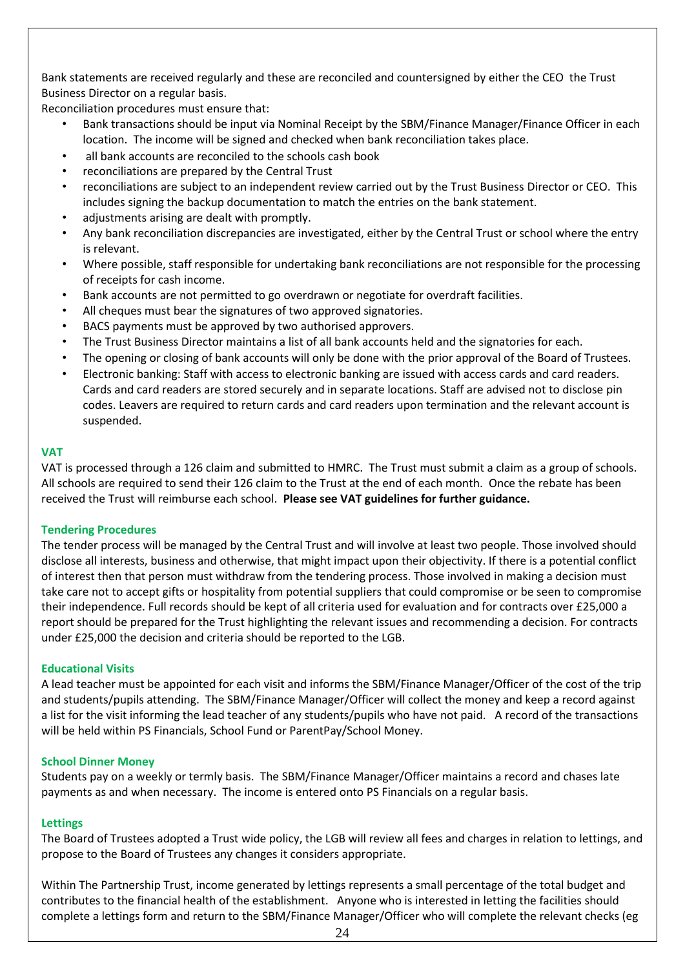Bank statements are received regularly and these are reconciled and countersigned by either the CEO the Trust Business Director on a regular basis.

Reconciliation procedures must ensure that:

- Bank transactions should be input via Nominal Receipt by the SBM/Finance Manager/Finance Officer in each location. The income will be signed and checked when bank reconciliation takes place.
- all bank accounts are reconciled to the schools cash book
- reconciliations are prepared by the Central Trust
- reconciliations are subject to an independent review carried out by the Trust Business Director or CEO. This includes signing the backup documentation to match the entries on the bank statement.
- adjustments arising are dealt with promptly.
- Any bank reconciliation discrepancies are investigated, either by the Central Trust or school where the entry is relevant.
- Where possible, staff responsible for undertaking bank reconciliations are not responsible for the processing of receipts for cash income.
- Bank accounts are not permitted to go overdrawn or negotiate for overdraft facilities.
- All cheques must bear the signatures of two approved signatories.
- BACS payments must be approved by two authorised approvers.
- The Trust Business Director maintains a list of all bank accounts held and the signatories for each.
- The opening or closing of bank accounts will only be done with the prior approval of the Board of Trustees.
- Electronic banking: Staff with access to electronic banking are issued with access cards and card readers. Cards and card readers are stored securely and in separate locations. Staff are advised not to disclose pin codes. Leavers are required to return cards and card readers upon termination and the relevant account is suspended.

### **VAT**

VAT is processed through a 126 claim and submitted to HMRC. The Trust must submit a claim as a group of schools. All schools are required to send their 126 claim to the Trust at the end of each month. Once the rebate has been received the Trust will reimburse each school. **Please see VAT guidelines for further guidance.**

### **Tendering Procedures**

The tender process will be managed by the Central Trust and will involve at least two people. Those involved should disclose all interests, business and otherwise, that might impact upon their objectivity. If there is a potential conflict of interest then that person must withdraw from the tendering process. Those involved in making a decision must take care not to accept gifts or hospitality from potential suppliers that could compromise or be seen to compromise their independence. Full records should be kept of all criteria used for evaluation and for contracts over £25,000 a report should be prepared for the Trust highlighting the relevant issues and recommending a decision. For contracts under £25,000 the decision and criteria should be reported to the LGB.

### **Educational Visits**

A lead teacher must be appointed for each visit and informs the SBM/Finance Manager/Officer of the cost of the trip and students/pupils attending. The SBM/Finance Manager/Officer will collect the money and keep a record against a list for the visit informing the lead teacher of any students/pupils who have not paid. A record of the transactions will be held within PS Financials, School Fund or ParentPay/School Money.

### **School Dinner Money**

Students pay on a weekly or termly basis. The SBM/Finance Manager/Officer maintains a record and chases late payments as and when necessary. The income is entered onto PS Financials on a regular basis.

### **Lettings**

The Board of Trustees adopted a Trust wide policy, the LGB will review all fees and charges in relation to lettings, and propose to the Board of Trustees any changes it considers appropriate.

Within The Partnership Trust, income generated by lettings represents a small percentage of the total budget and contributes to the financial health of the establishment. Anyone who is interested in letting the facilities should complete a lettings form and return to the SBM/Finance Manager/Officer who will complete the relevant checks (eg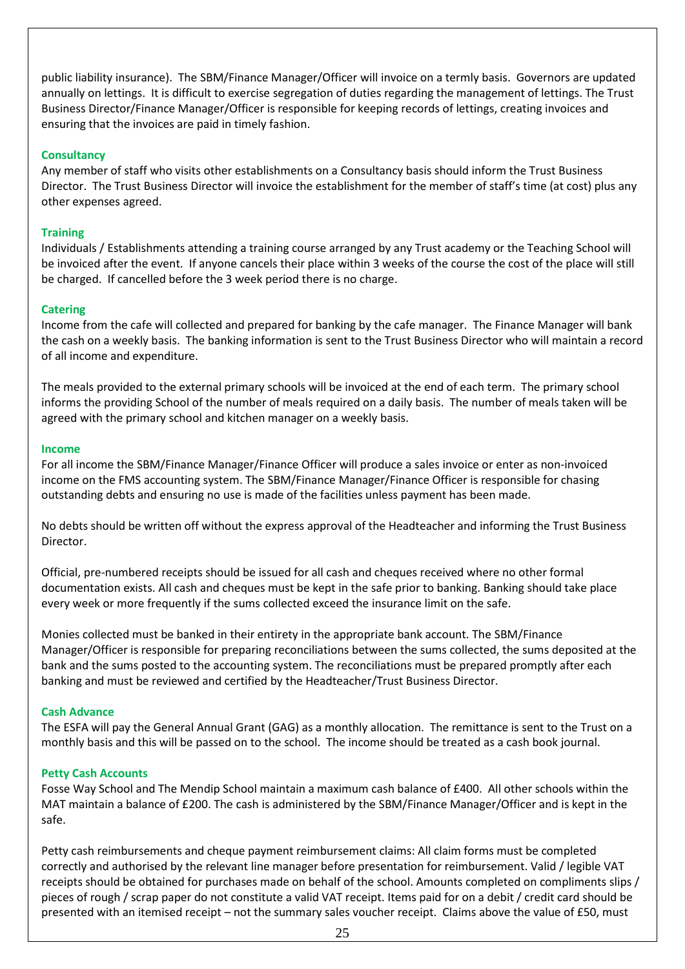public liability insurance). The SBM/Finance Manager/Officer will invoice on a termly basis. Governors are updated annually on lettings. It is difficult to exercise segregation of duties regarding the management of lettings. The Trust Business Director/Finance Manager/Officer is responsible for keeping records of lettings, creating invoices and ensuring that the invoices are paid in timely fashion.

### **Consultancy**

Any member of staff who visits other establishments on a Consultancy basis should inform the Trust Business Director. The Trust Business Director will invoice the establishment for the member of staff's time (at cost) plus any other expenses agreed.

### **Training**

Individuals / Establishments attending a training course arranged by any Trust academy or the Teaching School will be invoiced after the event. If anyone cancels their place within 3 weeks of the course the cost of the place will still be charged. If cancelled before the 3 week period there is no charge.

### **Catering**

Income from the cafe will collected and prepared for banking by the cafe manager. The Finance Manager will bank the cash on a weekly basis. The banking information is sent to the Trust Business Director who will maintain a record of all income and expenditure.

The meals provided to the external primary schools will be invoiced at the end of each term. The primary school informs the providing School of the number of meals required on a daily basis. The number of meals taken will be agreed with the primary school and kitchen manager on a weekly basis.

#### **Income**

For all income the SBM/Finance Manager/Finance Officer will produce a sales invoice or enter as non-invoiced income on the FMS accounting system. The SBM/Finance Manager/Finance Officer is responsible for chasing outstanding debts and ensuring no use is made of the facilities unless payment has been made.

No debts should be written off without the express approval of the Headteacher and informing the Trust Business Director.

Official, pre-numbered receipts should be issued for all cash and cheques received where no other formal documentation exists. All cash and cheques must be kept in the safe prior to banking. Banking should take place every week or more frequently if the sums collected exceed the insurance limit on the safe.

Monies collected must be banked in their entirety in the appropriate bank account. The SBM/Finance Manager/Officer is responsible for preparing reconciliations between the sums collected, the sums deposited at the bank and the sums posted to the accounting system. The reconciliations must be prepared promptly after each banking and must be reviewed and certified by the Headteacher/Trust Business Director.

#### **Cash Advance**

The ESFA will pay the General Annual Grant (GAG) as a monthly allocation. The remittance is sent to the Trust on a monthly basis and this will be passed on to the school. The income should be treated as a cash book journal.

#### **Petty Cash Accounts**

Fosse Way School and The Mendip School maintain a maximum cash balance of £400. All other schools within the MAT maintain a balance of £200. The cash is administered by the SBM/Finance Manager/Officer and is kept in the safe.

Petty cash reimbursements and cheque payment reimbursement claims: All claim forms must be completed correctly and authorised by the relevant line manager before presentation for reimbursement. Valid / legible VAT receipts should be obtained for purchases made on behalf of the school. Amounts completed on compliments slips / pieces of rough / scrap paper do not constitute a valid VAT receipt. Items paid for on a debit / credit card should be presented with an itemised receipt – not the summary sales voucher receipt. Claims above the value of £50, must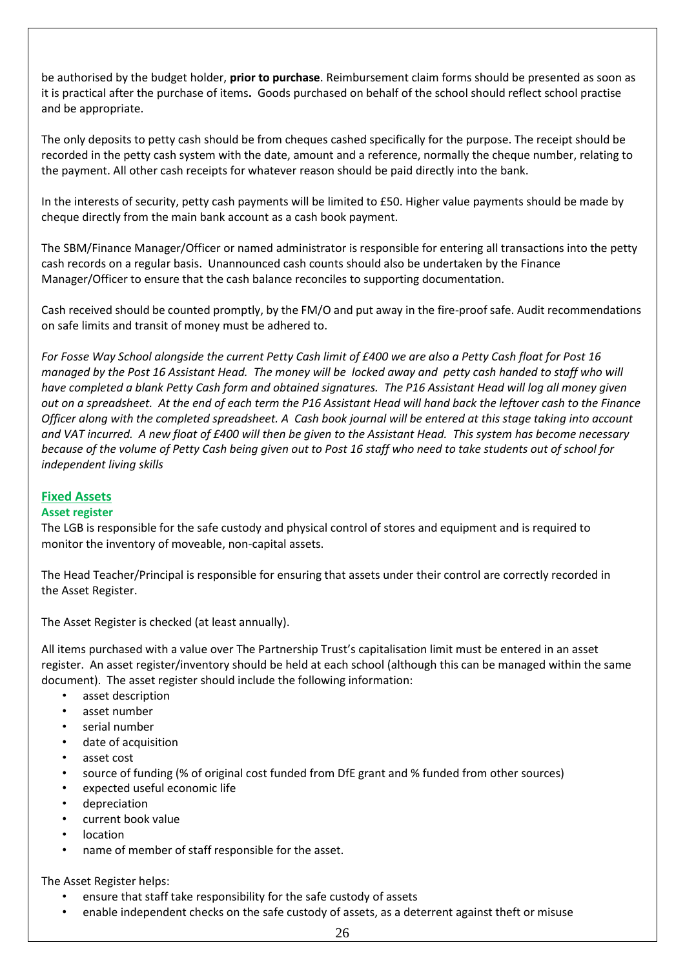be authorised by the budget holder, **prior to purchase**. Reimbursement claim forms should be presented as soon as it is practical after the purchase of items**.** Goods purchased on behalf of the school should reflect school practise and be appropriate.

The only deposits to petty cash should be from cheques cashed specifically for the purpose. The receipt should be recorded in the petty cash system with the date, amount and a reference, normally the cheque number, relating to the payment. All other cash receipts for whatever reason should be paid directly into the bank.

In the interests of security, petty cash payments will be limited to £50. Higher value payments should be made by cheque directly from the main bank account as a cash book payment.

The SBM/Finance Manager/Officer or named administrator is responsible for entering all transactions into the petty cash records on a regular basis. Unannounced cash counts should also be undertaken by the Finance Manager/Officer to ensure that the cash balance reconciles to supporting documentation.

Cash received should be counted promptly, by the FM/O and put away in the fire-proof safe. Audit recommendations on safe limits and transit of money must be adhered to.

*For Fosse Way School alongside the current Petty Cash limit of £400 we are also a Petty Cash float for Post 16 managed by the Post 16 Assistant Head. The money will be locked away and petty cash handed to staff who will have completed a blank Petty Cash form and obtained signatures. The P16 Assistant Head will log all money given out on a spreadsheet. At the end of each term the P16 Assistant Head will hand back the leftover cash to the Finance Officer along with the completed spreadsheet. A Cash book journal will be entered at this stage taking into account and VAT incurred. A new float of £400 will then be given to the Assistant Head. This system has become necessary because of the volume of Petty Cash being given out to Post 16 staff who need to take students out of school for independent living skills*

### **Fixed Assets**

### **Asset register**

The LGB is responsible for the safe custody and physical control of stores and equipment and is required to monitor the inventory of moveable, non-capital assets.

The Head Teacher/Principal is responsible for ensuring that assets under their control are correctly recorded in the Asset Register.

The Asset Register is checked (at least annually).

All items purchased with a value over The Partnership Trust's capitalisation limit must be entered in an asset register. An asset register/inventory should be held at each school (although this can be managed within the same document). The asset register should include the following information:

- asset description
- asset number
- serial number
- date of acquisition
- asset cost
- source of funding (% of original cost funded from DfE grant and % funded from other sources)
- expected useful economic life
- depreciation
- current book value
- location
- name of member of staff responsible for the asset.

The Asset Register helps:

- ensure that staff take responsibility for the safe custody of assets
- enable independent checks on the safe custody of assets, as a deterrent against theft or misuse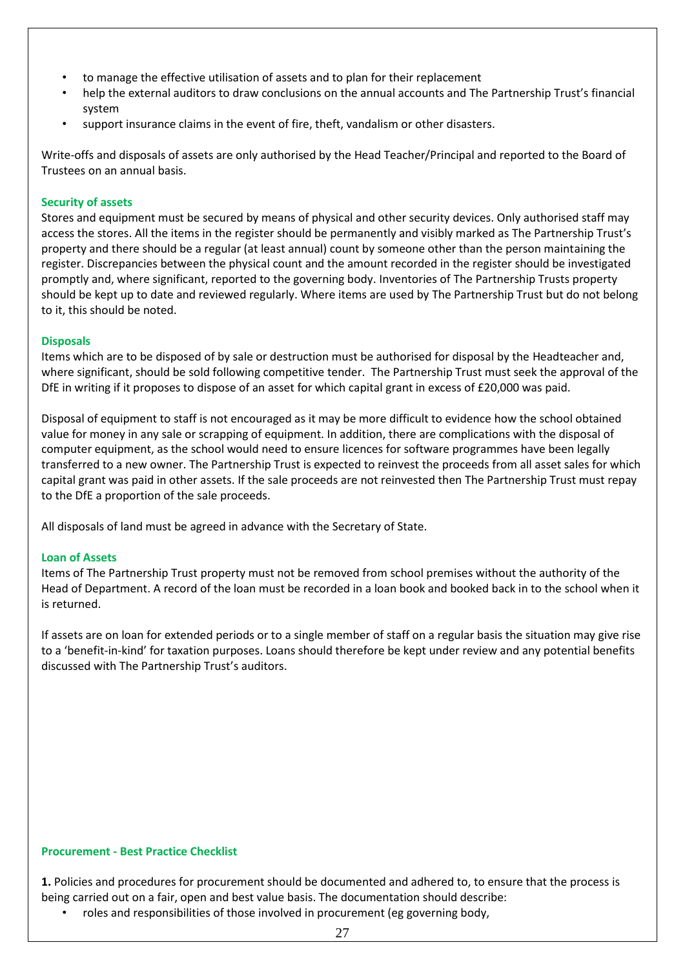- to manage the effective utilisation of assets and to plan for their replacement
- help the external auditors to draw conclusions on the annual accounts and The Partnership Trust's financial system
- support insurance claims in the event of fire, theft, vandalism or other disasters.

Write-offs and disposals of assets are only authorised by the Head Teacher/Principal and reported to the Board of Trustees on an annual basis.

### **Security of assets**

Stores and equipment must be secured by means of physical and other security devices. Only authorised staff may access the stores. All the items in the register should be permanently and visibly marked as The Partnership Trust's property and there should be a regular (at least annual) count by someone other than the person maintaining the register. Discrepancies between the physical count and the amount recorded in the register should be investigated promptly and, where significant, reported to the governing body. Inventories of The Partnership Trusts property should be kept up to date and reviewed regularly. Where items are used by The Partnership Trust but do not belong to it, this should be noted.

### **Disposals**

Items which are to be disposed of by sale or destruction must be authorised for disposal by the Headteacher and, where significant, should be sold following competitive tender. The Partnership Trust must seek the approval of the DfE in writing if it proposes to dispose of an asset for which capital grant in excess of £20,000 was paid.

Disposal of equipment to staff is not encouraged as it may be more difficult to evidence how the school obtained value for money in any sale or scrapping of equipment. In addition, there are complications with the disposal of computer equipment, as the school would need to ensure licences for software programmes have been legally transferred to a new owner. The Partnership Trust is expected to reinvest the proceeds from all asset sales for which capital grant was paid in other assets. If the sale proceeds are not reinvested then The Partnership Trust must repay to the DfE a proportion of the sale proceeds.

All disposals of land must be agreed in advance with the Secretary of State.

### **Loan of Assets**

Items of The Partnership Trust property must not be removed from school premises without the authority of the Head of Department. A record of the loan must be recorded in a loan book and booked back in to the school when it is returned.

If assets are on loan for extended periods or to a single member of staff on a regular basis the situation may give rise to a 'benefit-in-kind' for taxation purposes. Loans should therefore be kept under review and any potential benefits discussed with The Partnership Trust's auditors.

### **Procurement - Best Practice Checklist**

**1.** Policies and procedures for procurement should be documented and adhered to, to ensure that the process is being carried out on a fair, open and best value basis. The documentation should describe:

• roles and responsibilities of those involved in procurement (eg governing body,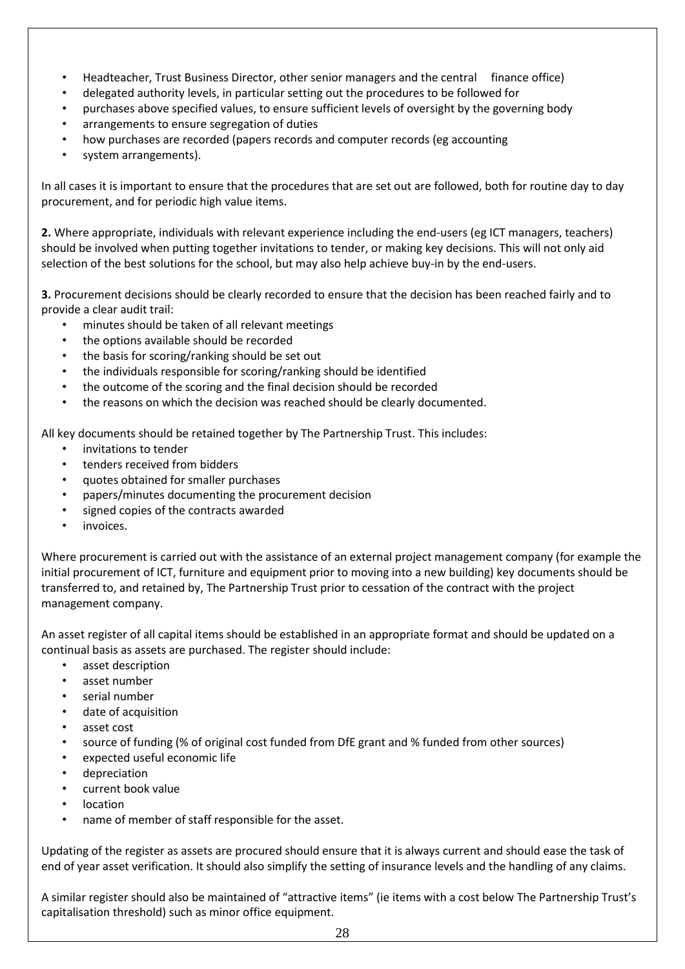- Headteacher, Trust Business Director, other senior managers and the central finance office)
- delegated authority levels, in particular setting out the procedures to be followed for
- purchases above specified values, to ensure sufficient levels of oversight by the governing body
- arrangements to ensure segregation of duties
- how purchases are recorded (papers records and computer records (eg accounting
- system arrangements).

In all cases it is important to ensure that the procedures that are set out are followed, both for routine day to day procurement, and for periodic high value items.

**2.** Where appropriate, individuals with relevant experience including the end-users (eg ICT managers, teachers) should be involved when putting together invitations to tender, or making key decisions. This will not only aid selection of the best solutions for the school, but may also help achieve buy-in by the end-users.

**3.** Procurement decisions should be clearly recorded to ensure that the decision has been reached fairly and to provide a clear audit trail:

- minutes should be taken of all relevant meetings
- the options available should be recorded
- the basis for scoring/ranking should be set out
- the individuals responsible for scoring/ranking should be identified
- the outcome of the scoring and the final decision should be recorded
- the reasons on which the decision was reached should be clearly documented.

All key documents should be retained together by The Partnership Trust. This includes:

- invitations to tender
- tenders received from bidders
- quotes obtained for smaller purchases
- papers/minutes documenting the procurement decision
- signed copies of the contracts awarded
- invoices.

Where procurement is carried out with the assistance of an external project management company (for example the initial procurement of ICT, furniture and equipment prior to moving into a new building) key documents should be transferred to, and retained by, The Partnership Trust prior to cessation of the contract with the project management company.

An asset register of all capital items should be established in an appropriate format and should be updated on a continual basis as assets are purchased. The register should include:

- asset description
- asset number
- serial number
- date of acquisition
- asset cost
- source of funding (% of original cost funded from DfE grant and % funded from other sources)
- expected useful economic life
- depreciation
- current book value
- location
- name of member of staff responsible for the asset.

Updating of the register as assets are procured should ensure that it is always current and should ease the task of end of year asset verification. It should also simplify the setting of insurance levels and the handling of any claims.

A similar register should also be maintained of "attractive items" (ie items with a cost below The Partnership Trust's capitalisation threshold) such as minor office equipment.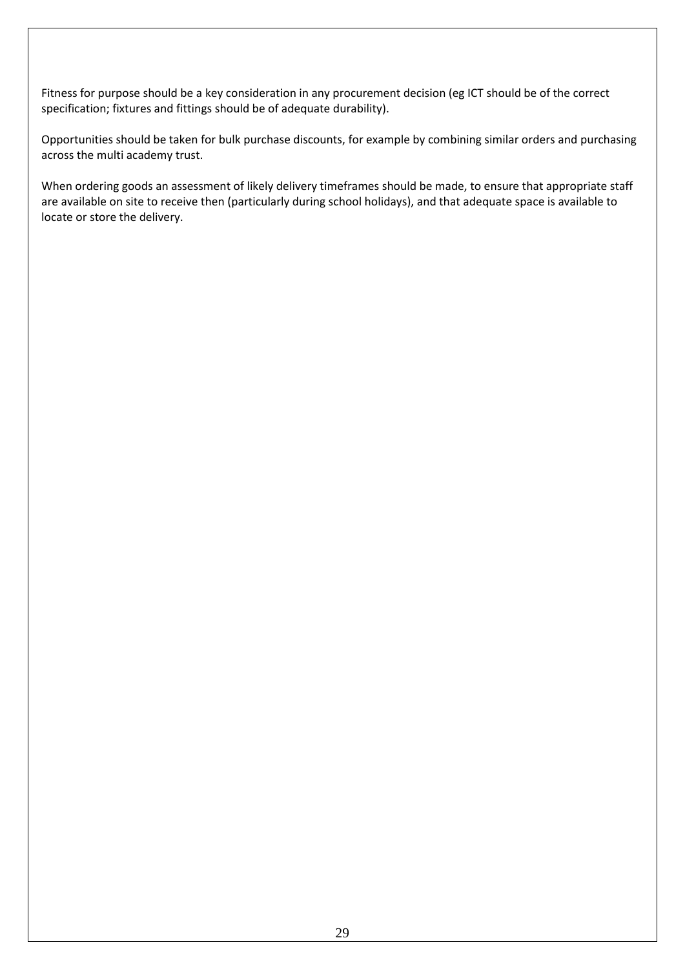Fitness for purpose should be a key consideration in any procurement decision (eg ICT should be of the correct specification; fixtures and fittings should be of adequate durability).

Opportunities should be taken for bulk purchase discounts, for example by combining similar orders and purchasing across the multi academy trust.

When ordering goods an assessment of likely delivery timeframes should be made, to ensure that appropriate staff are available on site to receive then (particularly during school holidays), and that adequate space is available to locate or store the delivery.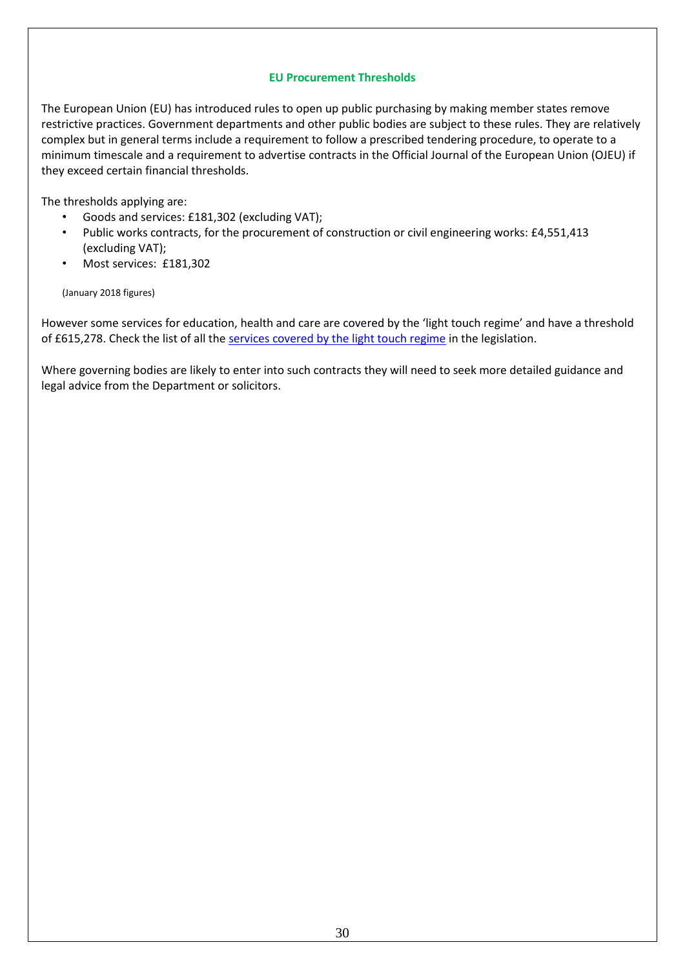### **EU Procurement Thresholds**

The European Union (EU) has introduced rules to open up public purchasing by making member states remove restrictive practices. Government departments and other public bodies are subject to these rules. They are relatively complex but in general terms include a requirement to follow a prescribed tendering procedure, to operate to a minimum timescale and a requirement to advertise contracts in the Official Journal of the European Union (OJEU) if they exceed certain financial thresholds.

The thresholds applying are:

- Goods and services: £181,302 (excluding VAT);
- Public works contracts, for the procurement of construction or civil engineering works: £4,551,413 (excluding VAT);
- Most services: £181,302

(January 2018 figures)

However some services for education, health and care are covered by the 'light touch regime' and have a threshold of £615,278. Check the list of all th[e services covered by the light touch regime](http://www.legislation.gov.uk/uksi/2015/102/schedule/3/made) in the legislation.

Where governing bodies are likely to enter into such contracts they will need to seek more detailed guidance and legal advice from the Department or solicitors.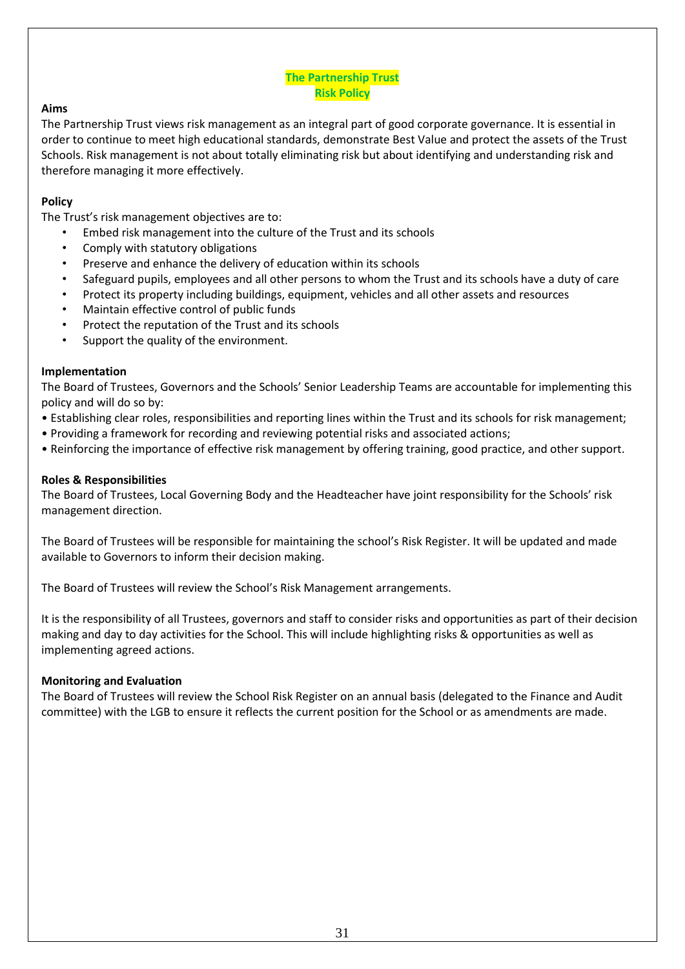### **The Partnership Trust Risk Policy**

### **Aims**

The Partnership Trust views risk management as an integral part of good corporate governance. It is essential in order to continue to meet high educational standards, demonstrate Best Value and protect the assets of the Trust Schools. Risk management is not about totally eliminating risk but about identifying and understanding risk and therefore managing it more effectively.

### **Policy**

The Trust's risk management objectives are to:

- Embed risk management into the culture of the Trust and its schools
- Comply with statutory obligations
- Preserve and enhance the delivery of education within its schools
- Safeguard pupils, employees and all other persons to whom the Trust and its schools have a duty of care
- Protect its property including buildings, equipment, vehicles and all other assets and resources
- Maintain effective control of public funds
- Protect the reputation of the Trust and its schools
- Support the quality of the environment.

### **Implementation**

The Board of Trustees, Governors and the Schools' Senior Leadership Teams are accountable for implementing this policy and will do so by:

- Establishing clear roles, responsibilities and reporting lines within the Trust and its schools for risk management;
- Providing a framework for recording and reviewing potential risks and associated actions;
- Reinforcing the importance of effective risk management by offering training, good practice, and other support.

### **Roles & Responsibilities**

The Board of Trustees, Local Governing Body and the Headteacher have joint responsibility for the Schools' risk management direction.

The Board of Trustees will be responsible for maintaining the school's Risk Register. It will be updated and made available to Governors to inform their decision making.

The Board of Trustees will review the School's Risk Management arrangements.

It is the responsibility of all Trustees, governors and staff to consider risks and opportunities as part of their decision making and day to day activities for the School. This will include highlighting risks & opportunities as well as implementing agreed actions.

#### **Monitoring and Evaluation**

The Board of Trustees will review the School Risk Register on an annual basis (delegated to the Finance and Audit committee) with the LGB to ensure it reflects the current position for the School or as amendments are made.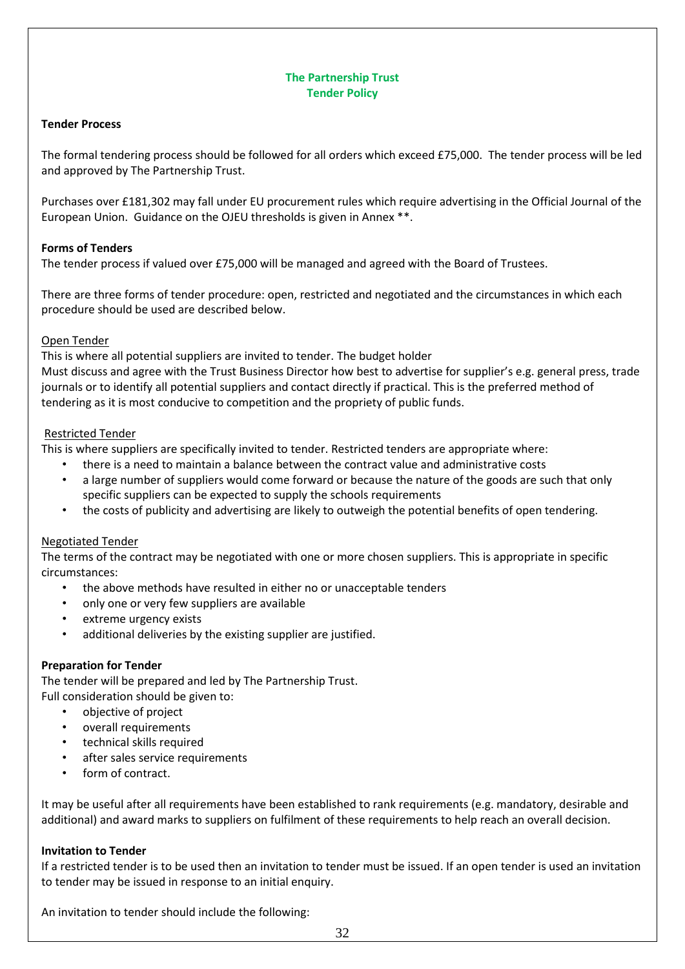### **The Partnership Trust Tender Policy**

### **Tender Process**

The formal tendering process should be followed for all orders which exceed £75,000. The tender process will be led and approved by The Partnership Trust.

Purchases over £181,302 may fall under EU procurement rules which require advertising in the Official Journal of the European Union. Guidance on the OJEU thresholds is given in Annex \*\*.

### **Forms of Tenders**

The tender process if valued over £75,000 will be managed and agreed with the Board of Trustees.

There are three forms of tender procedure: open, restricted and negotiated and the circumstances in which each procedure should be used are described below.

### Open Tender

This is where all potential suppliers are invited to tender. The budget holder

Must discuss and agree with the Trust Business Director how best to advertise for supplier's e.g. general press, trade journals or to identify all potential suppliers and contact directly if practical. This is the preferred method of tendering as it is most conducive to competition and the propriety of public funds.

### Restricted Tender

This is where suppliers are specifically invited to tender. Restricted tenders are appropriate where:

- there is a need to maintain a balance between the contract value and administrative costs
- a large number of suppliers would come forward or because the nature of the goods are such that only specific suppliers can be expected to supply the schools requirements
- the costs of publicity and advertising are likely to outweigh the potential benefits of open tendering.

### Negotiated Tender

The terms of the contract may be negotiated with one or more chosen suppliers. This is appropriate in specific circumstances:

- the above methods have resulted in either no or unacceptable tenders
- only one or very few suppliers are available
- extreme urgency exists
- additional deliveries by the existing supplier are justified.

### **Preparation for Tender**

The tender will be prepared and led by The Partnership Trust. Full consideration should be given to:

- objective of project
- overall requirements
- technical skills required
- after sales service requirements
- form of contract.

It may be useful after all requirements have been established to rank requirements (e.g. mandatory, desirable and additional) and award marks to suppliers on fulfilment of these requirements to help reach an overall decision.

#### **Invitation to Tender**

If a restricted tender is to be used then an invitation to tender must be issued. If an open tender is used an invitation to tender may be issued in response to an initial enquiry.

An invitation to tender should include the following: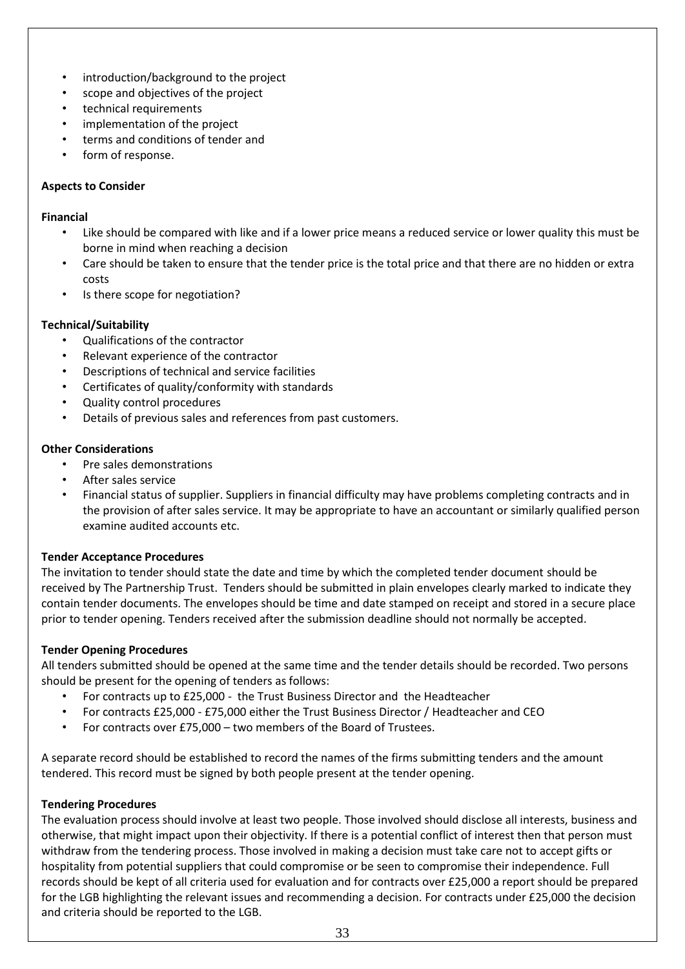- introduction/background to the project
- scope and objectives of the project
- technical requirements
- implementation of the project
- terms and conditions of tender and
- form of response.

### **Aspects to Consider**

### **Financial**

- Like should be compared with like and if a lower price means a reduced service or lower quality this must be borne in mind when reaching a decision
- Care should be taken to ensure that the tender price is the total price and that there are no hidden or extra costs
- Is there scope for negotiation?

### **Technical/Suitability**

- Qualifications of the contractor
- Relevant experience of the contractor
- Descriptions of technical and service facilities
- Certificates of quality/conformity with standards
- Quality control procedures
- Details of previous sales and references from past customers.

### **Other Considerations**

- Pre sales demonstrations
- After sales service
- Financial status of supplier. Suppliers in financial difficulty may have problems completing contracts and in the provision of after sales service. It may be appropriate to have an accountant or similarly qualified person examine audited accounts etc.

### **Tender Acceptance Procedures**

The invitation to tender should state the date and time by which the completed tender document should be received by The Partnership Trust. Tenders should be submitted in plain envelopes clearly marked to indicate they contain tender documents. The envelopes should be time and date stamped on receipt and stored in a secure place prior to tender opening. Tenders received after the submission deadline should not normally be accepted.

### **Tender Opening Procedures**

All tenders submitted should be opened at the same time and the tender details should be recorded. Two persons should be present for the opening of tenders as follows:

- For contracts up to £25,000 the Trust Business Director and the Headteacher
- For contracts £25,000 £75,000 either the Trust Business Director / Headteacher and CEO
- For contracts over £75,000 two members of the Board of Trustees.

A separate record should be established to record the names of the firms submitting tenders and the amount tendered. This record must be signed by both people present at the tender opening.

#### **Tendering Procedures**

The evaluation process should involve at least two people. Those involved should disclose all interests, business and otherwise, that might impact upon their objectivity. If there is a potential conflict of interest then that person must withdraw from the tendering process. Those involved in making a decision must take care not to accept gifts or hospitality from potential suppliers that could compromise or be seen to compromise their independence. Full records should be kept of all criteria used for evaluation and for contracts over £25,000 a report should be prepared for the LGB highlighting the relevant issues and recommending a decision. For contracts under £25,000 the decision and criteria should be reported to the LGB.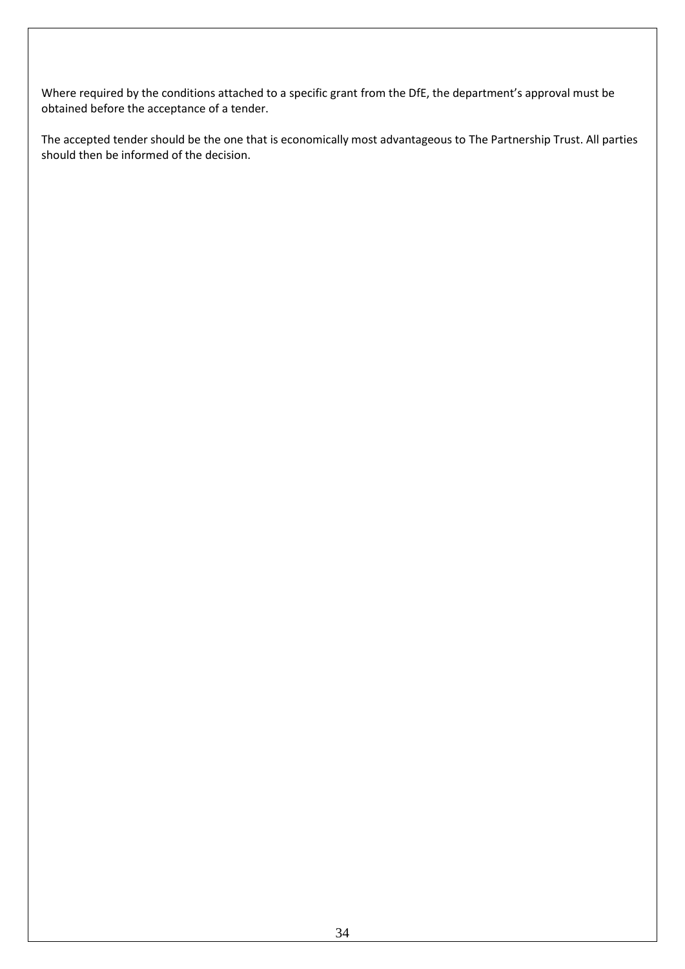Where required by the conditions attached to a specific grant from the DfE, the department's approval must be obtained before the acceptance of a tender.

The accepted tender should be the one that is economically most advantageous to The Partnership Trust. All parties should then be informed of the decision.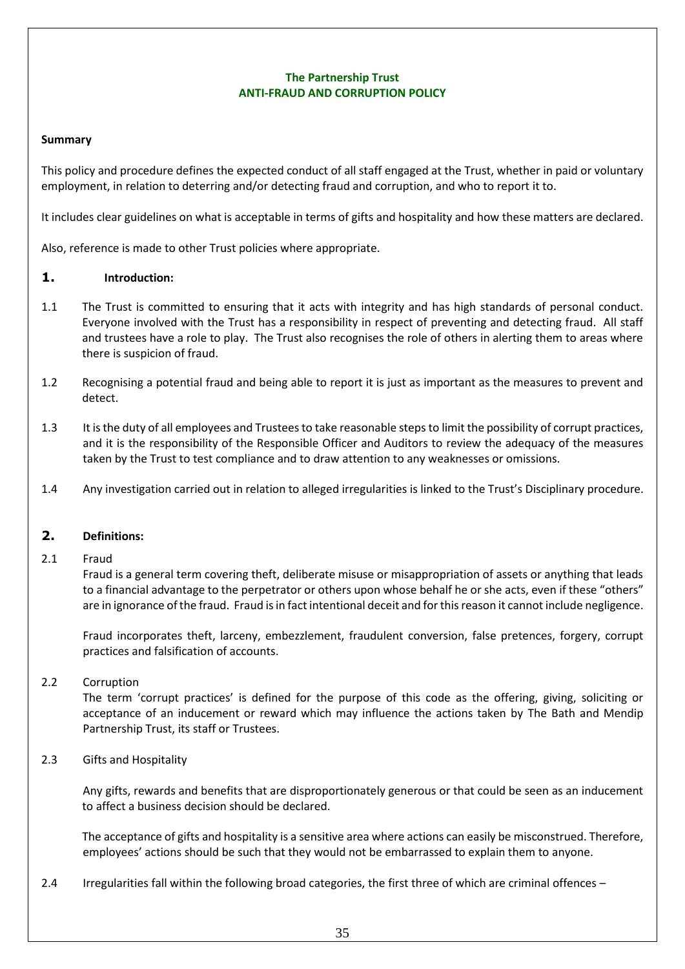### **The Partnership Trust ANTI-FRAUD AND CORRUPTION POLICY**

### **Summary**

This policy and procedure defines the expected conduct of all staff engaged at the Trust, whether in paid or voluntary employment, in relation to deterring and/or detecting fraud and corruption, and who to report it to.

It includes clear guidelines on what is acceptable in terms of gifts and hospitality and how these matters are declared.

Also, reference is made to other Trust policies where appropriate.

### **1. Introduction:**

- 1.1 The Trust is committed to ensuring that it acts with integrity and has high standards of personal conduct. Everyone involved with the Trust has a responsibility in respect of preventing and detecting fraud. All staff and trustees have a role to play. The Trust also recognises the role of others in alerting them to areas where there is suspicion of fraud.
- 1.2 Recognising a potential fraud and being able to report it is just as important as the measures to prevent and detect.
- 1.3 It is the duty of all employees and Trustees to take reasonable steps to limit the possibility of corrupt practices, and it is the responsibility of the Responsible Officer and Auditors to review the adequacy of the measures taken by the Trust to test compliance and to draw attention to any weaknesses or omissions.
- 1.4 Any investigation carried out in relation to alleged irregularities is linked to the Trust's Disciplinary procedure.

### **2. Definitions:**

### 2.1 Fraud

Fraud is a general term covering theft, deliberate misuse or misappropriation of assets or anything that leads to a financial advantage to the perpetrator or others upon whose behalf he or she acts, even if these "others" are in ignorance of the fraud. Fraud is in fact intentional deceit and for this reason it cannot include negligence.

Fraud incorporates theft, larceny, embezzlement, fraudulent conversion, false pretences, forgery, corrupt practices and falsification of accounts.

### 2.2 Corruption

The term 'corrupt practices' is defined for the purpose of this code as the offering, giving, soliciting or acceptance of an inducement or reward which may influence the actions taken by The Bath and Mendip Partnership Trust, its staff or Trustees.

### 2.3 Gifts and Hospitality

Any gifts, rewards and benefits that are disproportionately generous or that could be seen as an inducement to affect a business decision should be declared.

The acceptance of gifts and hospitality is a sensitive area where actions can easily be misconstrued. Therefore, employees' actions should be such that they would not be embarrassed to explain them to anyone.

2.4 Irregularities fall within the following broad categories, the first three of which are criminal offences –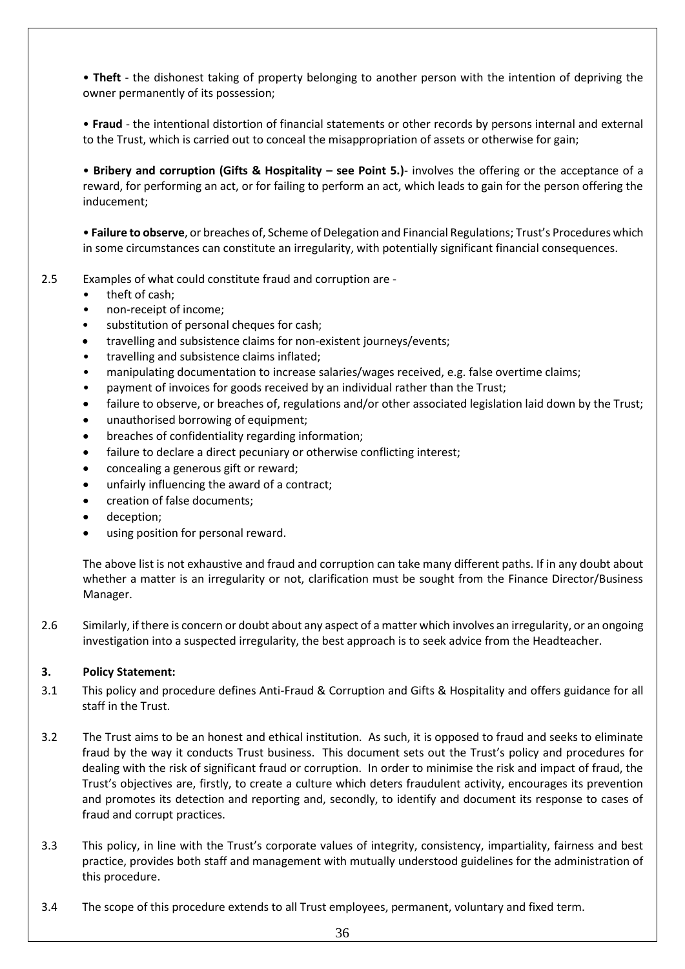• **Theft** - the dishonest taking of property belonging to another person with the intention of depriving the owner permanently of its possession;

• **Fraud** - the intentional distortion of financial statements or other records by persons internal and external to the Trust, which is carried out to conceal the misappropriation of assets or otherwise for gain;

• **Bribery and corruption (Gifts & Hospitality – see Point 5.)**- involves the offering or the acceptance of a reward, for performing an act, or for failing to perform an act, which leads to gain for the person offering the inducement;

• **Failure to observe**, or breaches of, Scheme of Delegation and Financial Regulations; Trust's Procedures which in some circumstances can constitute an irregularity, with potentially significant financial consequences.

- 2.5 Examples of what could constitute fraud and corruption are
	- theft of cash;
	- non-receipt of income;
	- substitution of personal cheques for cash;
	- travelling and subsistence claims for non-existent journeys/events;
	- travelling and subsistence claims inflated;
	- manipulating documentation to increase salaries/wages received, e.g. false overtime claims;
	- payment of invoices for goods received by an individual rather than the Trust;
	- failure to observe, or breaches of, regulations and/or other associated legislation laid down by the Trust;
	- unauthorised borrowing of equipment;
	- breaches of confidentiality regarding information;
	- failure to declare a direct pecuniary or otherwise conflicting interest;
	- concealing a generous gift or reward;
	- unfairly influencing the award of a contract;
	- creation of false documents;
	- deception;
	- using position for personal reward.

The above list is not exhaustive and fraud and corruption can take many different paths. If in any doubt about whether a matter is an irregularity or not, clarification must be sought from the Finance Director/Business Manager.

2.6 Similarly, if there is concern or doubt about any aspect of a matter which involves an irregularity, or an ongoing investigation into a suspected irregularity, the best approach is to seek advice from the Headteacher.

### **3. Policy Statement:**

- 3.1 This policy and procedure defines Anti-Fraud & Corruption and Gifts & Hospitality and offers guidance for all staff in the Trust.
- 3.2 The Trust aims to be an honest and ethical institution. As such, it is opposed to fraud and seeks to eliminate fraud by the way it conducts Trust business. This document sets out the Trust's policy and procedures for dealing with the risk of significant fraud or corruption. In order to minimise the risk and impact of fraud, the Trust's objectives are, firstly, to create a culture which deters fraudulent activity, encourages its prevention and promotes its detection and reporting and, secondly, to identify and document its response to cases of fraud and corrupt practices.
- 3.3 This policy, in line with the Trust's corporate values of integrity, consistency, impartiality, fairness and best practice, provides both staff and management with mutually understood guidelines for the administration of this procedure.
- 3.4 The scope of this procedure extends to all Trust employees, permanent, voluntary and fixed term.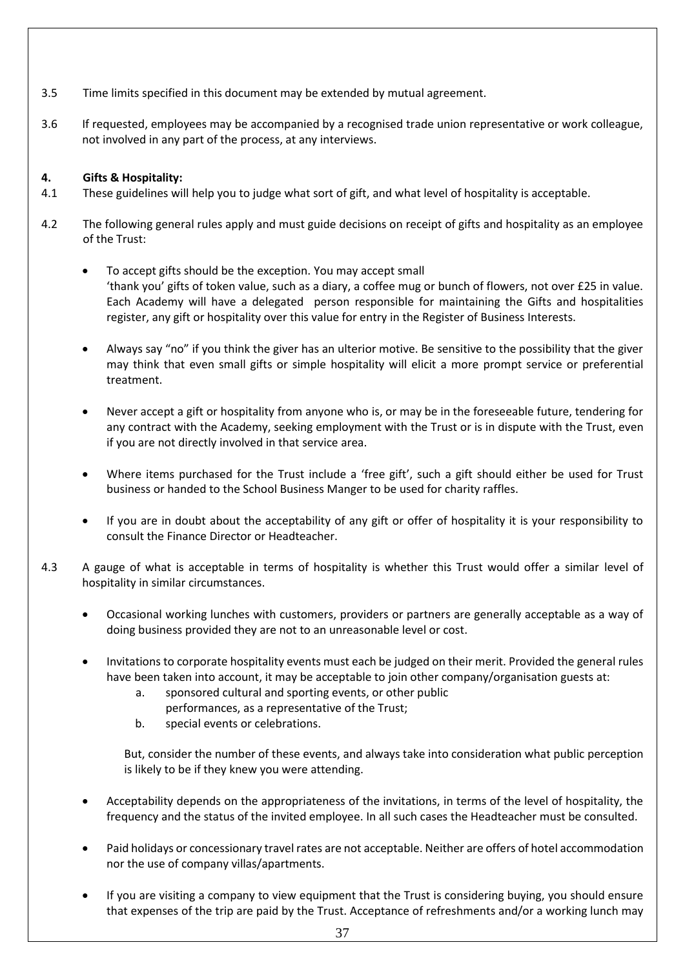- 3.5 Time limits specified in this document may be extended by mutual agreement.
- 3.6 If requested, employees may be accompanied by a recognised trade union representative or work colleague, not involved in any part of the process, at any interviews.

### **4. Gifts & Hospitality:**

- 4.1 These guidelines will help you to judge what sort of gift, and what level of hospitality is acceptable.
- 4.2 The following general rules apply and must guide decisions on receipt of gifts and hospitality as an employee of the Trust:
	- To accept gifts should be the exception. You may accept small 'thank you' gifts of token value, such as a diary, a coffee mug or bunch of flowers, not over £25 in value. Each Academy will have a delegated person responsible for maintaining the Gifts and hospitalities register, any gift or hospitality over this value for entry in the Register of Business Interests.
	- Always say "no" if you think the giver has an ulterior motive. Be sensitive to the possibility that the giver may think that even small gifts or simple hospitality will elicit a more prompt service or preferential treatment.
	- Never accept a gift or hospitality from anyone who is, or may be in the foreseeable future, tendering for any contract with the Academy, seeking employment with the Trust or is in dispute with the Trust, even if you are not directly involved in that service area.
	- Where items purchased for the Trust include a 'free gift', such a gift should either be used for Trust business or handed to the School Business Manger to be used for charity raffles.
	- If you are in doubt about the acceptability of any gift or offer of hospitality it is your responsibility to consult the Finance Director or Headteacher.
- 4.3 A gauge of what is acceptable in terms of hospitality is whether this Trust would offer a similar level of hospitality in similar circumstances.
	- Occasional working lunches with customers, providers or partners are generally acceptable as a way of doing business provided they are not to an unreasonable level or cost.
	- Invitations to corporate hospitality events must each be judged on their merit. Provided the general rules have been taken into account, it may be acceptable to join other company/organisation guests at:
		- a. sponsored cultural and sporting events, or other public
			- performances, as a representative of the Trust;
		- b. special events or celebrations.

But, consider the number of these events, and always take into consideration what public perception is likely to be if they knew you were attending.

- Acceptability depends on the appropriateness of the invitations, in terms of the level of hospitality, the frequency and the status of the invited employee. In all such cases the Headteacher must be consulted.
- Paid holidays or concessionary travel rates are not acceptable. Neither are offers of hotel accommodation nor the use of company villas/apartments.
- If you are visiting a company to view equipment that the Trust is considering buying, you should ensure that expenses of the trip are paid by the Trust. Acceptance of refreshments and/or a working lunch may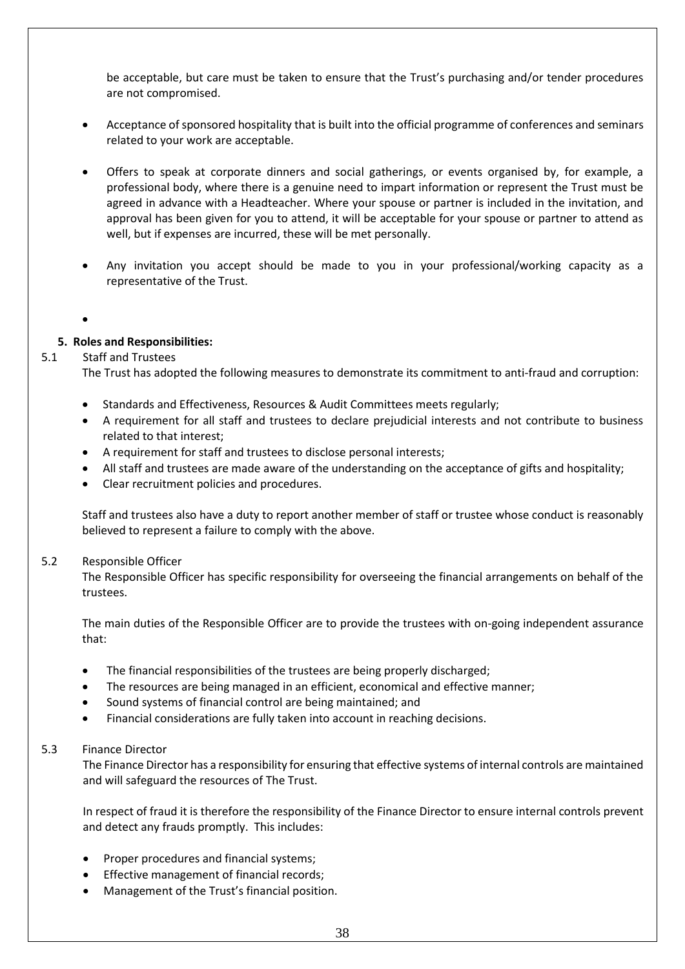be acceptable, but care must be taken to ensure that the Trust's purchasing and/or tender procedures are not compromised.

- Acceptance of sponsored hospitality that is built into the official programme of conferences and seminars related to your work are acceptable.
- Offers to speak at corporate dinners and social gatherings, or events organised by, for example, a professional body, where there is a genuine need to impart information or represent the Trust must be agreed in advance with a Headteacher. Where your spouse or partner is included in the invitation, and approval has been given for you to attend, it will be acceptable for your spouse or partner to attend as well, but if expenses are incurred, these will be met personally.
- Any invitation you accept should be made to you in your professional/working capacity as a representative of the Trust.
- •

### **5. Roles and Responsibilities:**

### 5.1 Staff and Trustees

The Trust has adopted the following measures to demonstrate its commitment to anti-fraud and corruption:

- Standards and Effectiveness, Resources & Audit Committees meets regularly;
- A requirement for all staff and trustees to declare prejudicial interests and not contribute to business related to that interest;
- A requirement for staff and trustees to disclose personal interests;
- All staff and trustees are made aware of the understanding on the acceptance of gifts and hospitality;
- Clear recruitment policies and procedures.

Staff and trustees also have a duty to report another member of staff or trustee whose conduct is reasonably believed to represent a failure to comply with the above.

#### 5.2 Responsible Officer

The Responsible Officer has specific responsibility for overseeing the financial arrangements on behalf of the trustees.

The main duties of the Responsible Officer are to provide the trustees with on-going independent assurance that:

- The financial responsibilities of the trustees are being properly discharged;
- The resources are being managed in an efficient, economical and effective manner;
- Sound systems of financial control are being maintained; and
- Financial considerations are fully taken into account in reaching decisions.

### 5.3 Finance Director

The Finance Director has a responsibility for ensuring that effective systems of internal controls are maintained and will safeguard the resources of The Trust.

In respect of fraud it is therefore the responsibility of the Finance Director to ensure internal controls prevent and detect any frauds promptly. This includes:

- Proper procedures and financial systems;
- Effective management of financial records;
- Management of the Trust's financial position.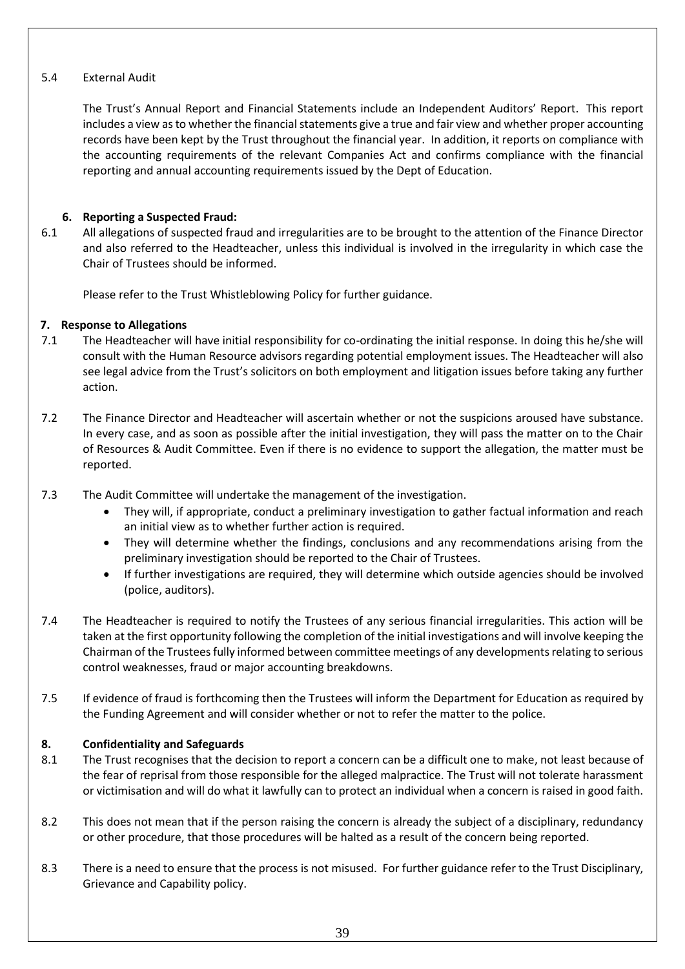### 5.4 External Audit

The Trust's Annual Report and Financial Statements include an Independent Auditors' Report. This report includes a view as to whether the financial statements give a true and fair view and whether proper accounting records have been kept by the Trust throughout the financial year. In addition, it reports on compliance with the accounting requirements of the relevant Companies Act and confirms compliance with the financial reporting and annual accounting requirements issued by the Dept of Education.

### **6. Reporting a Suspected Fraud:**

6.1 All allegations of suspected fraud and irregularities are to be brought to the attention of the Finance Director and also referred to the Headteacher, unless this individual is involved in the irregularity in which case the Chair of Trustees should be informed.

Please refer to the Trust Whistleblowing Policy for further guidance.

### **7. Response to Allegations**

- 7.1 The Headteacher will have initial responsibility for co-ordinating the initial response. In doing this he/she will consult with the Human Resource advisors regarding potential employment issues. The Headteacher will also see legal advice from the Trust's solicitors on both employment and litigation issues before taking any further action.
- 7.2 The Finance Director and Headteacher will ascertain whether or not the suspicions aroused have substance. In every case, and as soon as possible after the initial investigation, they will pass the matter on to the Chair of Resources & Audit Committee. Even if there is no evidence to support the allegation, the matter must be reported.
- 7.3 The Audit Committee will undertake the management of the investigation.
	- They will, if appropriate, conduct a preliminary investigation to gather factual information and reach an initial view as to whether further action is required.
	- They will determine whether the findings, conclusions and any recommendations arising from the preliminary investigation should be reported to the Chair of Trustees.
	- If further investigations are required, they will determine which outside agencies should be involved (police, auditors).
- 7.4 The Headteacher is required to notify the Trustees of any serious financial irregularities. This action will be taken at the first opportunity following the completion of the initial investigations and will involve keeping the Chairman of the Trustees fully informed between committee meetings of any developments relating to serious control weaknesses, fraud or major accounting breakdowns.
- 7.5 If evidence of fraud is forthcoming then the Trustees will inform the Department for Education as required by the Funding Agreement and will consider whether or not to refer the matter to the police.

### **8. Confidentiality and Safeguards**

- 8.1 The Trust recognises that the decision to report a concern can be a difficult one to make, not least because of the fear of reprisal from those responsible for the alleged malpractice. The Trust will not tolerate harassment or victimisation and will do what it lawfully can to protect an individual when a concern is raised in good faith.
- 8.2 This does not mean that if the person raising the concern is already the subject of a disciplinary, redundancy or other procedure, that those procedures will be halted as a result of the concern being reported.
- 8.3 There is a need to ensure that the process is not misused. For further guidance refer to the Trust Disciplinary, Grievance and Capability policy.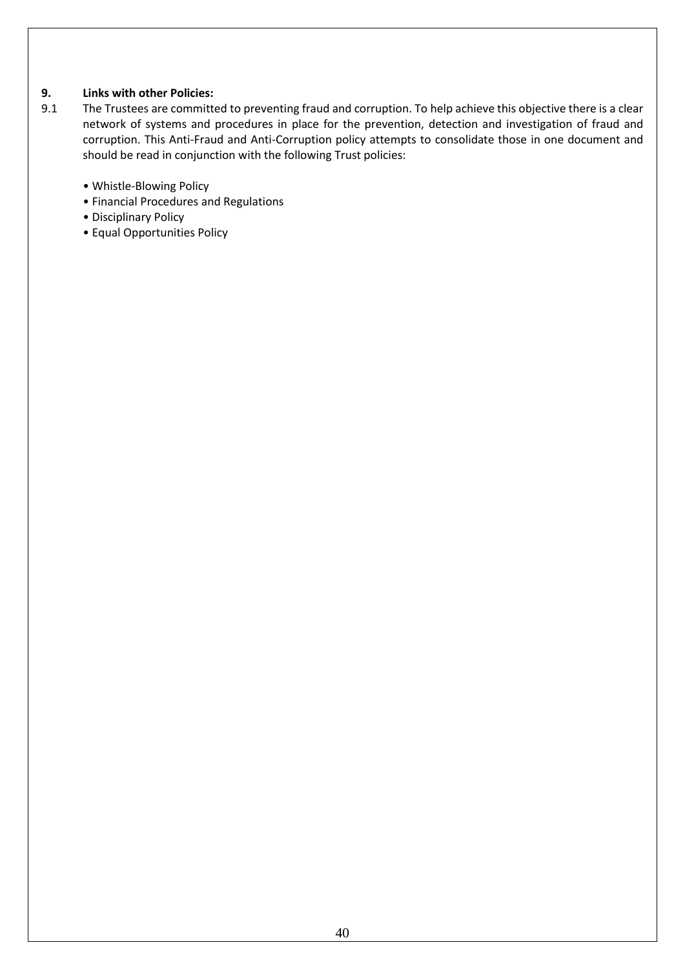### **9. Links with other Policies:**

- 9.1 The Trustees are committed to preventing fraud and corruption. To help achieve this objective there is a clear network of systems and procedures in place for the prevention, detection and investigation of fraud and corruption. This Anti-Fraud and Anti-Corruption policy attempts to consolidate those in one document and should be read in conjunction with the following Trust policies:
	- Whistle-Blowing Policy
	- Financial Procedures and Regulations
	- Disciplinary Policy
	- Equal Opportunities Policy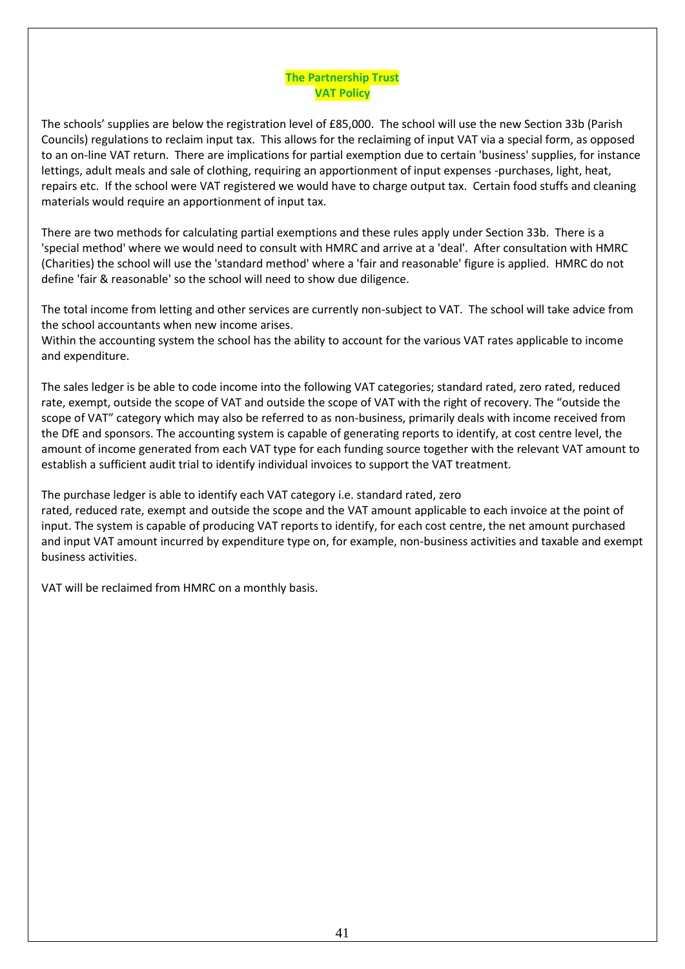### **The Partnership Trust VAT Policy**

The schools' supplies are below the registration level of £85,000. The school will use the new Section 33b (Parish Councils) regulations to reclaim input tax. This allows for the reclaiming of input VAT via a special form, as opposed to an on-line VAT return. There are implications for partial exemption due to certain 'business' supplies, for instance lettings, adult meals and sale of clothing, requiring an apportionment of input expenses -purchases, light, heat, repairs etc. If the school were VAT registered we would have to charge output tax. Certain food stuffs and cleaning materials would require an apportionment of input tax.

There are two methods for calculating partial exemptions and these rules apply under Section 33b. There is a 'special method' where we would need to consult with HMRC and arrive at a 'deal'. After consultation with HMRC (Charities) the school will use the 'standard method' where a 'fair and reasonable' figure is applied. HMRC do not define 'fair & reasonable' so the school will need to show due diligence.

The total income from letting and other services are currently non-subject to VAT. The school will take advice from the school accountants when new income arises.

Within the accounting system the school has the ability to account for the various VAT rates applicable to income and expenditure.

The sales ledger is be able to code income into the following VAT categories; standard rated, zero rated, reduced rate, exempt, outside the scope of VAT and outside the scope of VAT with the right of recovery. The "outside the scope of VAT" category which may also be referred to as non-business, primarily deals with income received from the DfE and sponsors. The accounting system is capable of generating reports to identify, at cost centre level, the amount of income generated from each VAT type for each funding source together with the relevant VAT amount to establish a sufficient audit trial to identify individual invoices to support the VAT treatment.

The purchase ledger is able to identify each VAT category i.e. standard rated, zero

rated, reduced rate, exempt and outside the scope and the VAT amount applicable to each invoice at the point of input. The system is capable of producing VAT reports to identify, for each cost centre, the net amount purchased and input VAT amount incurred by expenditure type on, for example, non-business activities and taxable and exempt business activities.

VAT will be reclaimed from HMRC on a monthly basis.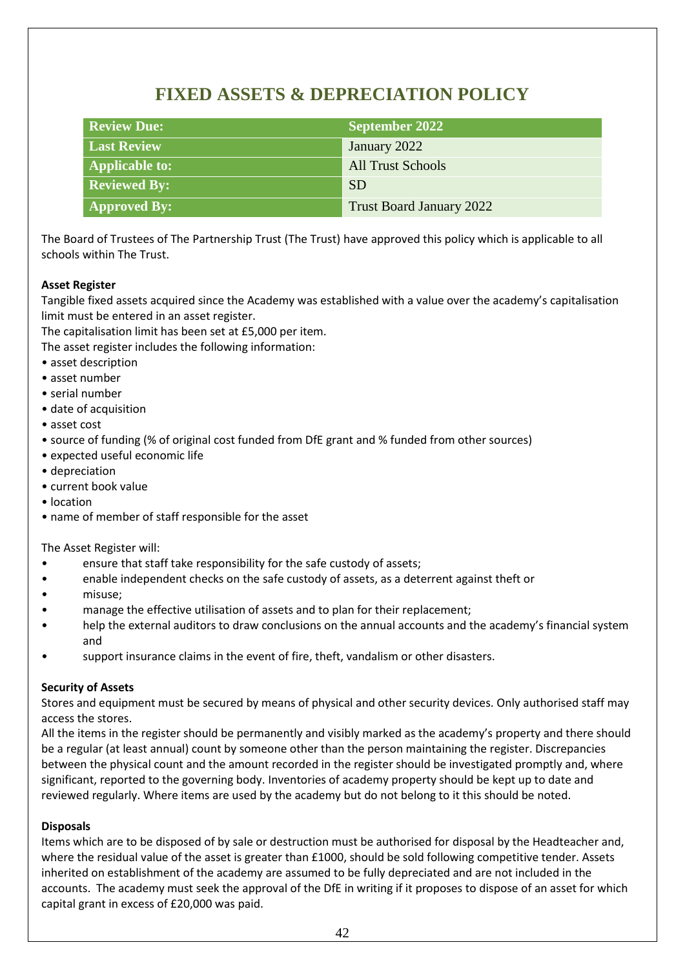# **FIXED ASSETS & DEPRECIATION POLICY**

| <b>Review Due:</b>    | <b>September 2022</b>           |
|-----------------------|---------------------------------|
| <b>Last Review</b>    | January 2022                    |
| <b>Applicable to:</b> | <b>All Trust Schools</b>        |
| <b>Reviewed By:</b>   | <b>SD</b>                       |
| <b>Approved By:</b>   | <b>Trust Board January 2022</b> |

The Board of Trustees of The Partnership Trust (The Trust) have approved this policy which is applicable to all schools within The Trust.

### **Asset Register**

Tangible fixed assets acquired since the Academy was established with a value over the academy's capitalisation limit must be entered in an asset register.

The capitalisation limit has been set at £5,000 per item.

The asset register includes the following information:

- asset description
- asset number
- serial number
- date of acquisition
- asset cost
- source of funding (% of original cost funded from DfE grant and % funded from other sources)
- expected useful economic life
- depreciation
- current book value
- location
- name of member of staff responsible for the asset

The Asset Register will:

- ensure that staff take responsibility for the safe custody of assets;
- enable independent checks on the safe custody of assets, as a deterrent against theft or
- misuse;
- manage the effective utilisation of assets and to plan for their replacement;
- help the external auditors to draw conclusions on the annual accounts and the academy's financial system and
- support insurance claims in the event of fire, theft, vandalism or other disasters.

### **Security of Assets**

Stores and equipment must be secured by means of physical and other security devices. Only authorised staff may access the stores.

All the items in the register should be permanently and visibly marked as the academy's property and there should be a regular (at least annual) count by someone other than the person maintaining the register. Discrepancies between the physical count and the amount recorded in the register should be investigated promptly and, where significant, reported to the governing body. Inventories of academy property should be kept up to date and reviewed regularly. Where items are used by the academy but do not belong to it this should be noted.

#### **Disposals**

Items which are to be disposed of by sale or destruction must be authorised for disposal by the Headteacher and, where the residual value of the asset is greater than £1000, should be sold following competitive tender. Assets inherited on establishment of the academy are assumed to be fully depreciated and are not included in the accounts. The academy must seek the approval of the DfE in writing if it proposes to dispose of an asset for which capital grant in excess of £20,000 was paid.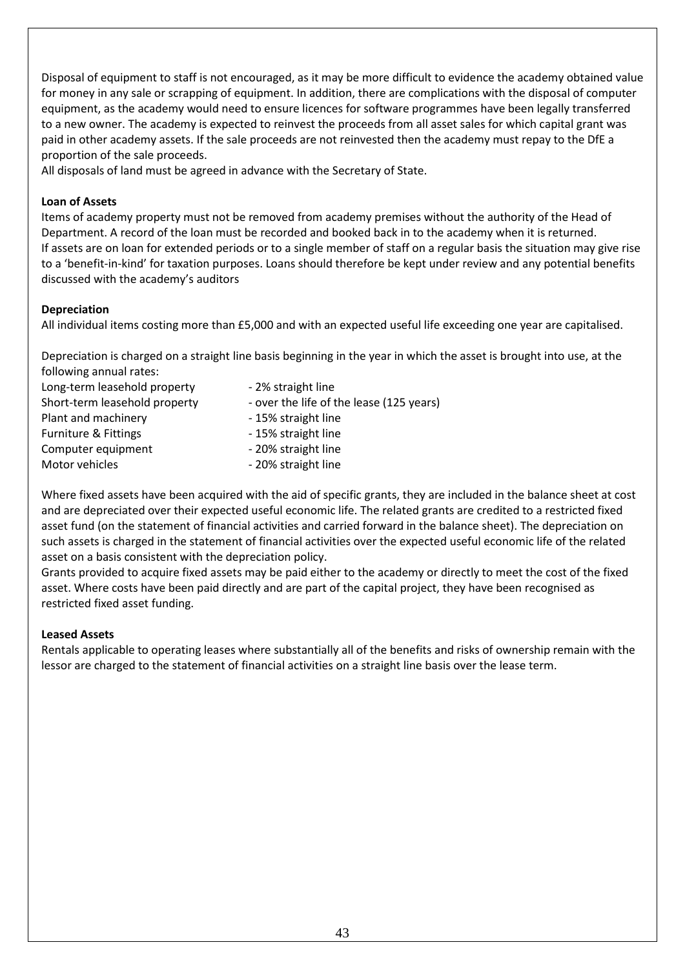Disposal of equipment to staff is not encouraged, as it may be more difficult to evidence the academy obtained value for money in any sale or scrapping of equipment. In addition, there are complications with the disposal of computer equipment, as the academy would need to ensure licences for software programmes have been legally transferred to a new owner. The academy is expected to reinvest the proceeds from all asset sales for which capital grant was paid in other academy assets. If the sale proceeds are not reinvested then the academy must repay to the DfE a proportion of the sale proceeds.

All disposals of land must be agreed in advance with the Secretary of State.

### **Loan of Assets**

Items of academy property must not be removed from academy premises without the authority of the Head of Department. A record of the loan must be recorded and booked back in to the academy when it is returned. If assets are on loan for extended periods or to a single member of staff on a regular basis the situation may give rise to a 'benefit-in-kind' for taxation purposes. Loans should therefore be kept under review and any potential benefits discussed with the academy's auditors

### **Depreciation**

All individual items costing more than £5,000 and with an expected useful life exceeding one year are capitalised.

Depreciation is charged on a straight line basis beginning in the year in which the asset is brought into use, at the following annual rates:

| Long-term leasehold property    | - 2% straight line                       |
|---------------------------------|------------------------------------------|
| Short-term leasehold property   | - over the life of the lease (125 years) |
| Plant and machinery             | - 15% straight line                      |
| <b>Furniture &amp; Fittings</b> | - 15% straight line                      |
| Computer equipment              | - 20% straight line                      |
| Motor vehicles                  | - 20% straight line                      |
|                                 |                                          |

Where fixed assets have been acquired with the aid of specific grants, they are included in the balance sheet at cost and are depreciated over their expected useful economic life. The related grants are credited to a restricted fixed asset fund (on the statement of financial activities and carried forward in the balance sheet). The depreciation on such assets is charged in the statement of financial activities over the expected useful economic life of the related asset on a basis consistent with the depreciation policy.

Grants provided to acquire fixed assets may be paid either to the academy or directly to meet the cost of the fixed asset. Where costs have been paid directly and are part of the capital project, they have been recognised as restricted fixed asset funding.

### **Leased Assets**

Rentals applicable to operating leases where substantially all of the benefits and risks of ownership remain with the lessor are charged to the statement of financial activities on a straight line basis over the lease term.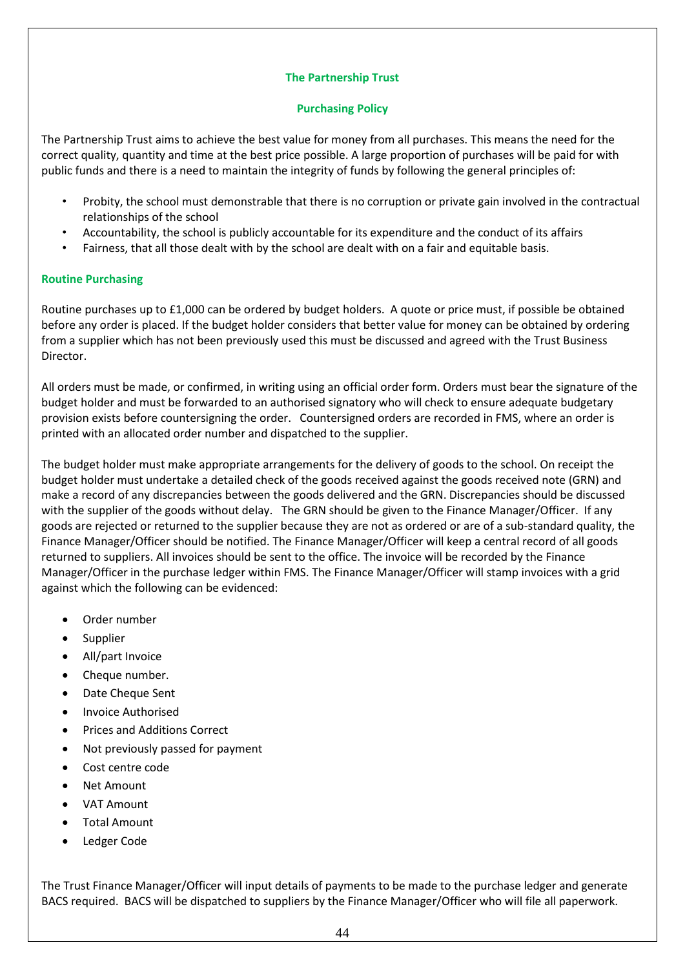### **The Partnership Trust**

### **Purchasing Policy**

The Partnership Trust aims to achieve the best value for money from all purchases. This means the need for the correct quality, quantity and time at the best price possible. A large proportion of purchases will be paid for with public funds and there is a need to maintain the integrity of funds by following the general principles of:

- Probity, the school must demonstrable that there is no corruption or private gain involved in the contractual relationships of the school
- Accountability, the school is publicly accountable for its expenditure and the conduct of its affairs
- Fairness, that all those dealt with by the school are dealt with on a fair and equitable basis.

### **Routine Purchasing**

Routine purchases up to £1,000 can be ordered by budget holders. A quote or price must, if possible be obtained before any order is placed. If the budget holder considers that better value for money can be obtained by ordering from a supplier which has not been previously used this must be discussed and agreed with the Trust Business Director.

All orders must be made, or confirmed, in writing using an official order form. Orders must bear the signature of the budget holder and must be forwarded to an authorised signatory who will check to ensure adequate budgetary provision exists before countersigning the order. Countersigned orders are recorded in FMS, where an order is printed with an allocated order number and dispatched to the supplier.

The budget holder must make appropriate arrangements for the delivery of goods to the school. On receipt the budget holder must undertake a detailed check of the goods received against the goods received note (GRN) and make a record of any discrepancies between the goods delivered and the GRN. Discrepancies should be discussed with the supplier of the goods without delay. The GRN should be given to the Finance Manager/Officer. If any goods are rejected or returned to the supplier because they are not as ordered or are of a sub-standard quality, the Finance Manager/Officer should be notified. The Finance Manager/Officer will keep a central record of all goods returned to suppliers. All invoices should be sent to the office. The invoice will be recorded by the Finance Manager/Officer in the purchase ledger within FMS. The Finance Manager/Officer will stamp invoices with a grid against which the following can be evidenced:

- Order number
- Supplier
- All/part Invoice
- Cheque number.
- Date Cheque Sent
- Invoice Authorised
- Prices and Additions Correct
- Not previously passed for payment
- Cost centre code
- **Net Amount**
- VAT Amount
- Total Amount
- Ledger Code

The Trust Finance Manager/Officer will input details of payments to be made to the purchase ledger and generate BACS required. BACS will be dispatched to suppliers by the Finance Manager/Officer who will file all paperwork.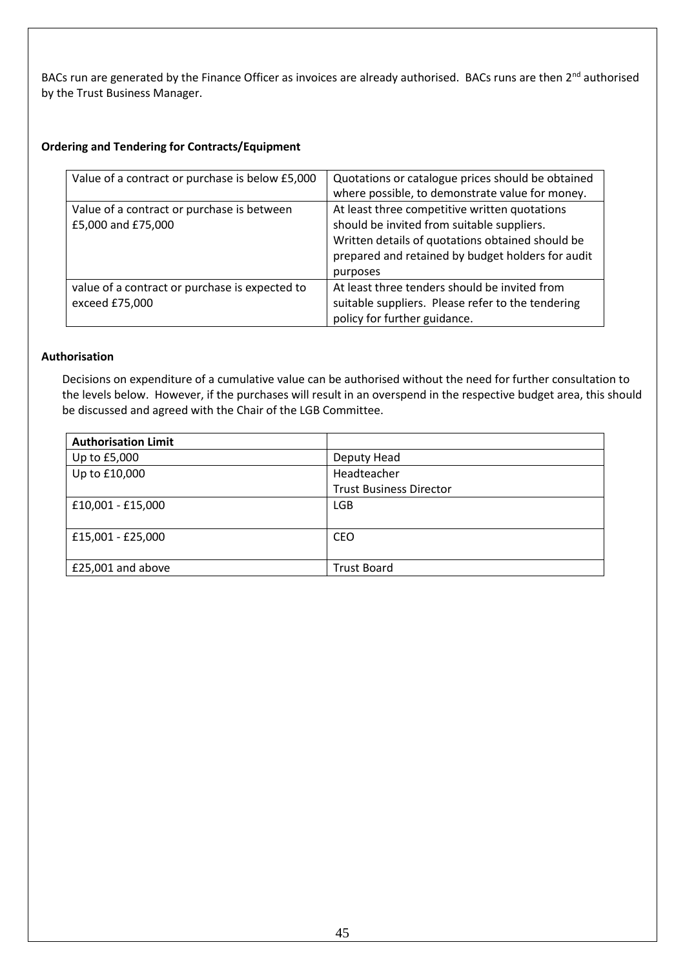BACs run are generated by the Finance Officer as invoices are already authorised. BACs runs are then 2<sup>nd</sup> authorised by the Trust Business Manager.

### **Ordering and Tendering for Contracts/Equipment**

| Value of a contract or purchase is below £5,000                  | Quotations or catalogue prices should be obtained<br>where possible, to demonstrate value for money.                                                                                                             |
|------------------------------------------------------------------|------------------------------------------------------------------------------------------------------------------------------------------------------------------------------------------------------------------|
| Value of a contract or purchase is between<br>£5,000 and £75,000 | At least three competitive written quotations<br>should be invited from suitable suppliers.<br>Written details of quotations obtained should be<br>prepared and retained by budget holders for audit<br>purposes |
| value of a contract or purchase is expected to<br>exceed £75,000 | At least three tenders should be invited from<br>suitable suppliers. Please refer to the tendering<br>policy for further guidance.                                                                               |

### **Authorisation**

Decisions on expenditure of a cumulative value can be authorised without the need for further consultation to the levels below. However, if the purchases will result in an overspend in the respective budget area, this should be discussed and agreed with the Chair of the LGB Committee.

| <b>Authorisation Limit</b> |                                |
|----------------------------|--------------------------------|
| Up to £5,000               | Deputy Head                    |
| Up to £10,000              | Headteacher                    |
|                            | <b>Trust Business Director</b> |
| £10,001 - £15,000          | <b>LGB</b>                     |
| £15,001 - £25,000          | <b>CEO</b>                     |
| £25,001 and above          | <b>Trust Board</b>             |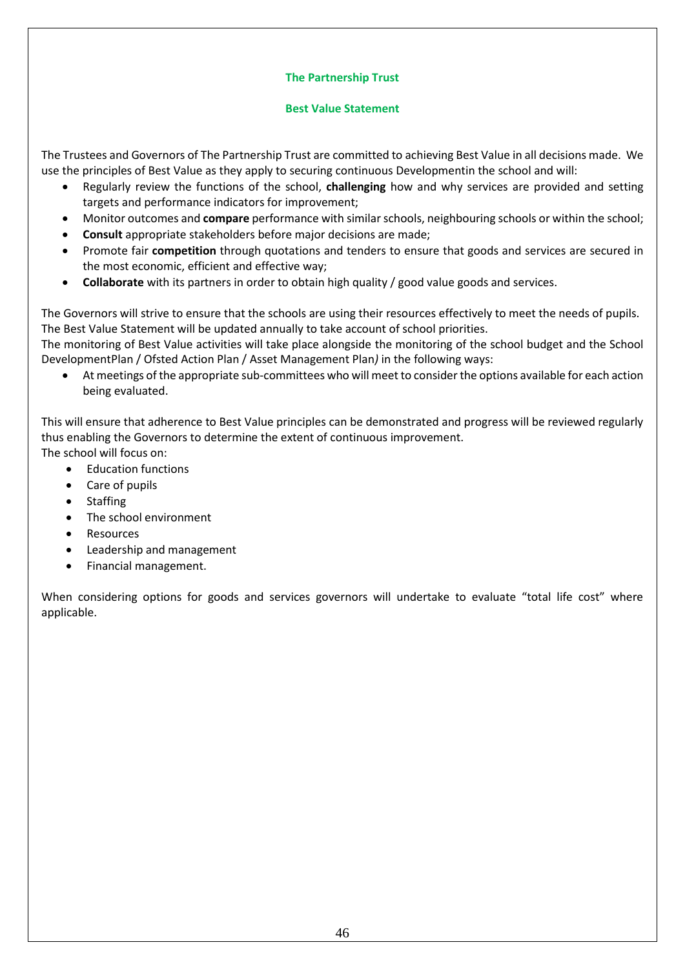### **The Partnership Trust**

### **Best Value Statement**

The Trustees and Governors of The Partnership Trust are committed to achieving Best Value in all decisions made. We use the principles of Best Value as they apply to securing continuous Developmentin the school and will:

- Regularly review the functions of the school, **challenging** how and why services are provided and setting targets and performance indicators for improvement;
- Monitor outcomes and **compare** performance with similar schools, neighbouring schools or within the school;
- **Consult** appropriate stakeholders before major decisions are made;
- Promote fair **competition** through quotations and tenders to ensure that goods and services are secured in the most economic, efficient and effective way;
- **Collaborate** with its partners in order to obtain high quality / good value goods and services.

The Governors will strive to ensure that the schools are using their resources effectively to meet the needs of pupils. The Best Value Statement will be updated annually to take account of school priorities.

The monitoring of Best Value activities will take place alongside the monitoring of the school budget and the School DevelopmentPlan / Ofsted Action Plan / Asset Management Plan*)* in the following ways:

• At meetings of the appropriate sub-committees who will meet to consider the options available for each action being evaluated.

This will ensure that adherence to Best Value principles can be demonstrated and progress will be reviewed regularly thus enabling the Governors to determine the extent of continuous improvement. The school will focus on:

• Education functions

- Care of pupils
- Staffing
- The school environment
- Resources
- Leadership and management
- Financial management.

When considering options for goods and services governors will undertake to evaluate "total life cost" where applicable.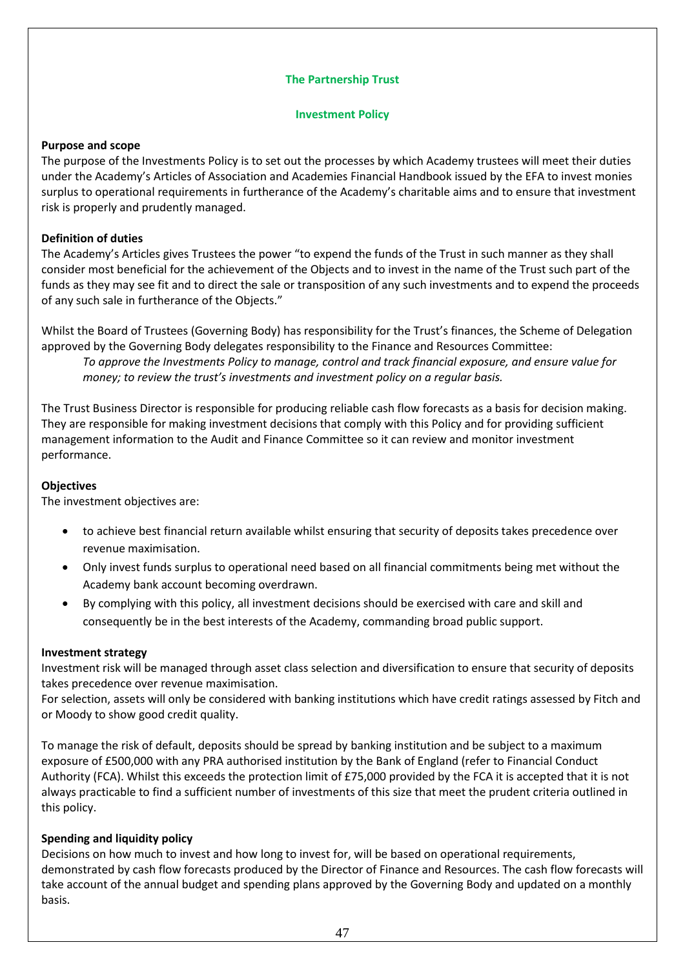### **The Partnership Trust**

### **Investment Policy**

#### **Purpose and scope**

The purpose of the Investments Policy is to set out the processes by which Academy trustees will meet their duties under the Academy's Articles of Association and Academies Financial Handbook issued by the EFA to invest monies surplus to operational requirements in furtherance of the Academy's charitable aims and to ensure that investment risk is properly and prudently managed.

### **Definition of duties**

The Academy's Articles gives Trustees the power "to expend the funds of the Trust in such manner as they shall consider most beneficial for the achievement of the Objects and to invest in the name of the Trust such part of the funds as they may see fit and to direct the sale or transposition of any such investments and to expend the proceeds of any such sale in furtherance of the Objects."

Whilst the Board of Trustees (Governing Body) has responsibility for the Trust's finances, the Scheme of Delegation approved by the Governing Body delegates responsibility to the Finance and Resources Committee: *To approve the Investments Policy to manage, control and track financial exposure, and ensure value for money; to review the trust's investments and investment policy on a regular basis.* 

The Trust Business Director is responsible for producing reliable cash flow forecasts as a basis for decision making. They are responsible for making investment decisions that comply with this Policy and for providing sufficient management information to the Audit and Finance Committee so it can review and monitor investment performance.

#### **Objectives**

The investment objectives are:

- to achieve best financial return available whilst ensuring that security of deposits takes precedence over revenue maximisation.
- Only invest funds surplus to operational need based on all financial commitments being met without the Academy bank account becoming overdrawn.
- By complying with this policy, all investment decisions should be exercised with care and skill and consequently be in the best interests of the Academy, commanding broad public support.

#### **Investment strategy**

Investment risk will be managed through asset class selection and diversification to ensure that security of deposits takes precedence over revenue maximisation.

For selection, assets will only be considered with banking institutions which have credit ratings assessed by Fitch and or Moody to show good credit quality.

To manage the risk of default, deposits should be spread by banking institution and be subject to a maximum exposure of £500,000 with any PRA authorised institution by the Bank of England (refer to Financial Conduct Authority (FCA). Whilst this exceeds the protection limit of £75,000 provided by the FCA it is accepted that it is not always practicable to find a sufficient number of investments of this size that meet the prudent criteria outlined in this policy.

#### **Spending and liquidity policy**

Decisions on how much to invest and how long to invest for, will be based on operational requirements, demonstrated by cash flow forecasts produced by the Director of Finance and Resources. The cash flow forecasts will take account of the annual budget and spending plans approved by the Governing Body and updated on a monthly basis.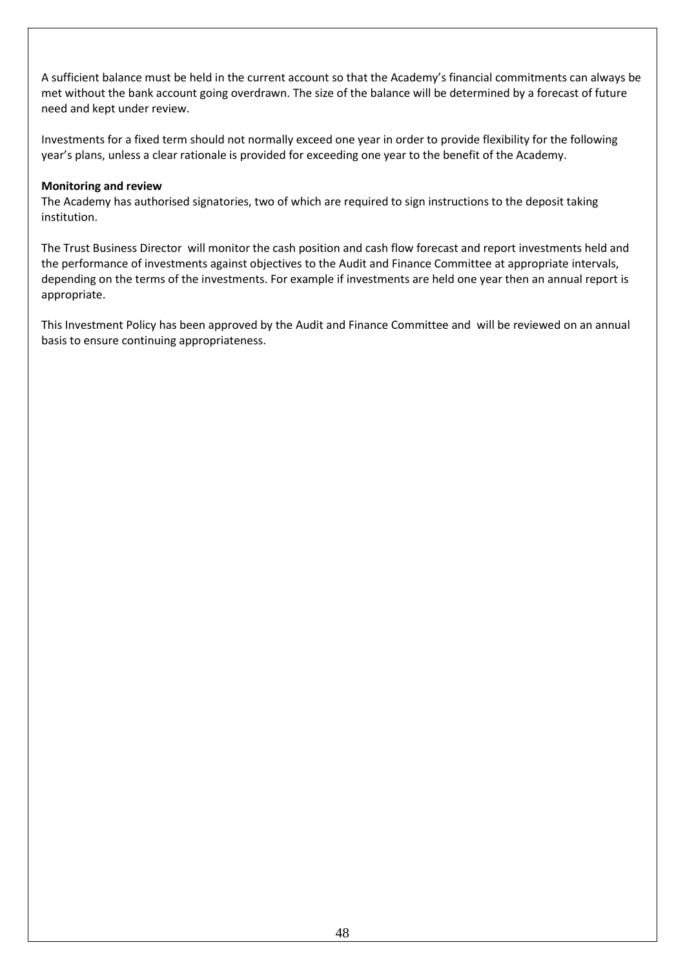A sufficient balance must be held in the current account so that the Academy's financial commitments can always be met without the bank account going overdrawn. The size of the balance will be determined by a forecast of future need and kept under review.

Investments for a fixed term should not normally exceed one year in order to provide flexibility for the following year's plans, unless a clear rationale is provided for exceeding one year to the benefit of the Academy.

### **Monitoring and review**

The Academy has authorised signatories, two of which are required to sign instructions to the deposit taking institution.

The Trust Business Director will monitor the cash position and cash flow forecast and report investments held and the performance of investments against objectives to the Audit and Finance Committee at appropriate intervals, depending on the terms of the investments. For example if investments are held one year then an annual report is appropriate.

This Investment Policy has been approved by the Audit and Finance Committee and will be reviewed on an annual basis to ensure continuing appropriateness.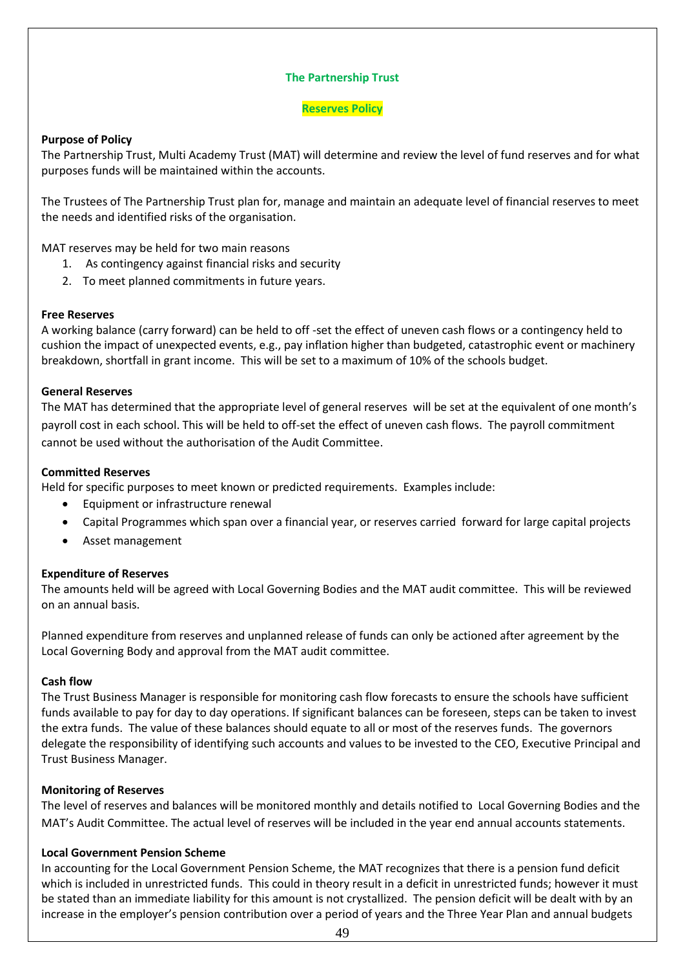### **The Partnership Trust**

#### **Reserves Policy**

### **Purpose of Policy**

The Partnership Trust, Multi Academy Trust (MAT) will determine and review the level of fund reserves and for what purposes funds will be maintained within the accounts.

The Trustees of The Partnership Trust plan for, manage and maintain an adequate level of financial reserves to meet the needs and identified risks of the organisation.

MAT reserves may be held for two main reasons

- 1. As contingency against financial risks and security
- 2. To meet planned commitments in future years.

#### **Free Reserves**

A working balance (carry forward) can be held to off -set the effect of uneven cash flows or a contingency held to cushion the impact of unexpected events, e.g., pay inflation higher than budgeted, catastrophic event or machinery breakdown, shortfall in grant income. This will be set to a maximum of 10% of the schools budget.

#### **General Reserves**

The MAT has determined that the appropriate level of general reserves will be set at the equivalent of one month's payroll cost in each school. This will be held to off-set the effect of uneven cash flows. The payroll commitment cannot be used without the authorisation of the Audit Committee.

#### **Committed Reserves**

Held for specific purposes to meet known or predicted requirements. Examples include:

- Equipment or infrastructure renewal
- Capital Programmes which span over a financial year, or reserves carried forward for large capital projects
- Asset management

#### **Expenditure of Reserves**

The amounts held will be agreed with Local Governing Bodies and the MAT audit committee. This will be reviewed on an annual basis.

Planned expenditure from reserves and unplanned release of funds can only be actioned after agreement by the Local Governing Body and approval from the MAT audit committee.

#### **Cash flow**

The Trust Business Manager is responsible for monitoring cash flow forecasts to ensure the schools have sufficient funds available to pay for day to day operations. If significant balances can be foreseen, steps can be taken to invest the extra funds. The value of these balances should equate to all or most of the reserves funds.The governors delegate the responsibility of identifying such accounts and values to be invested to the CEO, Executive Principal and Trust Business Manager.

#### **Monitoring of Reserves**

The level of reserves and balances will be monitored monthly and details notified to Local Governing Bodies and the MAT's Audit Committee. The actual level of reserves will be included in the year end annual accounts statements.

#### **Local Government Pension Scheme**

In accounting for the Local Government Pension Scheme, the MAT recognizes that there is a pension fund deficit which is included in unrestricted funds. This could in theory result in a deficit in unrestricted funds; however it must be stated than an immediate liability for this amount is not crystallized. The pension deficit will be dealt with by an increase in the employer's pension contribution over a period of years and the Three Year Plan and annual budgets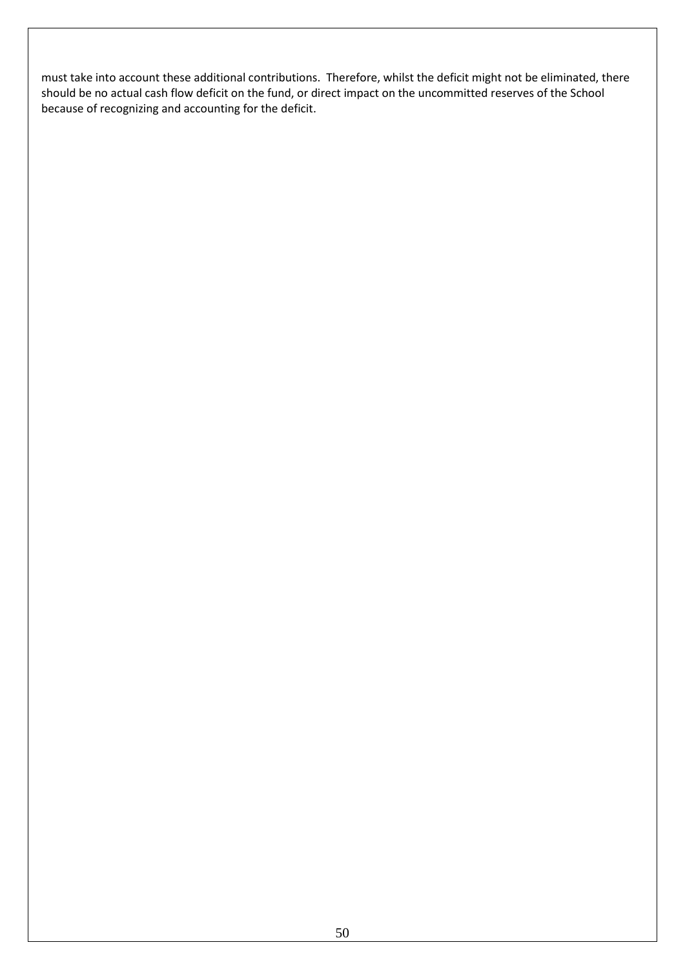must take into account these additional contributions. Therefore, whilst the deficit might not be eliminated, there should be no actual cash flow deficit on the fund, or direct impact on the uncommitted reserves of the School because of recognizing and accounting for the deficit.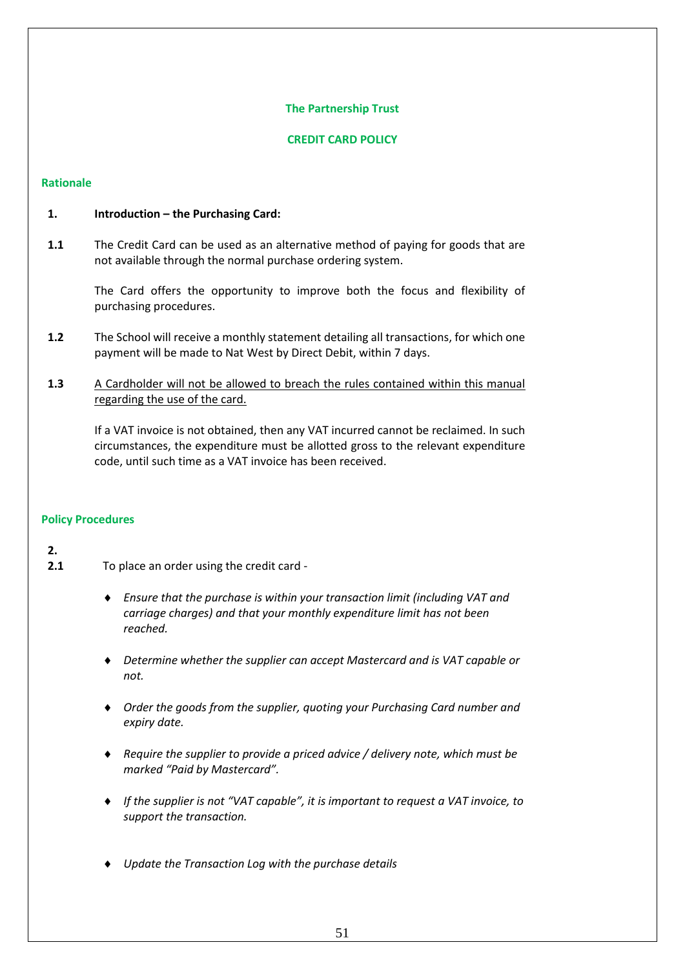### **The Partnership Trust**

### **CREDIT CARD POLICY**

### **Rationale**

### **1. Introduction – the Purchasing Card:**

**1.1** The Credit Card can be used as an alternative method of paying for goods that are not available through the normal purchase ordering system.

The Card offers the opportunity to improve both the focus and flexibility of purchasing procedures.

- **1.2** The School will receive a monthly statement detailing all transactions, for which one payment will be made to Nat West by Direct Debit, within 7 days.
- 1.3 A Cardholder will not be allowed to breach the rules contained within this manual regarding the use of the card.

If a VAT invoice is not obtained, then any VAT incurred cannot be reclaimed. In such circumstances, the expenditure must be allotted gross to the relevant expenditure code, until such time as a VAT invoice has been received.

#### **Policy Procedures**

### **2.**

- **2.1** To place an order using the credit card
	- *Ensure that the purchase is within your transaction limit (including VAT and carriage charges) and that your monthly expenditure limit has not been reached.*
	- *Determine whether the supplier can accept Mastercard and is VAT capable or not.*
	- *Order the goods from the supplier, quoting your Purchasing Card number and expiry date.*
	- *Require the supplier to provide a priced advice / delivery note, which must be marked "Paid by Mastercard".*
	- *If the supplier is not "VAT capable", it is important to request a VAT invoice, to support the transaction.*
	- *Update the Transaction Log with the purchase details*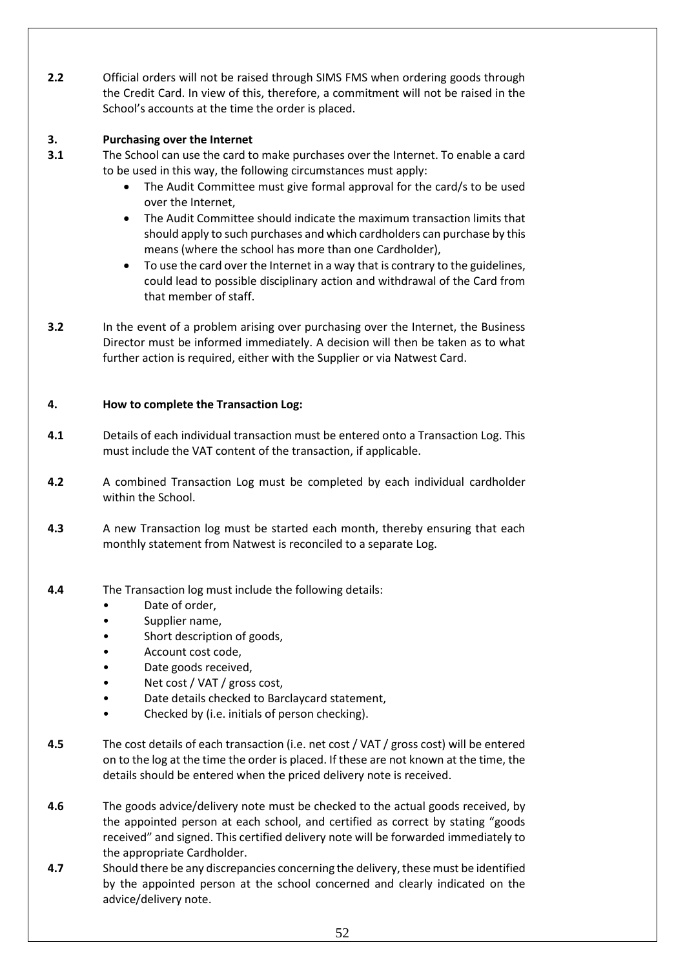**2.2** Official orders will not be raised through SIMS FMS when ordering goods through the Credit Card. In view of this, therefore, a commitment will not be raised in the School's accounts at the time the order is placed.

#### **3. Purchasing over the Internet**

- **3.1** The School can use the card to make purchases over the Internet. To enable a card to be used in this way, the following circumstances must apply:
	- The Audit Committee must give formal approval for the card/s to be used over the Internet,
	- The Audit Committee should indicate the maximum transaction limits that should apply to such purchases and which cardholders can purchase by this means (where the school has more than one Cardholder),
	- To use the card over the Internet in a way that is contrary to the guidelines, could lead to possible disciplinary action and withdrawal of the Card from that member of staff.
- **3.2** In the event of a problem arising over purchasing over the Internet, the Business Director must be informed immediately. A decision will then be taken as to what further action is required, either with the Supplier or via Natwest Card.

### **4. How to complete the Transaction Log:**

- **4.1** Details of each individual transaction must be entered onto a Transaction Log. This must include the VAT content of the transaction, if applicable.
- **4.2** A combined Transaction Log must be completed by each individual cardholder within the School.
- **4.3** A new Transaction log must be started each month, thereby ensuring that each monthly statement from Natwest is reconciled to a separate Log.
- **4.4** The Transaction log must include the following details:
	- Date of order,
	- Supplier name,
	- Short description of goods.
	- Account cost code,
	- Date goods received,
	- Net cost / VAT / gross cost,
	- Date details checked to Barclaycard statement,
	- Checked by (i.e. initials of person checking).
- **4.5** The cost details of each transaction (i.e. net cost / VAT / gross cost) will be entered on to the log at the time the order is placed. If these are not known at the time, the details should be entered when the priced delivery note is received.
- **4.6** The goods advice/delivery note must be checked to the actual goods received, by the appointed person at each school, and certified as correct by stating "goods received" and signed. This certified delivery note will be forwarded immediately to the appropriate Cardholder.
- **4.7** Should there be any discrepancies concerning the delivery, these must be identified by the appointed person at the school concerned and clearly indicated on the advice/delivery note.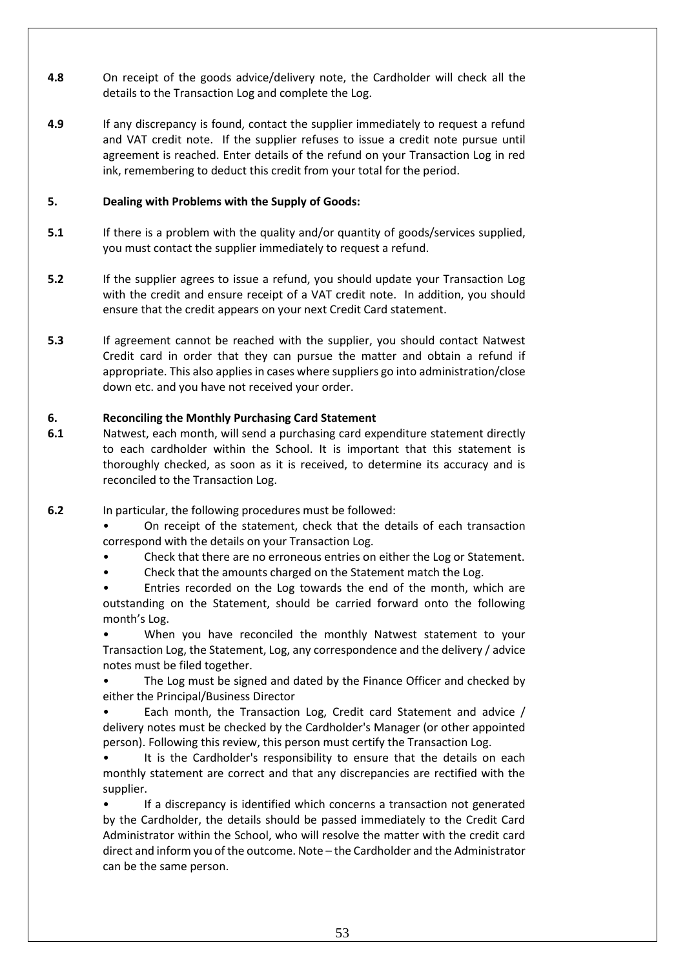- **4.8** On receipt of the goods advice/delivery note, the Cardholder will check all the details to the Transaction Log and complete the Log.
- **4.9** If any discrepancy is found, contact the supplier immediately to request a refund and VAT credit note. If the supplier refuses to issue a credit note pursue until agreement is reached. Enter details of the refund on your Transaction Log in red ink, remembering to deduct this credit from your total for the period.

### **5. Dealing with Problems with the Supply of Goods:**

- **5.1** If there is a problem with the quality and/or quantity of goods/services supplied, you must contact the supplier immediately to request a refund.
- **5.2** If the supplier agrees to issue a refund, you should update your Transaction Log with the credit and ensure receipt of a VAT credit note. In addition, you should ensure that the credit appears on your next Credit Card statement.
- **5.3** If agreement cannot be reached with the supplier, you should contact Natwest Credit card in order that they can pursue the matter and obtain a refund if appropriate. This also applies in cases where suppliers go into administration/close down etc. and you have not received your order.

### **6. Reconciling the Monthly Purchasing Card Statement**

- **6.1** Natwest, each month, will send a purchasing card expenditure statement directly to each cardholder within the School. It is important that this statement is thoroughly checked, as soon as it is received, to determine its accuracy and is reconciled to the Transaction Log.
- **6.2** In particular, the following procedures must be followed:
	- On receipt of the statement, check that the details of each transaction correspond with the details on your Transaction Log.
	- Check that there are no erroneous entries on either the Log or Statement.
	- Check that the amounts charged on the Statement match the Log.
	- Entries recorded on the Log towards the end of the month, which are outstanding on the Statement, should be carried forward onto the following month's Log.
	- When you have reconciled the monthly Natwest statement to your Transaction Log, the Statement, Log, any correspondence and the delivery / advice notes must be filed together.
	- The Log must be signed and dated by the Finance Officer and checked by either the Principal/Business Director
	- Each month, the Transaction Log, Credit card Statement and advice / delivery notes must be checked by the Cardholder's Manager (or other appointed person). Following this review, this person must certify the Transaction Log.
	- It is the Cardholder's responsibility to ensure that the details on each monthly statement are correct and that any discrepancies are rectified with the supplier.
	- If a discrepancy is identified which concerns a transaction not generated by the Cardholder, the details should be passed immediately to the Credit Card Administrator within the School, who will resolve the matter with the credit card direct and inform you of the outcome. Note – the Cardholder and the Administrator can be the same person.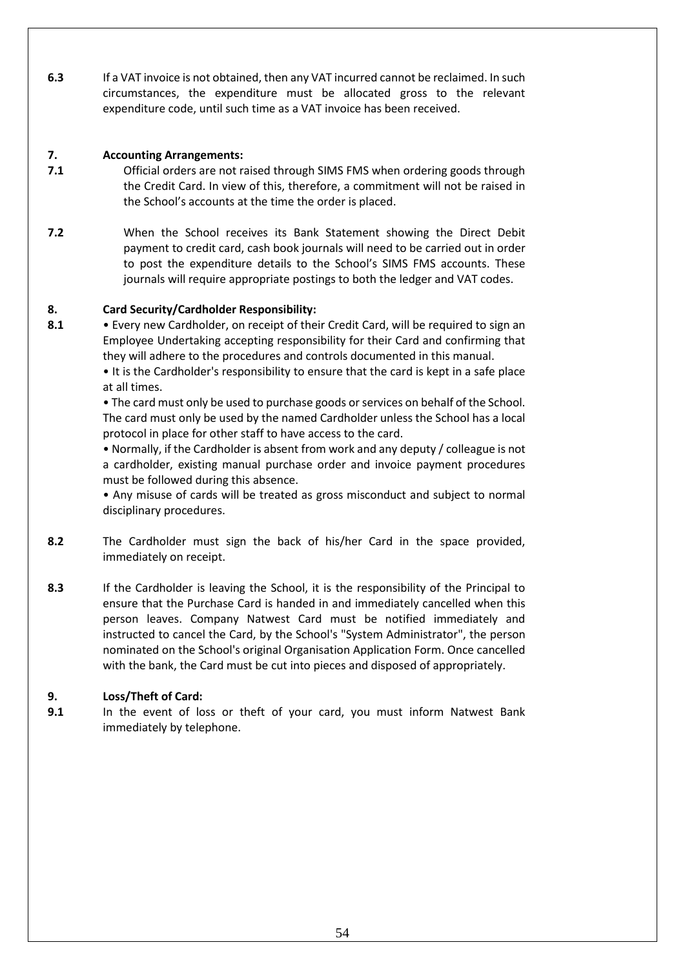**6.3** If a VAT invoice is not obtained, then any VAT incurred cannot be reclaimed. In such circumstances, the expenditure must be allocated gross to the relevant expenditure code, until such time as a VAT invoice has been received.

### **7. Accounting Arrangements:**

- **7.1** Official orders are not raised through SIMS FMS when ordering goods through the Credit Card. In view of this, therefore, a commitment will not be raised in the School's accounts at the time the order is placed.
- **7.2** When the School receives its Bank Statement showing the Direct Debit payment to credit card, cash book journals will need to be carried out in order to post the expenditure details to the School's SIMS FMS accounts. These journals will require appropriate postings to both the ledger and VAT codes.

### **8. Card Security/Cardholder Responsibility:**

**8.1** • Every new Cardholder, on receipt of their Credit Card, will be required to sign an Employee Undertaking accepting responsibility for their Card and confirming that they will adhere to the procedures and controls documented in this manual.

• It is the Cardholder's responsibility to ensure that the card is kept in a safe place at all times.

• The card must only be used to purchase goods or services on behalf of the School. The card must only be used by the named Cardholder unless the School has a local protocol in place for other staff to have access to the card.

• Normally, if the Cardholder is absent from work and any deputy / colleague is not a cardholder, existing manual purchase order and invoice payment procedures must be followed during this absence.

• Any misuse of cards will be treated as gross misconduct and subject to normal disciplinary procedures.

- **8.2** The Cardholder must sign the back of his/her Card in the space provided, immediately on receipt.
- **8.3** If the Cardholder is leaving the School, it is the responsibility of the Principal to ensure that the Purchase Card is handed in and immediately cancelled when this person leaves. Company Natwest Card must be notified immediately and instructed to cancel the Card, by the School's "System Administrator", the person nominated on the School's original Organisation Application Form. Once cancelled with the bank, the Card must be cut into pieces and disposed of appropriately.

### **9. Loss/Theft of Card:**

**9.1** In the event of loss or theft of your card, you must inform Natwest Bank immediately by telephone.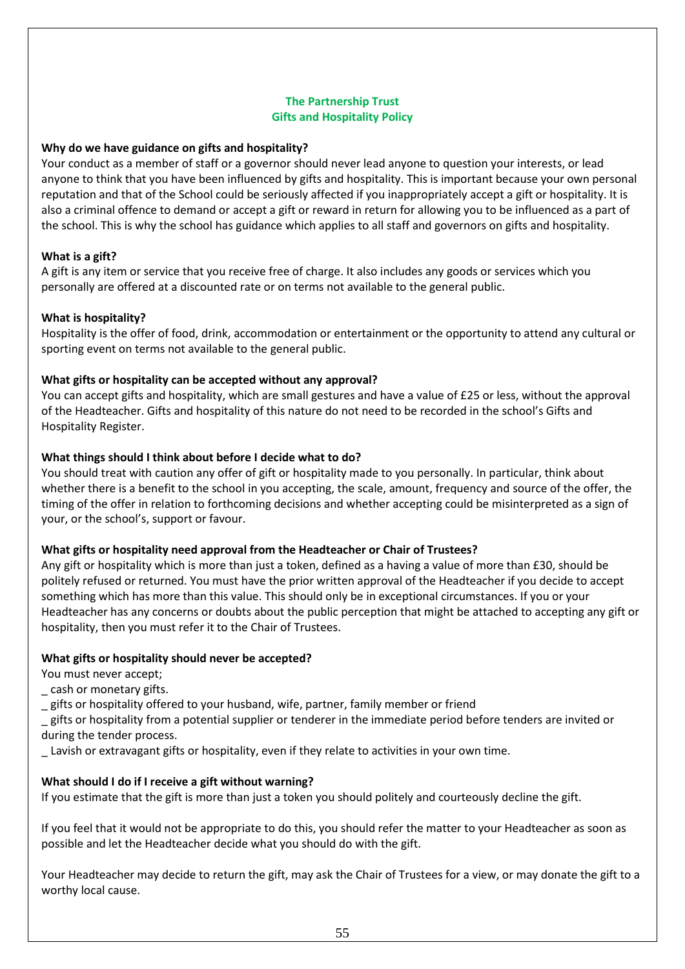### **The Partnership Trust Gifts and Hospitality Policy**

### **Why do we have guidance on gifts and hospitality?**

Your conduct as a member of staff or a governor should never lead anyone to question your interests, or lead anyone to think that you have been influenced by gifts and hospitality. This is important because your own personal reputation and that of the School could be seriously affected if you inappropriately accept a gift or hospitality. It is also a criminal offence to demand or accept a gift or reward in return for allowing you to be influenced as a part of the school. This is why the school has guidance which applies to all staff and governors on gifts and hospitality.

### **What is a gift?**

A gift is any item or service that you receive free of charge. It also includes any goods or services which you personally are offered at a discounted rate or on terms not available to the general public.

#### **What is hospitality?**

Hospitality is the offer of food, drink, accommodation or entertainment or the opportunity to attend any cultural or sporting event on terms not available to the general public.

### **What gifts or hospitality can be accepted without any approval?**

You can accept gifts and hospitality, which are small gestures and have a value of £25 or less, without the approval of the Headteacher. Gifts and hospitality of this nature do not need to be recorded in the school's Gifts and Hospitality Register.

### **What things should I think about before I decide what to do?**

You should treat with caution any offer of gift or hospitality made to you personally. In particular, think about whether there is a benefit to the school in you accepting, the scale, amount, frequency and source of the offer, the timing of the offer in relation to forthcoming decisions and whether accepting could be misinterpreted as a sign of your, or the school's, support or favour.

#### **What gifts or hospitality need approval from the Headteacher or Chair of Trustees?**

Any gift or hospitality which is more than just a token, defined as a having a value of more than £30, should be politely refused or returned. You must have the prior written approval of the Headteacher if you decide to accept something which has more than this value. This should only be in exceptional circumstances. If you or your Headteacher has any concerns or doubts about the public perception that might be attached to accepting any gift or hospitality, then you must refer it to the Chair of Trustees.

#### **What gifts or hospitality should never be accepted?**

You must never accept;

\_ cash or monetary gifts.

\_ gifts or hospitality offered to your husband, wife, partner, family member or friend

\_ gifts or hospitality from a potential supplier or tenderer in the immediate period before tenders are invited or during the tender process.

Lavish or extravagant gifts or hospitality, even if they relate to activities in your own time.

### **What should I do if I receive a gift without warning?**

If you estimate that the gift is more than just a token you should politely and courteously decline the gift.

If you feel that it would not be appropriate to do this, you should refer the matter to your Headteacher as soon as possible and let the Headteacher decide what you should do with the gift.

Your Headteacher may decide to return the gift, may ask the Chair of Trustees for a view, or may donate the gift to a worthy local cause.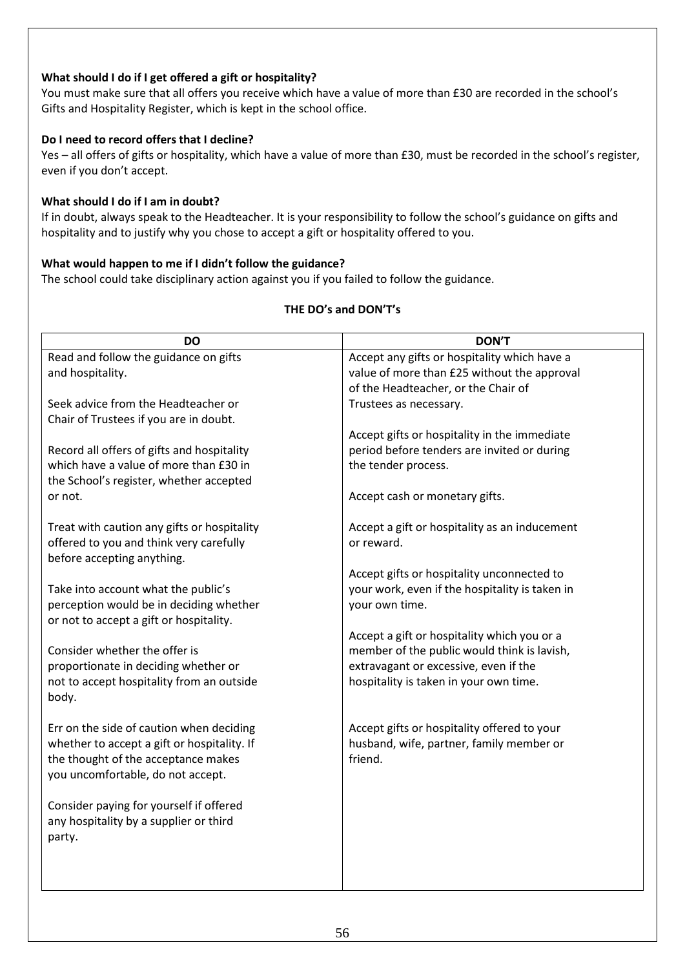### **What should I do if I get offered a gift or hospitality?**

You must make sure that all offers you receive which have a value of more than £30 are recorded in the school's Gifts and Hospitality Register, which is kept in the school office.

### **Do I need to record offers that I decline?**

Yes – all offers of gifts or hospitality, which have a value of more than £30, must be recorded in the school's register, even if you don't accept.

### **What should I do if I am in doubt?**

If in doubt, always speak to the Headteacher. It is your responsibility to follow the school's guidance on gifts and hospitality and to justify why you chose to accept a gift or hospitality offered to you.

### **What would happen to me if I didn't follow the guidance?**

The school could take disciplinary action against you if you failed to follow the guidance.

| <b>DO</b>                                   | <b>DON'T</b>                                        |
|---------------------------------------------|-----------------------------------------------------|
| Read and follow the guidance on gifts       | Accept any gifts or hospitality which have a        |
| and hospitality.                            | value of more than £25 without the approval         |
|                                             | of the Headteacher, or the Chair of                 |
| Seek advice from the Headteacher or         | Trustees as necessary.                              |
| Chair of Trustees if you are in doubt.      |                                                     |
|                                             | Accept gifts or hospitality in the immediate        |
| Record all offers of gifts and hospitality  | period before tenders are invited or during         |
| which have a value of more than £30 in      | the tender process.                                 |
| the School's register, whether accepted     |                                                     |
| or not.                                     | Accept cash or monetary gifts.                      |
|                                             |                                                     |
| Treat with caution any gifts or hospitality | Accept a gift or hospitality as an inducement       |
| offered to you and think very carefully     | or reward.                                          |
| before accepting anything.                  |                                                     |
|                                             | Accept gifts or hospitality unconnected to          |
| Take into account what the public's         | your work, even if the hospitality is taken in      |
| perception would be in deciding whether     | your own time.                                      |
| or not to accept a gift or hospitality.     |                                                     |
|                                             | Accept a gift or hospitality which you or a         |
| Consider whether the offer is               | member of the public would think is lavish,         |
| proportionate in deciding whether or        | extravagant or excessive, even if the               |
| not to accept hospitality from an outside   | hospitality is taken in your own time.              |
| body.                                       |                                                     |
|                                             |                                                     |
| Err on the side of caution when deciding    | Accept gifts or hospitality offered to your         |
| whether to accept a gift or hospitality. If | husband, wife, partner, family member or<br>friend. |
| the thought of the acceptance makes         |                                                     |
| you uncomfortable, do not accept.           |                                                     |
| Consider paying for yourself if offered     |                                                     |
| any hospitality by a supplier or third      |                                                     |
| party.                                      |                                                     |
|                                             |                                                     |
|                                             |                                                     |
|                                             |                                                     |
|                                             |                                                     |

### **THE DO's and DON'T's**